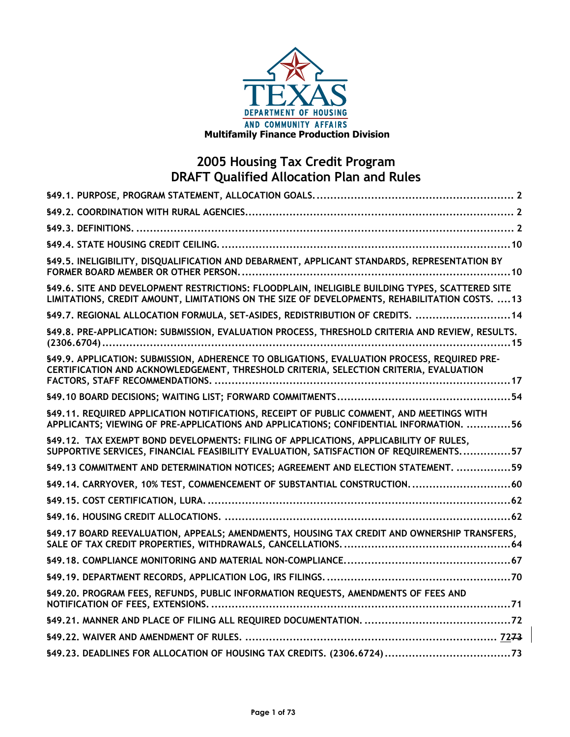

| §49.5. INELIGIBILITY, DISQUALIFICATION AND DEBARMENT, APPLICANT STANDARDS, REPRESENTATION BY                                                                                                      |
|---------------------------------------------------------------------------------------------------------------------------------------------------------------------------------------------------|
| §49.6. SITE AND DEVELOPMENT RESTRICTIONS: FLOODPLAIN, INELIGIBLE BUILDING TYPES, SCATTERED SITE<br>LIMITATIONS, CREDIT AMOUNT, LIMITATIONS ON THE SIZE OF DEVELOPMENTS, REHABILITATION COSTS.  13 |
| \$49.7. REGIONAL ALLOCATION FORMULA, SET-ASIDES, REDISTRIBUTION OF CREDITS.  14                                                                                                                   |
| §49.8. PRE-APPLICATION: SUBMISSION, EVALUATION PROCESS, THRESHOLD CRITERIA AND REVIEW, RESULTS.                                                                                                   |
| \$49.9. APPLICATION: SUBMISSION, ADHERENCE TO OBLIGATIONS, EVALUATION PROCESS, REQUIRED PRE-<br>CERTIFICATION AND ACKNOWLEDGEMENT, THRESHOLD CRITERIA, SELECTION CRITERIA, EVALUATION             |
|                                                                                                                                                                                                   |
| §49.11. REQUIRED APPLICATION NOTIFICATIONS, RECEIPT OF PUBLIC COMMENT, AND MEETINGS WITH<br>APPLICANTS; VIEWING OF PRE-APPLICATIONS AND APPLICATIONS; CONFIDENTIAL INFORMATION. 56                |
| §49.12. TAX EXEMPT BOND DEVELOPMENTS: FILING OF APPLICATIONS, APPLICABILITY OF RULES,<br>SUPPORTIVE SERVICES, FINANCIAL FEASIBILITY EVALUATION, SATISFACTION OF REQUIREMENTS57                    |
| \$49.13 COMMITMENT AND DETERMINATION NOTICES; AGREEMENT AND ELECTION STATEMENT. 59                                                                                                                |
| §49.14. CARRYOVER, 10% TEST, COMMENCEMENT OF SUBSTANTIAL CONSTRUCTION. 60                                                                                                                         |
|                                                                                                                                                                                                   |
|                                                                                                                                                                                                   |
| §49.17 BOARD REEVALUATION, APPEALS; AMENDMENTS, HOUSING TAX CREDIT AND OWNERSHIP TRANSFERS,                                                                                                       |
|                                                                                                                                                                                                   |
|                                                                                                                                                                                                   |
| §49.20. PROGRAM FEES, REFUNDS, PUBLIC INFORMATION REQUESTS, AMENDMENTS OF FEES AND                                                                                                                |
|                                                                                                                                                                                                   |
|                                                                                                                                                                                                   |
|                                                                                                                                                                                                   |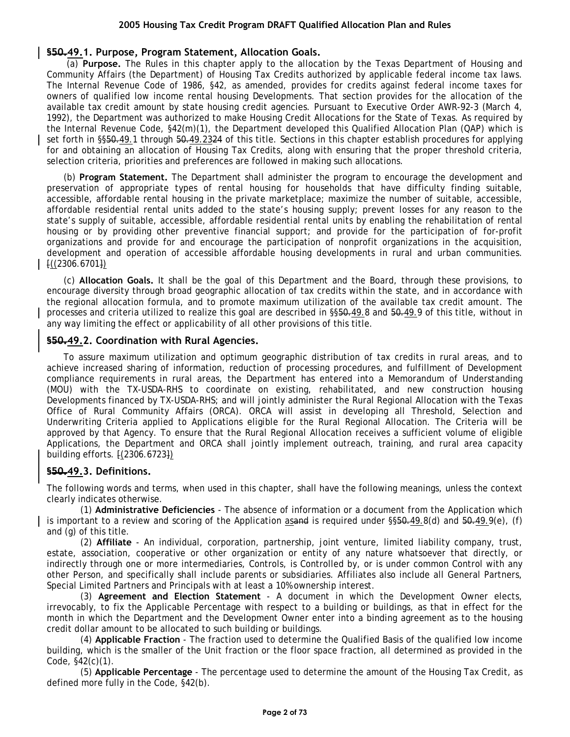## **§50.49.1. Purpose, Program Statement, Allocation Goals.**

(a) **Purpose.** The Rules in this chapter apply to the allocation by the Texas Department of Housing and Community Affairs (the Department) of Housing Tax Credits authorized by applicable federal income tax laws. The Internal Revenue Code of 1986, §42, as amended, provides for credits against federal income taxes for owners of qualified low income rental housing Developments. That section provides for the allocation of the available tax credit amount by state housing credit agencies. Pursuant to Executive Order AWR-92-3 (March 4, 1992), the Department was authorized to make Housing Credit Allocations for the State of Texas. As required by the Internal Revenue Code, §42(m)(1), the Department developed this Qualified Allocation Plan (QAP) which is set forth in §§50.49.1 through 50.49.2324 of this title. Sections in this chapter establish procedures for applying for and obtaining an allocation of Housing Tax Credits, along with ensuring that the proper threshold criteria, selection criteria, priorities and preferences are followed in making such allocations.

(b) **Program Statement.** The Department shall administer the program to encourage the development and preservation of appropriate types of rental housing for households that have difficulty finding suitable, accessible, affordable rental housing in the private marketplace; maximize the number of suitable, accessible, affordable residential rental units added to the state's housing supply; prevent losses for any reason to the state's supply of suitable, accessible, affordable residential rental units by enabling the rehabilitation of rental housing or by providing other preventive financial support; and provide for the participation of for-profit organizations and provide for and encourage the participation of nonprofit organizations in the acquisition, development and operation of accessible affordable housing developments in rural and urban communities.  $[(2306.6701])$ 

(c) **Allocation Goals.** It shall be the goal of this Department and the Board, through these provisions, to encourage diversity through broad geographic allocation of tax credits within the state, and in accordance with the regional allocation formula, and to promote maximum utilization of the available tax credit amount. The processes and criteria utilized to realize this goal are described in §§50.49.8 and 50.49.9 of this title, without in any way limiting the effect or applicability of all other provisions of this title.

## **§50.49.2. Coordination with Rural Agencies.**

To assure maximum utilization and optimum geographic distribution of tax credits in rural areas, and to achieve increased sharing of information, reduction of processing procedures, and fulfillment of Development compliance requirements in rural areas, the Department has entered into a Memorandum of Understanding (MOU) with the TX-USDA-RHS to coordinate on existing, rehabilitated, and new construction housing Developments financed by TX-USDA-RHS; and will jointly administer the Rural Regional Allocation with the Texas Office of Rural Community Affairs (ORCA). ORCA will assist in developing all Threshold, Selection and Underwriting Criteria applied to Applications eligible for the Rural Regional Allocation. The Criteria will be approved by that Agency. To ensure that the Rural Regional Allocation receives a sufficient volume of eligible Applications, the Department and ORCA shall jointly implement outreach, training, and rural area capacity building efforts. [(2306.6723])

## **§50.49.3. Definitions.**

The following words and terms, when used in this chapter, shall have the following meanings, unless the context clearly indicates otherwise.

(1) **Administrative Deficiencies** - The absence of information or a document from the Application which is important to a review and scoring of the Application as and is required under  $\S50.49.8(d)$  and  $\S0.49.9(e)$ , (f) and (g) of this title.

(2) **Affiliate** - An individual, corporation, partnership, joint venture, limited liability company, trust, estate, association, cooperative or other organization or entity of any nature whatsoever that directly, or indirectly through one or more intermediaries, Controls, is Controlled by, or is under common Control with any other Person, and specifically shall include parents or subsidiaries. Affiliates also include all General Partners, Special Limited Partners and Principals with at least a 10% ownership interest.

(3) **Agreement and Election Statement** - A document in which the Development Owner elects, irrevocably, to fix the Applicable Percentage with respect to a building or buildings, as that in effect for the month in which the Department and the Development Owner enter into a binding agreement as to the housing credit dollar amount to be allocated to such building or buildings.

(4) **Applicable Fraction** - The fraction used to determine the Qualified Basis of the qualified low income building, which is the smaller of the Unit fraction or the floor space fraction, all determined as provided in the Code, §42(c)(1).

(5) **Applicable Percentage** - The percentage used to determine the amount of the Housing Tax Credit, as defined more fully in the Code, §42(b).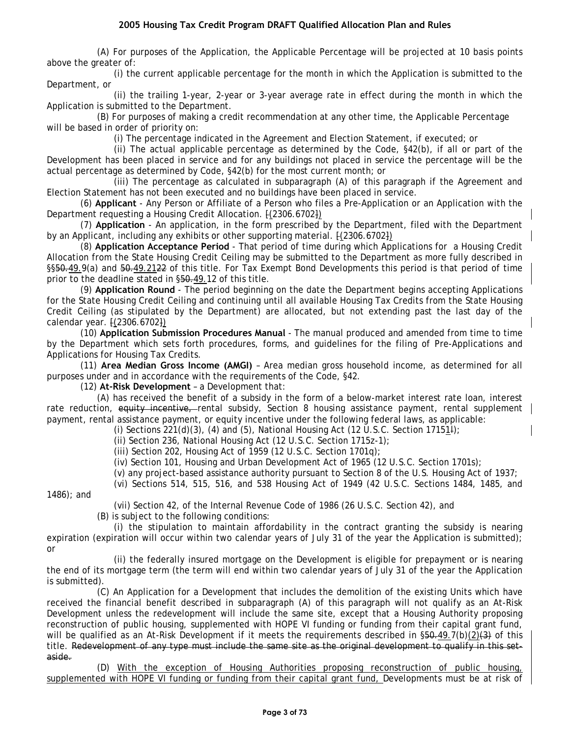(A) For purposes of the Application, the Applicable Percentage will be projected at 10 basis points above the greater of:

(i) the current applicable percentage for the month in which the Application is submitted to the Department, or

(ii) the trailing 1-year, 2-year or 3-year average rate in effect during the month in which the Application is submitted to the Department.

(B) For purposes of making a credit recommendation at any other time, the Applicable Percentage will be based in order of priority on:

(i) The percentage indicated in the Agreement and Election Statement, if executed; or

(ii) The actual applicable percentage as determined by the Code, §42(b), if all or part of the Development has been placed in service and for any buildings not placed in service the percentage will be the actual percentage as determined by Code, §42(b) for the most current month; or

(iii) The percentage as calculated in subparagraph (A) of this paragraph if the Agreement and Election Statement has not been executed and no buildings have been placed in service.

(6) **Applicant** - Any Person or Affiliate of a Person who files a Pre-Application or an Application with the Department requesting a Housing Credit Allocation.  $[(2306.6702])$ 

(7) **Application** - An application, in the form prescribed by the Department, filed with the Department by an Applicant, including any exhibits or other supporting material.  $[(2306.6702])$ 

(8) **Application Acceptance Period** - That period of time during which Applications for a Housing Credit Allocation from the State Housing Credit Ceiling may be submitted to the Department as more fully described in §§50.49.9(a) and 50.49.2122 of this title. For Tax Exempt Bond Developments this period is that period of time prior to the deadline stated in §50.49.12 of this title.

(9) **Application Round** - The period beginning on the date the Department begins accepting Applications for the State Housing Credit Ceiling and continuing until all available Housing Tax Credits from the State Housing Credit Ceiling (as stipulated by the Department) are allocated, but not extending past the last day of the calendar year. [(2306.6702])

(10) **Application Submission Procedures Manual** - The manual produced and amended from time to time by the Department which sets forth procedures, forms, and guidelines for the filing of Pre-Applications and Applications for Housing Tax Credits.

(11) **Area Median Gross Income (AMGI)** – Area median gross household income, as determined for all purposes under and in accordance with the requirements of the Code, §42.

(12) **At-Risk Development** – a Development that:

(A) has received the benefit of a subsidy in the form of a below-market interest rate loan, interest rate reduction, equity incentive, rental subsidy, Section 8 housing assistance payment, rental supplement payment, rental assistance payment, or equity incentive under the following federal laws, as applicable:

(i) Sections  $221(d)(3)$ , (4) and (5), National Housing Act (12 U.S.C. Section 171514);

(ii) Section 236, National Housing Act (12 U.S.C. Section 1715z-1);

(iii) Section 202, Housing Act of 1959 (12 U.S.C. Section 1701q);

(iv) Section 101, Housing and Urban Development Act of 1965 (12 U.S.C. Section 1701s);

(v) any project-based assistance authority pursuant to Section 8 of the U.S. Housing Act of 1937;

(vi) Sections 514, 515, 516, and 538 Housing Act of 1949 (42 U.S.C. Sections 1484, 1485, and

1486); and

(vii) Section 42, of the Internal Revenue Code of 1986 (26 U.S.C. Section 42), and

(B) is subject to the following conditions:

(i) the stipulation to maintain affordability in the contract granting the subsidy is nearing expiration (expiration will occur within two calendar years of July 31 of the year the Application is submitted); or

(ii) the federally insured mortgage on the Development is eligible for prepayment or is nearing the end of its mortgage term (the term will end within two calendar years of July 31 of the year the Application is submitted).

(C) An Application for a Development that includes the demolition of the existing Units which have received the financial benefit described in subparagraph (A) of this paragraph will not qualify as an At-Risk Development unless the redevelopment will include the same site, except that a Housing Authority proposing reconstruction of public housing, supplemented with HOPE VI funding or funding from their capital grant fund, will be qualified as an At-Risk Development if it meets the requirements described in  $\S50-49.7(b)(2)(3)$  of this title. Redevelopment of any type must include the same site as the original development to qualify in this setaside.

(D) With the exception of Housing Authorities proposing reconstruction of public housing, supplemented with HOPE VI funding or funding from their capital grant fund, Developments must be at risk of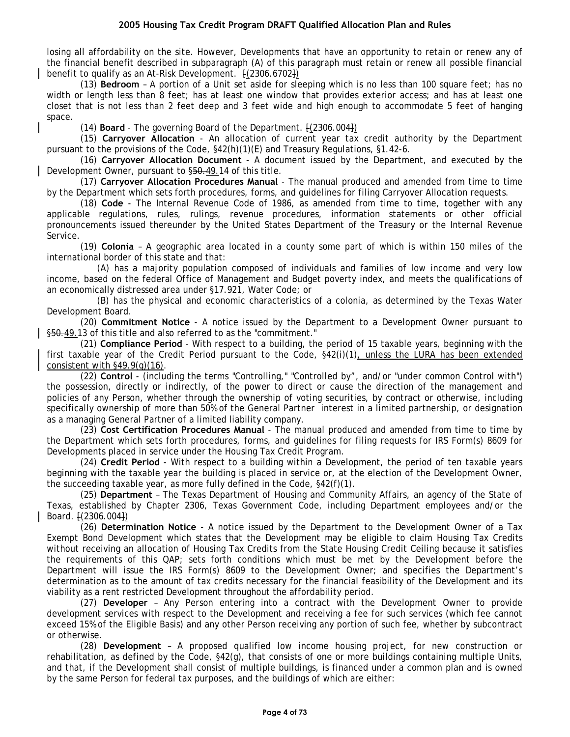losing all affordability on the site. However, Developments that have an opportunity to retain or renew any of the financial benefit described in subparagraph (A) of this paragraph must retain or renew all possible financial benefit to qualify as an At-Risk Development. [(2306.6702])

(13) **Bedroom** – A portion of a Unit set aside for sleeping which is no less than 100 square feet; has no width or length less than 8 feet; has at least one window that provides exterior access; and has at least one closet that is not less than 2 feet deep and 3 feet wide and high enough to accommodate 5 feet of hanging space.

(14) **Board** - The governing Board of the Department. [(2306.004])

(15) **Carryover Allocation** - An allocation of current year tax credit authority by the Department pursuant to the provisions of the Code, §42(h)(1)(E) and Treasury Regulations, §1.42-6.

(16) **Carryover Allocation Document** - A document issued by the Department, and executed by the Development Owner, pursuant to §50.49.14 of this title.

(17) **Carryover Allocation Procedures Manual** - The manual produced and amended from time to time by the Department which sets forth procedures, forms, and guidelines for filing Carryover Allocation requests.

(18) **Code** - The Internal Revenue Code of 1986, as amended from time to time, together with any applicable regulations, rules, rulings, revenue procedures, information statements or other official pronouncements issued thereunder by the United States Department of the Treasury or the Internal Revenue Service.

(19) **Colonia** – A geographic area located in a county some part of which is within 150 miles of the international border of this state and that:

(A) has a majority population composed of individuals and families of low income and very low income, based on the federal Office of Management and Budget poverty index, and meets the qualifications of an economically distressed area under §17.921, Water Code; or

(B) has the physical and economic characteristics of a colonia, as determined by the Texas Water Development Board.

(20) **Commitment Notice** - A notice issued by the Department to a Development Owner pursuant to §50.49.13 of this title and also referred to as the "commitment."

(21) **Compliance Period** - With respect to a building, the period of 15 taxable years, beginning with the first taxable year of the Credit Period pursuant to the Code, §42(i)(1), unless the LURA has been extended consistent with §49.9(g)(16).

(22) **Control** - (including the terms "Controlling," "Controlled by", and/or "under common Control with") the possession, directly or indirectly, of the power to direct or cause the direction of the management and policies of any Person, whether through the ownership of voting securities, by contract or otherwise, including specifically ownership of more than 50% of the General Partner interest in a limited partnership, or designation as a managing General Partner of a limited liability company.

(23) **Cost Certification Procedures Manual** - The manual produced and amended from time to time by the Department which sets forth procedures, forms, and guidelines for filing requests for IRS Form(s) 8609 for Developments placed in service under the Housing Tax Credit Program.

(24) **Credit Period** - With respect to a building within a Development, the period of ten taxable years beginning with the taxable year the building is placed in service or, at the election of the Development Owner, the succeeding taxable year, as more fully defined in the Code, §42(f)(1).

(25) **Department** – The Texas Department of Housing and Community Affairs, an agency of the State of Texas, established by Chapter 2306, Texas Government Code, including Department employees and/or the Board. [(2306.004])

(26) **Determination Notice** - A notice issued by the Department to the Development Owner of a Tax Exempt Bond Development which states that the Development may be eligible to claim Housing Tax Credits without receiving an allocation of Housing Tax Credits from the State Housing Credit Ceiling because it satisfies the requirements of this QAP; sets forth conditions which must be met by the Development before the Department will issue the IRS Form(s) 8609 to the Development Owner; and specifies the Department's determination as to the amount of tax credits necessary for the financial feasibility of the Development and its viability as a rent restricted Development throughout the affordability period.

(27) **Developer** – Any Person entering into a contract with the Development Owner to provide development services with respect to the Development and receiving a fee for such services (which fee cannot exceed 15% of the Eligible Basis) and any other Person receiving any portion of such fee, whether by subcontract or otherwise.

(28) **Development** – A proposed qualified low income housing project, for new construction or rehabilitation, as defined by the Code, §42(g), that consists of one or more buildings containing multiple Units, and that, if the Development shall consist of multiple buildings, is financed under a common plan and is owned by the same Person for federal tax purposes, and the buildings of which are either: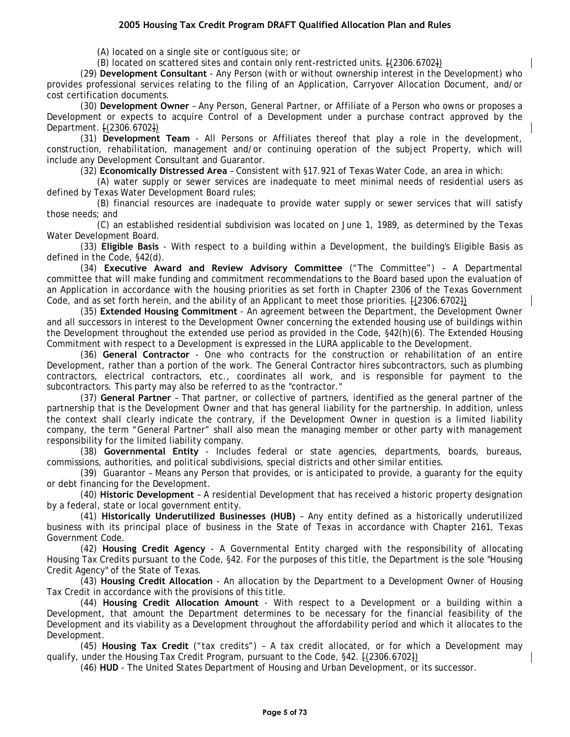(A) located on a single site or contiguous site; or

(B) located on scattered sites and contain only rent-restricted units. [(2306.6702])

(29) **Development Consultant** - Any Person (with or without ownership interest in the Development) who provides professional services relating to the filing of an Application, Carryover Allocation Document, and/or cost certification documents.

(30) **Development Owner** – Any Person, General Partner, or Affiliate of a Person who owns or proposes a Development or expects to acquire Control of a Development under a purchase contract approved by the Department. [(2306.6702])

(31) **Development Team** - All Persons or Affiliates thereof that play a role in the development, construction, rehabilitation, management and/or continuing operation of the subject Property, which will include any Development Consultant and Guarantor.

(32) **Economically Distressed Area** – Consistent with §17.921 of Texas Water Code, an area in which:

(A) water supply or sewer services are inadequate to meet minimal needs of residential users as defined by Texas Water Development Board rules;

(B) financial resources are inadequate to provide water supply or sewer services that will satisfy those needs; and

(C) an established residential subdivision was located on June 1, 1989, as determined by the Texas Water Development Board.

(33) **Eligible Basis** - With respect to a building within a Development, the building's Eligible Basis as defined in the Code, §42(d).

(34) **Executive Award and Review Advisory Committee** ("The Committee") – A Departmental committee that will make funding and commitment recommendations to the Board based upon the evaluation of an Application in accordance with the housing priorities as set forth in Chapter 2306 of the Texas Government Code, and as set forth herein, and the ability of an Applicant to meet those priorities. [(2306.6702])

(35) **Extended Housing Commitment** - An agreement between the Department, the Development Owner and all successors in interest to the Development Owner concerning the extended housing use of buildings within the Development throughout the extended use period as provided in the Code, §42(h)(6). The Extended Housing Commitment with respect to a Development is expressed in the LURA applicable to the Development.

(36) **General Contractor** - One who contracts for the construction or rehabilitation of an entire Development, rather than a portion of the work. The General Contractor hires subcontractors, such as plumbing contractors, electrical contractors, etc., coordinates all work, and is responsible for payment to the subcontractors. This party may also be referred to as the "contractor."

(37) **General Partner** – That partner, or collective of partners, identified as the general partner of the partnership that is the Development Owner and that has general liability for the partnership. In addition, unless the context shall clearly indicate the contrary, if the Development Owner in question is a limited liability company, the term "General Partner" shall also mean the managing member or other party with management responsibility for the limited liability company.

(38) **Governmental Entity** - Includes federal or state agencies, departments, boards, bureaus, commissions, authorities, and political subdivisions, special districts and other similar entities.

(39) Guarantor – Means any Person that provides, or is anticipated to provide, a guaranty for the equity or debt financing for the Development.

(40) **Historic Development** – A residential Development that has received a historic property designation by a federal, state or local government entity.

(41) **Historically Underutilized Businesses (HUB)** – Any entity defined as a historically underutilized business with its principal place of business in the State of Texas in accordance with Chapter 2161, Texas Government Code.

(42) **Housing Credit Agency** - A Governmental Entity charged with the responsibility of allocating Housing Tax Credits pursuant to the Code, §42. For the purposes of this title, the Department is the sole "Housing Credit Agency" of the State of Texas.

(43) **Housing Credit Allocation** - An allocation by the Department to a Development Owner of Housing Tax Credit in accordance with the provisions of this title.

(44) **Housing Credit Allocation Amount** - With respect to a Development or a building within a Development, that amount the Department determines to be necessary for the financial feasibility of the Development and its viability as a Development throughout the affordability period and which it allocates to the Development.

(45) **Housing Tax Credit** ("tax credits") – A tax credit allocated, or for which a Development may qualify, under the Housing Tax Credit Program, pursuant to the Code, §42. [(2306.6702])

(46) **HUD** - The United States Department of Housing and Urban Development, or its successor.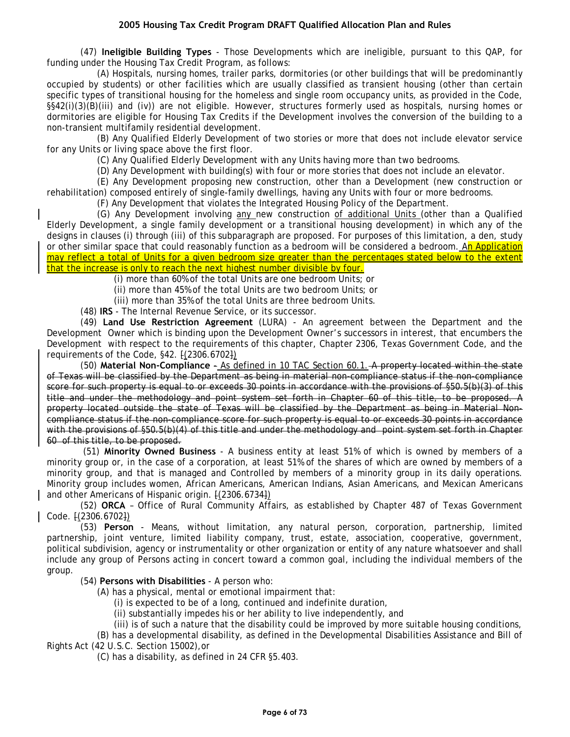(47) **Ineligible Building Types** - Those Developments which are ineligible, pursuant to this QAP, for funding under the Housing Tax Credit Program, as follows:

(A) Hospitals, nursing homes, trailer parks, dormitories (or other buildings that will be predominantly occupied by students) or other facilities which are usually classified as transient housing (other than certain specific types of transitional housing for the homeless and single room occupancy units, as provided in the Code, §§42(i)(3)(B)(iii) and (iv)) are not eligible. However, structures formerly used as hospitals, nursing homes or dormitories are eligible for Housing Tax Credits if the Development involves the conversion of the building to a non-transient multifamily residential development.

(B) Any Qualified Elderly Development of two stories or more that does not include elevator service for any Units or living space above the first floor.

(C) Any Qualified Elderly Development with any Units having more than two bedrooms.

(D) Any Development with building(s) with four or more stories that does not include an elevator.

(E) Any Development proposing new construction, other than a Development (new construction or rehabilitation) composed entirely of single-family dwellings, having any Units with four or more bedrooms.

(F) Any Development that violates the Integrated Housing Policy of the Department.

(G) Any Development involving any new construction of additional Units (other than a Qualified Elderly Development, a single family development or a transitional housing development) in which any of the designs in clauses (i) through (iii) of this subparagraph are proposed. For purposes of this limitation, a den, study or other similar space that could reasonably function as a bedroom will be considered a bedroom. An Application may reflect a total of Units for a given bedroom size greater than the percentages stated below to the extent that the increase is only to reach the next highest number divisible by four.

(i) more than 60% of the total Units are one bedroom Units; or

(ii) more than 45% of the total Units are two bedroom Units; or

(iii) more than 35% of the total Units are three bedroom Units.

(48) **IRS** - The Internal Revenue Service, or its successor.

(49) **Land Use Restriction Agreement** (LURA) - An agreement between the Department and the Development Owner which is binding upon the Development Owner's successors in interest, that encumbers the Development with respect to the requirements of this chapter, Chapter 2306, Texas Government Code, and the requirements of the Code, §42. [(2306.6702])

(50) **Material Non-Compliance** - As defined in 10 TAC Section 60.1. A property located within the state of Texas will be classified by the Department as being in material non-compliance status if the non-compliance score for such property is equal to or exceeds 30 points in accordance with the provisions of §50.5(b)(3) of this title and under the methodology and point system set forth in Chapter 60 of this title, to be proposed. A property located outside the state of Texas will be classified by the Department as being in Material Noncompliance status if the non-compliance score for such property is equal to or exceeds 30 points in accordance with the provisions of §50.5(b)(4) of this title and under the methodology and point system set forth in Chapter 60 of this title, to be proposed.

(51) **Minority Owned Business** - A business entity at least 51% of which is owned by members of a minority group or, in the case of a corporation, at least 51% of the shares of which are owned by members of a minority group, and that is managed and Controlled by members of a minority group in its daily operations. Minority group includes women, African Americans, American Indians, Asian Americans, and Mexican Americans and other Americans of Hispanic origin.  $[(2306.6734])$ 

(52) **ORCA** – Office of Rural Community Affairs, as established by Chapter 487 of Texas Government Code. [(2306.6702])

(53) **Person** - Means, without limitation, any natural person, corporation, partnership, limited partnership, joint venture, limited liability company, trust, estate, association, cooperative, government, political subdivision, agency or instrumentality or other organization or entity of any nature whatsoever and shall include any group of Persons acting in concert toward a common goal, including the individual members of the group.

(54) **Persons with Disabilities** - A person who:

(A) has a physical, mental or emotional impairment that:

(i) is expected to be of a long, continued and indefinite duration,

(ii) substantially impedes his or her ability to live independently, and

(iii) is of such a nature that the disability could be improved by more suitable housing conditions,

(B) has a developmental disability, as defined in the Developmental Disabilities Assistance and Bill of Rights Act (42 U.S.C. Section 15002),or

(C) has a disability, as defined in 24 CFR §5.403.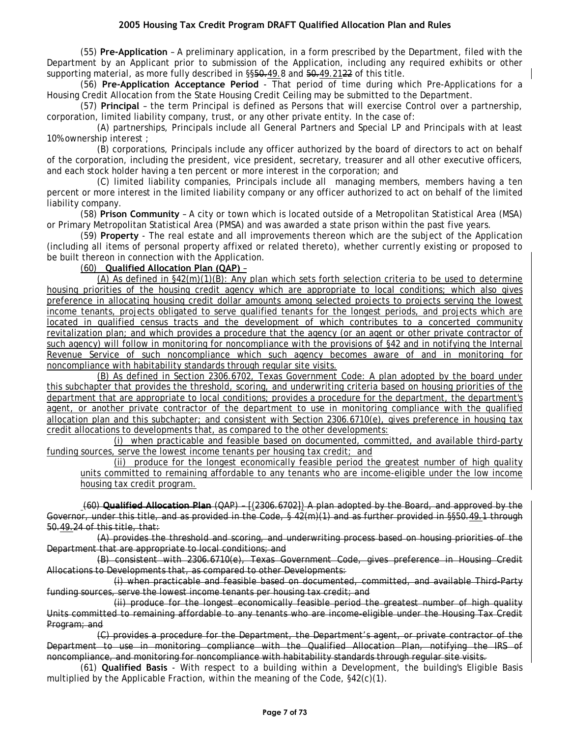(55) **Pre-Application** – A preliminary application, in a form prescribed by the Department, filed with the Department by an Applicant prior to submission of the Application, including any required exhibits or other supporting material, as more fully described in §§50.49.8 and 50.49.2122 of this title.

(56) **Pre-Application Acceptance Period** - That period of time during which Pre-Applications for a Housing Credit Allocation from the State Housing Credit Ceiling may be submitted to the Department.

(57) **Principal** – the term Principal is defined as Persons that will exercise Control over a partnership, corporation, limited liability company, trust, or any other private entity. In the case of:

(A) partnerships, Principals include all General Partners and Special LP and Principals with at least 10% ownership interest ;

(B) corporations, Principals include any officer authorized by the board of directors to act on behalf of the corporation, including the president, vice president, secretary, treasurer and all other executive officers, and each stock holder having a ten percent or more interest in the corporation; and

(C) limited liability companies, Principals include all managing members, members having a ten percent or more interest in the limited liability company or any officer authorized to act on behalf of the limited liability company.

(58) **Prison Community** – A city or town which is located outside of a Metropolitan Statistical Area (MSA) or Primary Metropolitan Statistical Area (PMSA) and was awarded a state prison within the past five years.

(59) **Property** - The real estate and all improvements thereon which are the subject of the Application (including all items of personal property affixed or related thereto), whether currently existing or proposed to be built thereon in connection with the Application.

#### (60) **Qualified Allocation Plan (QAP)** –

(A) As defined in  $\S42(m)(1)(B)$ : Any plan which sets forth selection criteria to be used to determine housing priorities of the housing credit agency which are appropriate to local conditions; which also gives preference in allocating housing credit dollar amounts among selected projects to projects serving the lowest income tenants, projects obligated to serve qualified tenants for the longest periods, and projects which are located in qualified census tracts and the development of which contributes to a concerted community revitalization plan; and which provides a procedure that the agency (or an agent or other private contractor of such agency) will follow in monitoring for noncompliance with the provisions of §42 and in notifying the Internal Revenue Service of such noncompliance which such agency becomes aware of and in monitoring for noncompliance with habitability standards through regular site visits.

(B) As defined in Section 2306.6702, Texas Government Code: A plan adopted by the board under this subchapter that provides the threshold, scoring, and underwriting criteria based on housing priorities of the department that are appropriate to local conditions; provides a procedure for the department, the department's agent, or another private contractor of the department to use in monitoring compliance with the qualified allocation plan and this subchapter; and consistent with Section 2306.6710(e), gives preference in housing tax credit allocations to developments that, as compared to the other developments:

(i) when practicable and feasible based on documented, committed, and available third-party funding sources, serve the lowest income tenants per housing tax credit; and

(ii) produce for the longest economically feasible period the greatest number of high quality units committed to remaining affordable to any tenants who are income-eligible under the low income housing tax credit program.

(60) **Qualified Allocation Plan** (QAP) – [(2306.6702]) A plan adopted by the Board, and approved by the Governor, under this title, and as provided in the Code, § 42(m)(1) and as further provided in §§50.49.1 through 50.49.24 of this title, that:

(A) provides the threshold and scoring, and underwriting process based on housing priorities of the Department that are appropriate to local conditions; and

(B) consistent with 2306.6710(e), Texas Government Code, gives preference in Housing Credit Allocations to Developments that, as compared to other Developments:

(i) when practicable and feasible based on documented, committed, and available Third-Party funding sources, serve the lowest income tenants per housing tax credit; and

(ii) produce for the longest economically feasible period the greatest number of high quality Units committed to remaining affordable to any tenants who are income-eligible under the Housing Tax Credit Program; and

(C) provides a procedure for the Department, the Department's agent, or private contractor of the Department to use in monitoring compliance with the Qualified Allocation Plan, notifying the IRS of noncompliance, and monitoring for noncompliance with habitability standards through regular site visits.

(61) **Qualified Basis** - With respect to a building within a Development, the building's Eligible Basis multiplied by the Applicable Fraction, within the meaning of the Code, §42(c)(1).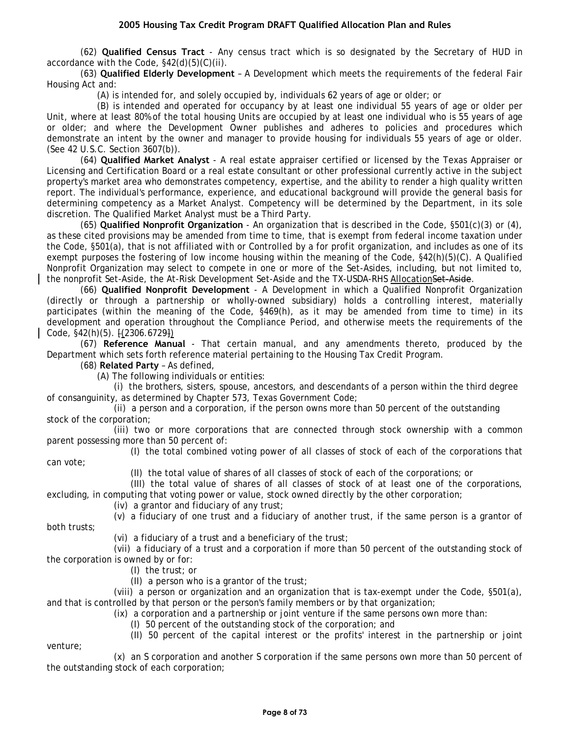(62) **Qualified Census Tract** - Any census tract which is so designated by the Secretary of HUD in accordance with the Code, §42(d)(5)(C)(ii).

(63) **Qualified Elderly Development** – A Development which meets the requirements of the federal Fair Housing Act and:

(A) is intended for, and solely occupied by, individuals 62 years of age or older; or

(B) is intended and operated for occupancy by at least one individual 55 years of age or older per Unit, where at least 80% of the total housing Units are occupied by at least one individual who is 55 years of age or older; and where the Development Owner publishes and adheres to policies and procedures which demonstrate an intent by the owner and manager to provide housing for individuals 55 years of age or older. (See 42 U.S.C. Section 3607(b)).

(64) **Qualified Market Analyst** - A real estate appraiser certified or licensed by the Texas Appraiser or Licensing and Certification Board or a real estate consultant or other professional currently active in the subject property's market area who demonstrates competency, expertise, and the ability to render a high quality written report. The individual's performance, experience, and educational background will provide the general basis for determining competency as a Market Analyst. Competency will be determined by the Department, in its sole discretion. The Qualified Market Analyst must be a Third Party.

(65) **Qualified Nonprofit Organization** - An organization that is described in the Code, §501(c)(3) or (4), as these cited provisions may be amended from time to time, that is exempt from federal income taxation under the Code, §501(a), that is not affiliated with or Controlled by a for profit organization, and includes as one of its exempt purposes the fostering of low income housing within the meaning of the Code, §42(h)(5)(C). A Qualified Nonprofit Organization may select to compete in one or more of the Set-Asides, including, but not limited to, the nonprofit Set-Aside, the At-Risk Development Set-Aside and the TX-USDA-RHS AllocationSet-Aside.

(66) **Qualified Nonprofit Development** - A Development in which a Qualified Nonprofit Organization (directly or through a partnership or wholly-owned subsidiary) holds a controlling interest, materially participates (within the meaning of the Code, §469(h), as it may be amended from time to time) in its development and operation throughout the Compliance Period, and otherwise meets the requirements of the Code, §42(h)(5). [(2306.6729])

(67) **Reference Manual** - That certain manual, and any amendments thereto, produced by the Department which sets forth reference material pertaining to the Housing Tax Credit Program.

(68) **Related Party** – As defined,

(A) The following individuals or entities:

(i) the brothers, sisters, spouse, ancestors, and descendants of a person within the third degree of consanguinity, as determined by Chapter 573, Texas Government Code;

(ii) a person and a corporation, if the person owns more than 50 percent of the outstanding stock of the corporation;

(iii) two or more corporations that are connected through stock ownership with a common parent possessing more than 50 percent of:

(I) the total combined voting power of all classes of stock of each of the corporations that

(II) the total value of shares of all classes of stock of each of the corporations; or

(III) the total value of shares of all classes of stock of at least one of the corporations,

excluding, in computing that voting power or value, stock owned directly by the other corporation;

(iv) a grantor and fiduciary of any trust;

(v) a fiduciary of one trust and a fiduciary of another trust, if the same person is a grantor of

(vi) a fiduciary of a trust and a beneficiary of the trust;

(vii) a fiduciary of a trust and a corporation if more than 50 percent of the outstanding stock of the corporation is owned by or for:

(I) the trust; or

(II) a person who is a grantor of the trust;

(viii) a person or organization and an organization that is tax-exempt under the Code, §501(a), and that is controlled by that person or the person's family members or by that organization;

(ix) a corporation and a partnership or joint venture if the same persons own more than:

(I) 50 percent of the outstanding stock of the corporation; and

(II) 50 percent of the capital interest or the profits' interest in the partnership or joint

venture;

can vote;

both trusts;

(x) an S corporation and another S corporation if the same persons own more than 50 percent of the outstanding stock of each corporation;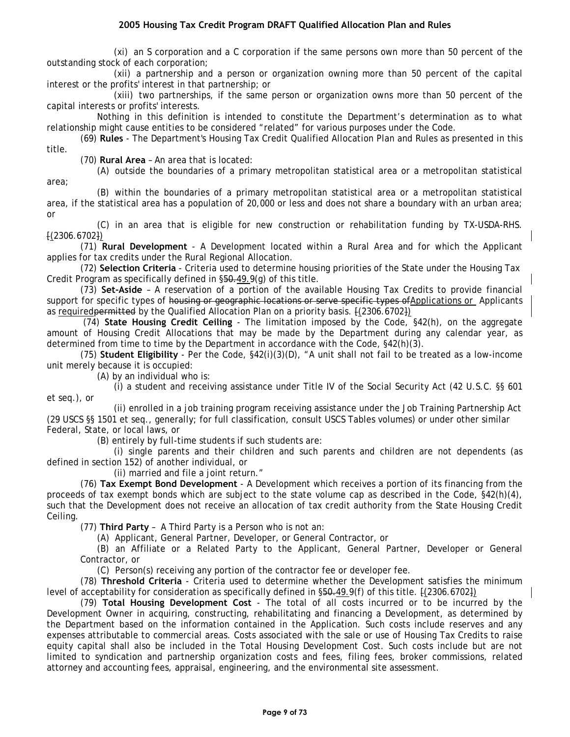(xi) an S corporation and a C corporation if the same persons own more than 50 percent of the outstanding stock of each corporation;

(xii) a partnership and a person or organization owning more than 50 percent of the capital interest or the profits' interest in that partnership; or

(xiii) two partnerships, if the same person or organization owns more than 50 percent of the capital interests or profits' interests.

Nothing in this definition is intended to constitute the Department's determination as to what relationship might cause entities to be considered "related" for various purposes under the Code.

(69) **Rules** - The Department's Housing Tax Credit Qualified Allocation Plan and Rules as presented in this title.

(70) **Rural Area** – An area that is located:

(A) outside the boundaries of a primary metropolitan statistical area or a metropolitan statistical area;

(B) within the boundaries of a primary metropolitan statistical area or a metropolitan statistical area, if the statistical area has a population of 20,000 or less and does not share a boundary with an urban area; or

(C) in an area that is eligible for new construction or rehabilitation funding by TX-USDA-RHS. [(2306.6702])

(71) **Rural Development** - A Development located within a Rural Area and for which the Applicant applies for tax credits under the Rural Regional Allocation.

(72) **Selection Criteria** - Criteria used to determine housing priorities of the State under the Housing Tax Credit Program as specifically defined in §50.49.9(g) of this title.

(73) **Set-Aside** – A reservation of a portion of the available Housing Tax Credits to provide financial support for specific types of housing or geographic locations or serve specific types of Applications or Applicants as required permitted by the Qualified Allocation Plan on a priority basis.  $[(2306.6702])$ 

(74) **State Housing Credit Ceiling** - The limitation imposed by the Code, §42(h), on the aggregate amount of Housing Credit Allocations that may be made by the Department during any calendar year, as determined from time to time by the Department in accordance with the Code, §42(h)(3).

(75) **Student Eligibility** - Per the Code, §42(i)(3)(D), "A unit shall not fail to be treated as a low-income unit merely because it is occupied:

(A) by an individual who is:

(i) a student and receiving assistance under Title IV of the Social Security Act (42 U.S.C. §§ 601 et seq.), or

(ii) enrolled in a job training program receiving assistance under the Job Training Partnership Act (29 USCS §§ 1501 et seq., generally; for full classification, consult USCS Tables volumes) or under other similar Federal, State, or local laws, or

(B) entirely by full-time students if such students are:

(i) single parents and their children and such parents and children are not dependents (as defined in section 152) of another individual, or

(ii) married and file a joint return."

(76) **Tax Exempt Bond Development** - A Development which receives a portion of its financing from the proceeds of tax exempt bonds which are subject to the state volume cap as described in the Code, §42(h)(4), such that the Development does not receive an allocation of tax credit authority from the State Housing Credit Ceiling.

(77) **Third Party** – A Third Party is a Person who is not an:

(A) Applicant, General Partner, Developer, or General Contractor, or

(B) an Affiliate or a Related Party to the Applicant, General Partner, Developer or General Contractor, or

(C) Person(s) receiving any portion of the contractor fee or developer fee.

(78) **Threshold Criteria** - Criteria used to determine whether the Development satisfies the minimum level of acceptability for consideration as specifically defined in  $\S50.49.9(f)$  of this title.  $\{2306.6702\}$ 

(79) **Total Housing Development Cost** - The total of all costs incurred or to be incurred by the Development Owner in acquiring, constructing, rehabilitating and financing a Development, as determined by the Department based on the information contained in the Application. Such costs include reserves and any expenses attributable to commercial areas. Costs associated with the sale or use of Housing Tax Credits to raise equity capital shall also be included in the Total Housing Development Cost. Such costs include but are not limited to syndication and partnership organization costs and fees, filing fees, broker commissions, related attorney and accounting fees, appraisal, engineering, and the environmental site assessment.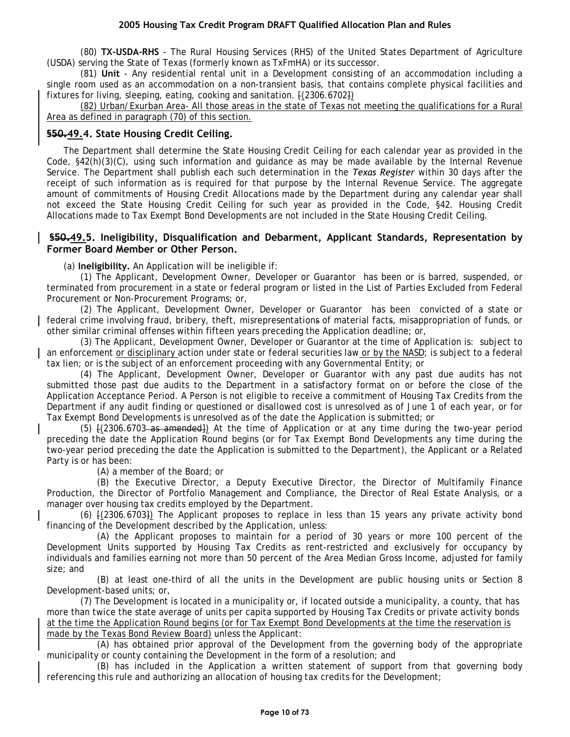(80) **TX-USDA-RHS** - The Rural Housing Services (RHS) of the United States Department of Agriculture (USDA) serving the State of Texas (formerly known as TxFmHA) or its successor.

(81) **Unit** - Any residential rental unit in a Development consisting of an accommodation including a single room used as an accommodation on a non-transient basis, that contains complete physical facilities and fixtures for living, sleeping, eating, cooking and sanitation.  $[(2306.6702)]$ 

(82) Urban/Exurban Area- All those areas in the state of Texas not meeting the qualifications for a Rural Area as defined in paragraph (70) of this section.

## **§50.49.4. State Housing Credit Ceiling.**

The Department shall determine the State Housing Credit Ceiling for each calendar year as provided in the Code, §42(h)(3)(C), using such information and guidance as may be made available by the Internal Revenue Service. The Department shall publish each such determination in the *Texas Register* within 30 days after the receipt of such information as is required for that purpose by the Internal Revenue Service. The aggregate amount of commitments of Housing Credit Allocations made by the Department during any calendar year shall not exceed the State Housing Credit Ceiling for such year as provided in the Code, §42. Housing Credit Allocations made to Tax Exempt Bond Developments are not included in the State Housing Credit Ceiling.

## **§50.49.5. Ineligibility, Disqualification and Debarment, Applicant Standards, Representation by Former Board Member or Other Person.**

(a) **Ineligibility.** An Application will be ineligible if:

(1) The Applicant, Development Owner, Developer or Guarantor has been or is barred, suspended, or terminated from procurement in a state or federal program or listed in the List of Parties Excluded from Federal Procurement or Non-Procurement Programs; or,

(2) The Applicant, Development Owner, Developer or Guarantor has been convicted of a state or federal crime involving fraud, bribery, theft, misrepresentations of material facts, misappropriation of funds, or other similar criminal offenses within fifteen years preceding the Application deadline; or,

(3) The Applicant, Development Owner, Developer or Guarantor at the time of Application is: subject to an enforcement or disciplinary action under state or federal securities law or by the NASD; is subject to a federal tax lien; or is the subject of an enforcement proceeding with any Governmental Entity; or

(4) The Applicant, Development Owner, Developer or Guarantor with any past due audits has not submitted those past due audits to the Department in a satisfactory format on or before the close of the Application Acceptance Period. A Person is not eligible to receive a commitment of Housing Tax Credits from the Department if any audit finding or questioned or disallowed cost is unresolved as of June 1 of each year, or for Tax Exempt Bond Developments is unresolved as of the date the Application is submitted; or

(5) [(2306.6703 as amended]) At the time of Application or at any time during the two-year period preceding the date the Application Round begins (or for Tax Exempt Bond Developments any time during the two-year period preceding the date the Application is submitted to the Department), the Applicant or a Related Party is or has been:

(A) a member of the Board; or

(B) the Executive Director, a Deputy Executive Director, the Director of Multifamily Finance Production, the Director of Portfolio Management and Compliance, the Director of Real Estate Analysis, or a manager over housing tax credits employed by the Department.

(6) [(2306.6703]) The Applicant proposes to replace in less than 15 years any private activity bond financing of the Development described by the Application, unless:

(A) the Applicant proposes to maintain for a period of 30 years or more 100 percent of the Development Units supported by Housing Tax Credits as rent-restricted and exclusively for occupancy by individuals and families earning not more than 50 percent of the Area Median Gross Income, adjusted for family size; and

(B) at least one-third of all the units in the Development are public housing units or Section 8 Development-based units; or,

(7) The Development is located in a municipality or, if located outside a municipality, a county, that has more than twice the state average of units per capita supported by Housing Tax Credits or private activity bonds at the time the Application Round begins (or for Tax Exempt Bond Developments at the time the reservation is made by the Texas Bond Review Board) unless the Applicant:

(A) has obtained prior approval of the Development from the governing body of the appropriate municipality or county containing the Development in the form of a resolution; and

(B) has included in the Application a written statement of support from that governing body referencing this rule and authorizing an allocation of housing tax credits for the Development;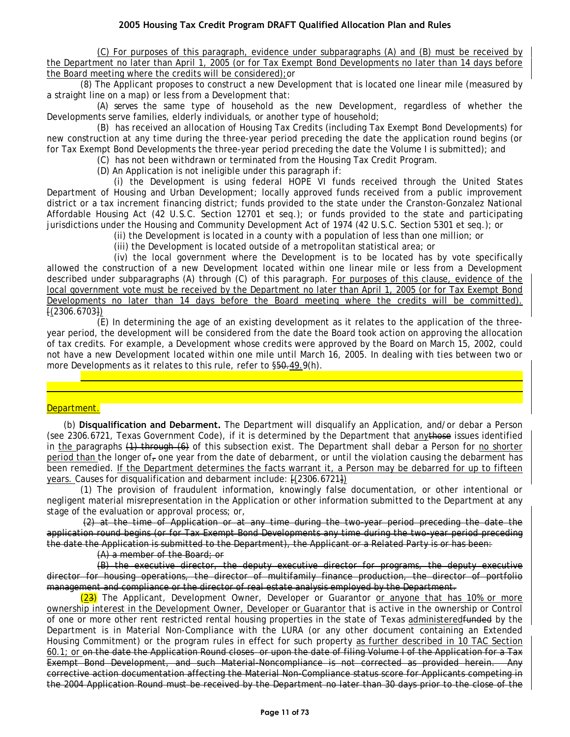(C) For purposes of this paragraph, evidence under subparagraphs (A) and (B) must be received by the Department no later than April 1, 2005 (or for Tax Exempt Bond Developments no later than 14 days before the Board meeting where the credits will be considered);or

(8) The Applicant proposes to construct a new Development that is located one linear mile (measured by a straight line on a map) or less from a Development that:

(A) serves the same type of household as the new Development, regardless of whether the Developments serve families, elderly individuals, or another type of household;

(B) has received an allocation of Housing Tax Credits (including Tax Exempt Bond Developments) for new construction at any time during the three-year period preceding the date the application round begins (or for Tax Exempt Bond Developments the three-year period preceding the date the Volume I is submitted); and

(C) has not been withdrawn or terminated from the Housing Tax Credit Program.

(D) An Application is not ineligible under this paragraph if:

(i) the Development is using federal HOPE VI funds received through the United States Department of Housing and Urban Development; locally approved funds received from a public improvement district or a tax increment financing district; funds provided to the state under the Cranston-Gonzalez National Affordable Housing Act (42 U.S.C. Section 12701 et seq.); or funds provided to the state and participating jurisdictions under the Housing and Community Development Act of 1974 (42 U.S.C. Section 5301 et seq.); or

(ii) the Development is located in a county with a population of less than one million; or

(iii) the Development is located outside of a metropolitan statistical area; or

(iv) the local government where the Development is to be located has by vote specifically allowed the construction of a new Development located within one linear mile or less from a Development described under subparagraphs (A) through (C) of this paragraph. For purposes of this clause, evidence of the local government vote must be received by the Department no later than April 1, 2005 (or for Tax Exempt Bond Developments no later than 14 days before the Board meeting where the credits will be committed). [(2306.6703])

(E) In determining the age of an existing development as it relates to the application of the threeyear period, the development will be considered from the date the Board took action on approving the allocation of tax credits. For example, a Development whose credits were approved by the Board on March 15, 2002, could not have a new Development located within one mile until March 16, 2005. In dealing with ties between two or more Developments as it relates to this rule, refer to  $\S50.49.9(h)$ .

documentation from the Threshold Criteria or Uniform Application documentation; or is so unclear, disjointed or

(9) A submitted Application has an entire Volume of the application missing; has excessive omissions of

#### Department.

(b) **Disqualification and Debarment.** The Department will disqualify an Application, and/or debar a Person (see 2306.6721, Texas Government Code), if it is determined by the Department that anythose issues identified in the paragraphs (1) through (6) of this subsection exist. The Department shall debar a Person for no shorter period than the longer of, one year from the date of debarment, or until the violation causing the debarment has been remedied. If the Department determines the facts warrant it, a Person may be debarred for up to fifteen years. Causes for disqualification and debarment include: [(2306.6721])

(1) The provision of fraudulent information, knowingly false documentation, or other intentional or negligent material misrepresentation in the Application or other information submitted to the Department at any stage of the evaluation or approval process; or,

(2) at the time of Application or at any time during the two-year period preceding the date the application round begins (or for Tax Exempt Bond Developments any time during the two-year period preceding the date the Application is submitted to the Department), the Applicant or a Related Party is or has been:

(A) a member of the Board; or

(B) the executive director, the deputy executive director for programs, the deputy executive director for housing operations, the director of multifamily finance production, the director of portfolio management and compliance or the director of real estate analysis employed by the Department.

(23) The Applicant, Development Owner, Developer or Guarantor or anyone that has 10% or more ownership interest in the Development Owner, Developer or Guarantor that is active in the ownership or Control of one or more other rent restricted rental housing properties in the state of Texas administeredfunded by the Department is in Material Non-Compliance with the LURA (or any other document containing an Extended Housing Commitment) or the program rules in effect for such property as further described in 10 TAC Section 60.1; or on the date the Application Round closes or upon the date of filing Volume I of the Application for a Tax Exempt Bond Development, and such Material-Noncompliance is not corrected as provided herein. Any corrective action documentation affecting the Material Non-Compliance status score for Applicants competing in the 2004 Application Round must be received by the Department no later than 30 days prior to the close of the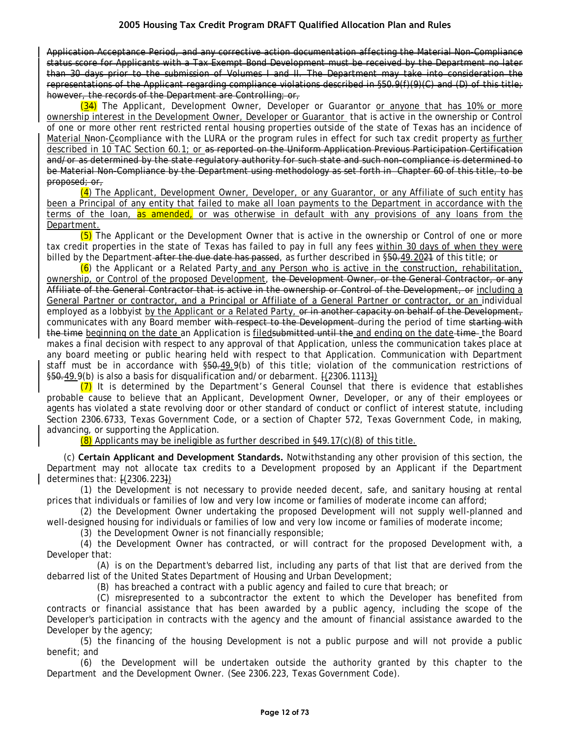Application Acceptance Period, and any corrective action documentation affecting the Material Non-Compliance status score for Applicants with a Tax Exempt Bond Development must be received by the Department no later than 30 days prior to the submission of Volumes I and II. The Department may take into consideration the representations of the Applicant regarding compliance violations described in §50.9(f)(9)(C) and (D) of this title; however, the records of the Department are Controlling; or,

(34) The Applicant, Development Owner, Developer or Guarantor <u>or anyone that has 10% or more</u> ownership interest in the Development Owner, Developer or Guarantor that is active in the ownership or Control of one or more other rent restricted rental housing properties outside of the state of Texas has an incidence of Material Nnon-Ceompliance with the LURA or the program rules in effect for such tax credit property as further described in 10 TAC Section 60.1; or as reported on the Uniform Application Previous Participation Certification and/or as determined by the state regulatory authority for such state and such non-compliance is determined to be Material Non-Compliance by the Department using methodology as set forth in Chapter 60 of this title, to be proposed; or,

 $(4)$  The Applicant, Development Owner, Developer, or any Guarantor, or any Affiliate of such entity has been a Principal of any entity that failed to make all loan payments to the Department in accordance with the terms of the loan, as amended, or was otherwise in default with any provisions of any loans from the Department.

(5) The Applicant or the Development Owner that is active in the ownership or Control of one or more tax credit properties in the state of Texas has failed to pay in full any fees within 30 days of when they were billed by the Department after the due date has passed, as further described in §50.49.2021 of this title; or

 $(6)$  the Applicant or a Related Party and any Person who is active in the construction, rehabilitation, ownership, or Control of the proposed Development, the Development Owner, or the General Contractor, or any Affiliate of the General Contractor that is active in the ownership or Control of the Development, or including a General Partner or contractor, and a Principal or Affiliate of a General Partner or contractor, or an individual employed as a lobbyist by the Applicant or a Related Party, or in another capacity on behalf of the Development, communicates with any Board member with respect to the Development-during the period of time starting with the time beginning on the date an Application is filed submitted until the and ending on the date time the Board makes a final decision with respect to any approval of that Application, unless the communication takes place at any board meeting or public hearing held with respect to that Application. Communication with Department staff must be in accordance with §50.49.9(b) of this title; violation of the communication restrictions of §50.49.9(b) is also a basis for disqualification and/or debarment. [(2306.1113])

 $(7)$  It is determined by the Department's General Counsel that there is evidence that establishes probable cause to believe that an Applicant, Development Owner, Developer, or any of their employees or agents has violated a state revolving door or other standard of conduct or conflict of interest statute, including Section 2306.6733, Texas Government Code, or a section of Chapter 572, Texas Government Code, in making, advancing, or supporting the Application.

 $(8)$  Applicants may be ineligible as further described in §49.17 $(c)(8)$  of this title.

(c) **Certain Applicant and Development Standards.** Notwithstanding any other provision of this section, the Department may not allocate tax credits to a Development proposed by an Applicant if the Department determines that: [(2306.223])

(1) the Development is not necessary to provide needed decent, safe, and sanitary housing at rental prices that individuals or families of low and very low income or families of moderate income can afford;

(2) the Development Owner undertaking the proposed Development will not supply well-planned and well-designed housing for individuals or families of low and very low income or families of moderate income;

(3) the Development Owner is not financially responsible;

(4) the Development Owner has contracted, or will contract for the proposed Development with, a Developer that:

(A) is on the Department's debarred list, including any parts of that list that are derived from the debarred list of the United States Department of Housing and Urban Development;

(B) has breached a contract with a public agency and failed to cure that breach; or

(C) misrepresented to a subcontractor the extent to which the Developer has benefited from contracts or financial assistance that has been awarded by a public agency, including the scope of the Developer's participation in contracts with the agency and the amount of financial assistance awarded to the Developer by the agency;

(5) the financing of the housing Development is not a public purpose and will not provide a public benefit; and

(6) the Development will be undertaken outside the authority granted by this chapter to the Department and the Development Owner. (See 2306.223, Texas Government Code).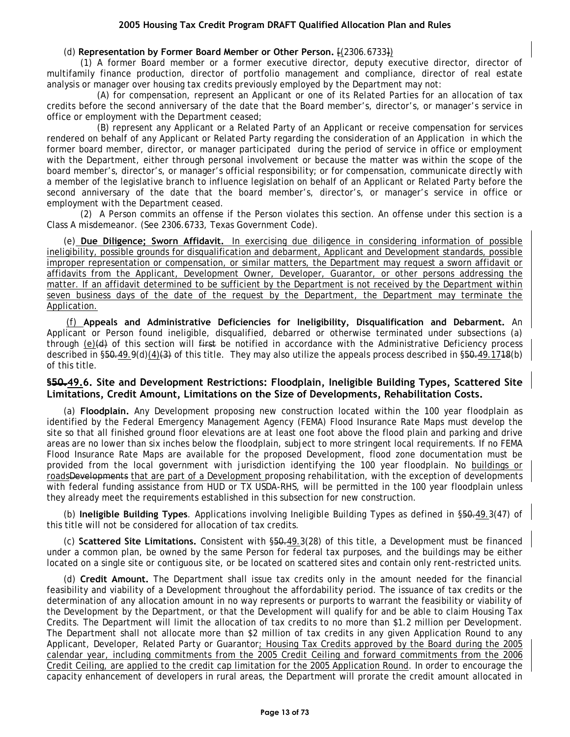#### (d) **Representation by Former Board Member or Other Person.** [(2306.6733])

(1) A former Board member or a former executive director, deputy executive director, director of multifamily finance production, director of portfolio management and compliance, director of real estate analysis or manager over housing tax credits previously employed by the Department may not:

(A) for compensation, represent an Applicant or one of its Related Parties for an allocation of tax credits before the second anniversary of the date that the Board member's, director's, or manager's service in office or employment with the Department ceased;

(B) represent any Applicant or a Related Party of an Applicant or receive compensation for services rendered on behalf of any Applicant or Related Party regarding the consideration of an Application in which the former board member, director, or manager participated during the period of service in office or employment with the Department, either through personal involvement or because the matter was within the scope of the board member's, director's, or manager's official responsibility; or for compensation, communicate directly with a member of the legislative branch to influence legislation on behalf of an Applicant or Related Party before the second anniversary of the date that the board member's, director's, or manager's service in office or employment with the Department ceased.

(2) A Person commits an offense if the Person violates this section. An offense under this section is a Class A misdemeanor. (See 2306.6733, Texas Government Code).

(e) **Due Diligence; Sworn Affidavit.** In exercising due diligence in considering information of possible ineligibility, possible grounds for disqualification and debarment, Applicant and Development standards, possible improper representation or compensation, or similar matters, the Department may request a sworn affidavit or affidavits from the Applicant, Development Owner, Developer, Guarantor, or other persons addressing the matter. If an affidavit determined to be sufficient by the Department is not received by the Department within seven business days of the date of the request by the Department, the Department may terminate the Application.

(f) **Appeals and Administrative Deficiencies for Ineligibility, Disqualification and Debarment.** An Applicant or Person found ineligible, disqualified, debarred or otherwise terminated under subsections (a) through (e)(d) of this section will first be notified in accordance with the Administrative Deficiency process described in §50.49.9(d)(4)(3) of this title. They may also utilize the appeals process described in §50.49.1748(b) of this title.

## **§50.49.6. Site and Development Restrictions: Floodplain, Ineligible Building Types, Scattered Site Limitations, Credit Amount, Limitations on the Size of Developments, Rehabilitation Costs.**

(a) **Floodplain.** Any Development proposing new construction located within the 100 year floodplain as identified by the Federal Emergency Management Agency (FEMA) Flood Insurance Rate Maps must develop the site so that all finished ground floor elevations are at least one foot above the flood plain and parking and drive areas are no lower than six inches below the floodplain, subject to more stringent local requirements. If no FEMA Flood Insurance Rate Maps are available for the proposed Development, flood zone documentation must be provided from the local government with jurisdiction identifying the 100 year floodplain. No buildings or roadsDevelopments that are part of a Development proposing rehabilitation, with the exception of developments with federal funding assistance from HUD or TX USDA-RHS, will be permitted in the 100 year floodplain unless they already meet the requirements established in this subsection for new construction.

(b) **Ineligible Building Types**. Applications involving Ineligible Building Types as defined in §50.49.3(47) of this title will not be considered for allocation of tax credits.

(c) **Scattered Site Limitations.** Consistent with §50.49.3(28) of this title, a Development must be financed under a common plan, be owned by the same Person for federal tax purposes, and the buildings may be either located on a single site or contiguous site, or be located on scattered sites and contain only rent-restricted units.

(d) **Credit Amount.** The Department shall issue tax credits only in the amount needed for the financial feasibility and viability of a Development throughout the affordability period. The issuance of tax credits or the determination of any allocation amount in no way represents or purports to warrant the feasibility or viability of the Development by the Department, or that the Development will qualify for and be able to claim Housing Tax Credits. The Department will limit the allocation of tax credits to no more than \$1.2 million per Development. The Department shall not allocate more than \$2 million of tax credits in any given Application Round to any Applicant, Developer, Related Party or Guarantor; Housing Tax Credits approved by the Board during the 2005 calendar year, including commitments from the 2005 Credit Ceiling and forward commitments from the 2006 Credit Ceiling, are applied to the credit cap limitation for the 2005 Application Round. In order to encourage the capacity enhancement of developers in rural areas, the Department will prorate the credit amount allocated in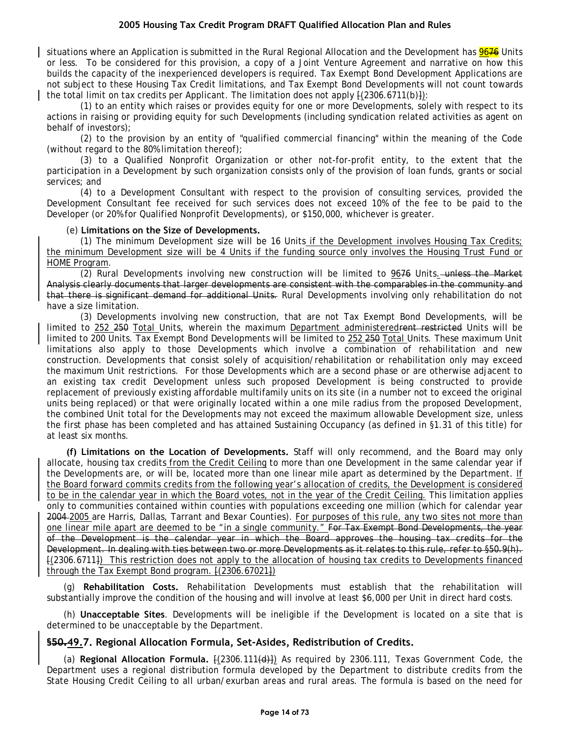situations where an Application is submitted in the Rural Regional Allocation and the Development has 9676 Units or less. To be considered for this provision, a copy of a Joint Venture Agreement and narrative on how this builds the capacity of the inexperienced developers is required. Tax Exempt Bond Development Applications are not subject to these Housing Tax Credit limitations, and Tax Exempt Bond Developments will not count towards the total limit on tax credits per Applicant. The limitation does not apply  $\frac{1}{2306.6711(b)}$ :

(1) to an entity which raises or provides equity for one or more Developments, solely with respect to its actions in raising or providing equity for such Developments (including syndication related activities as agent on behalf of investors);

(2) to the provision by an entity of "qualified commercial financing" within the meaning of the Code (without regard to the 80% limitation thereof);

(3) to a Qualified Nonprofit Organization or other not-for-profit entity, to the extent that the participation in a Development by such organization consists only of the provision of loan funds, grants or social services; and

(4) to a Development Consultant with respect to the provision of consulting services, provided the Development Consultant fee received for such services does not exceed 10% of the fee to be paid to the Developer (or 20% for Qualified Nonprofit Developments), or \$150,000, whichever is greater.

#### (e) **Limitations on the Size of Developments.**

(1) The minimum Development size will be 16 Units if the Development involves Housing Tax Credits; the minimum Development size will be 4 Units if the funding source only involves the Housing Trust Fund or HOME Program.

(2) Rural Developments involving new construction will be limited to 9676 Units. unless the Market Analysis clearly documents that larger developments are consistent with the comparables in the community and that there is significant demand for additional Units. Rural Developments involving only rehabilitation do not have a size limitation.

(3) Developments involving new construction, that are not Tax Exempt Bond Developments, will be limited to 252 250 Total Units, wherein the maximum Department administeredrent restricted Units will be limited to 200 Units. Tax Exempt Bond Developments will be limited to 252 250 Total Units. These maximum Unit limitations also apply to those Developments which involve a combination of rehabilitation and new construction. Developments that consist solely of acquisition/rehabilitation or rehabilitation only may exceed the maximum Unit restrictions. For those Developments which are a second phase or are otherwise adjacent to an existing tax credit Development unless such proposed Development is being constructed to provide replacement of previously existing affordable multifamily units on its site (in a number not to exceed the original units being replaced) or that were originally located within a one mile radius from the proposed Development, the combined Unit total for the Developments may not exceed the maximum allowable Development size, unless the first phase has been completed and has attained Sustaining Occupancy (as defined in §1.31 of this title) for at least six months.

**(f) Limitations on the Location of Developments.** Staff will only recommend, and the Board may only allocate, housing tax credits from the Credit Ceiling to more than one Development in the same calendar year if the Developments are, or will be, located more than one linear mile apart as determined by the Department. If the Board forward commits credits from the following year's allocation of credits, the Development is considered to be in the calendar year in which the Board votes, not in the year of the Credit Ceiling. This limitation applies only to communities contained within counties with populations exceeding one million (which for calendar year 2004-2005 are Harris, Dallas, Tarrant and Bexar Counties). For purposes of this rule, any two sites not more than one linear mile apart are deemed to be "in a single community." For Tax Exempt Bond Developments, the year of the Development is the calendar year in which the Board approves the housing tax credits for the Development. In dealing with ties between two or more Developments as it relates to this rule, refer to §50.9(h). [(2306.6711]) This restriction does not apply to the allocation of housing tax credits to Developments financed through the Tax Exempt Bond program. [(2306.67021])

(g) **Rehabilitation Costs.** Rehabilitation Developments must establish that the rehabilitation will substantially improve the condition of the housing and will involve at least \$6,000 per Unit in direct hard costs.

(h) **Unacceptable Sites**. Developments will be ineligible if the Development is located on a site that is determined to be unacceptable by the Department.

## **§50.49.7. Regional Allocation Formula, Set-Asides, Redistribution of Credits.**

(a) **Regional Allocation Formula.** [(2306.111(d)]) As required by 2306.111, Texas Government Code, the Department uses a regional distribution formula developed by the Department to distribute credits from the State Housing Credit Ceiling to all urban/exurban areas and rural areas. The formula is based on the need for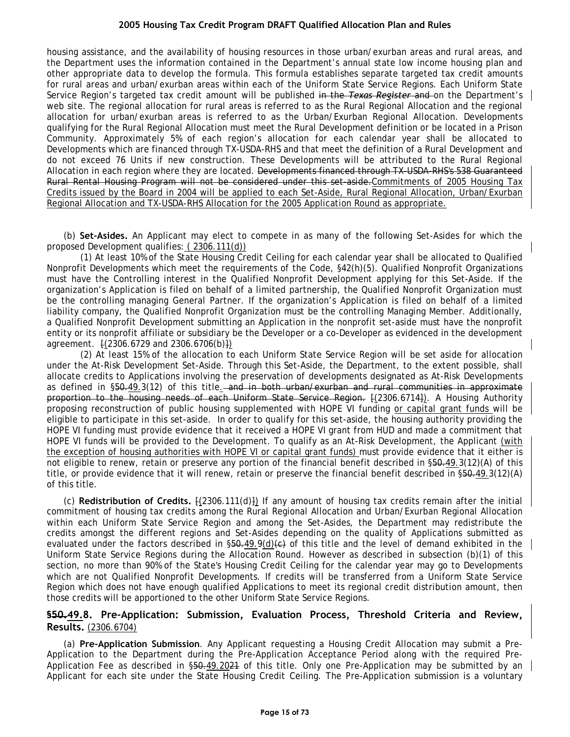housing assistance, and the availability of housing resources in those urban/exurban areas and rural areas, and the Department uses the information contained in the Department's annual state low income housing plan and other appropriate data to develop the formula. This formula establishes separate targeted tax credit amounts for rural areas and urban/exurban areas within each of the Uniform State Service Regions. Each Uniform State Service Region's targeted tax credit amount will be published in the *Texas Register* and on the Department's web site. The regional allocation for rural areas is referred to as the Rural Regional Allocation and the regional allocation for urban/exurban areas is referred to as the Urban/Exurban Regional Allocation. Developments qualifying for the Rural Regional Allocation must meet the Rural Development definition or be located in a Prison Community. Approximately 5% of each region's allocation for each calendar year shall be allocated to Developments which are financed through TX-USDA-RHS and that meet the definition of a Rural Development and do not exceed 76 Units if new construction. These Developments will be attributed to the Rural Regional Allocation in each region where they are located. Developments financed through TX-USDA-RHS's 538 Guaranteed Rural Rental Housing Program will not be considered under this set-aside.Commitments of 2005 Housing Tax Credits issued by the Board in 2004 will be applied to each Set-Aside, Rural Regional Allocation, Urban/Exurban Regional Allocation and TX-USDA-RHS Allocation for the 2005 Application Round as appropriate.

(b) **Set-Asides.** An Applicant may elect to compete in as many of the following Set-Asides for which the proposed Development qualifies: ( 2306.111(d))

(1) At least 10% of the State Housing Credit Ceiling for each calendar year shall be allocated to Qualified Nonprofit Developments which meet the requirements of the Code, §42(h)(5). Qualified Nonprofit Organizations must have the Controlling interest in the Qualified Nonprofit Development applying for this Set-Aside. If the organization's Application is filed on behalf of a limited partnership, the Qualified Nonprofit Organization must be the controlling managing General Partner. If the organization's Application is filed on behalf of a limited liability company, the Qualified Nonprofit Organization must be the controlling Managing Member. Additionally, a Qualified Nonprofit Development submitting an Application in the nonprofit set-aside must have the nonprofit entity or its nonprofit affiliate or subsidiary be the Developer or a co-Developer as evidenced in the development agreement.  $\{(2306.6729 \text{ and } 2306.6706(b)\})$ 

(2) At least 15% of the allocation to each Uniform State Service Region will be set aside for allocation under the At-Risk Development Set-Aside. Through this Set-Aside, the Department, to the extent possible, shall allocate credits to Applications involving the preservation of developments designated as At-Risk Developments as defined in §50.49.3(12) of this title. and in both urban/exurban and rural communities in approximate proportion to the housing needs of each Uniform State Service Region. [(2306.6714]). A Housing Authority proposing reconstruction of public housing supplemented with HOPE VI funding or capital grant funds will be eligible to participate in this set-aside. In order to qualify for this set-aside, the housing authority providing the HOPE VI funding must provide evidence that it received a HOPE VI grant from HUD and made a commitment that HOPE VI funds will be provided to the Development. To qualify as an At-Risk Development, the Applicant (with the exception of housing authorities with HOPE VI or capital grant funds) must provide evidence that it either is not eligible to renew, retain or preserve any portion of the financial benefit described in §50.49.3(12)(A) of this title, or provide evidence that it will renew, retain or preserve the financial benefit described in §50.49.3(12)(A) of this title.

(c) **Redistribution of Credits.** [(2306.111(d)]) If any amount of housing tax credits remain after the initial commitment of housing tax credits among the Rural Regional Allocation and Urban/Exurban Regional Allocation within each Uniform State Service Region and among the Set-Asides, the Department may redistribute the credits amongst the different regions and Set-Asides depending on the quality of Applications submitted as evaluated under the factors described in  $$50.49.9(d)(e)$  of this title and the level of demand exhibited in the Uniform State Service Regions during the Allocation Round. However as described in subsection (b)(1) of this section, no more than 90% of the State's Housing Credit Ceiling for the calendar year may go to Developments which are not Qualified Nonprofit Developments. If credits will be transferred from a Uniform State Service Region which does not have enough qualified Applications to meet its regional credit distribution amount, then those credits will be apportioned to the other Uniform State Service Regions.

## **§50.49.8. Pre-Application: Submission, Evaluation Process, Threshold Criteria and Review, Results.** (2306.6704)

(a) **Pre-Application Submission**. Any Applicant requesting a Housing Credit Allocation may submit a Pre-Application to the Department during the Pre-Application Acceptance Period along with the required Pre-Application Fee as described in \$50.49.2021 of this title. Only one Pre-Application may be submitted by an Applicant for each site under the State Housing Credit Ceiling. The Pre-Application submission is a voluntary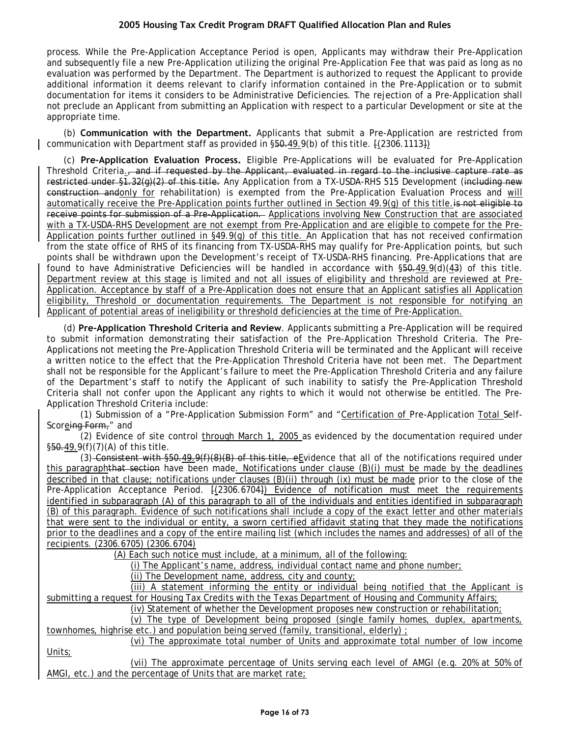process. While the Pre-Application Acceptance Period is open, Applicants may withdraw their Pre-Application and subsequently file a new Pre-Application utilizing the original Pre-Application Fee that was paid as long as no evaluation was performed by the Department. The Department is authorized to request the Applicant to provide additional information it deems relevant to clarify information contained in the Pre-Application or to submit documentation for items it considers to be Administrative Deficiencies. The rejection of a Pre-Application shall not preclude an Applicant from submitting an Application with respect to a particular Development or site at the appropriate time.

(b) **Communication with the Department.** Applicants that submit a Pre-Application are restricted from communication with Department staff as provided in §50.49.9(b) of this title. [(2306.1113])

(c) **Pre-Application Evaluation Process.** Eligible Pre-Applications will be evaluated for Pre-Application Threshold Criteria., and if requested by the Applicant, evaluated in regard to the inclusive capture rate as restricted under §1.32(g)(2) of this title. Any Application from a TX-USDA-RHS 515 Development (including new construction andonly for rehabilitation) is exempted from the Pre-Application Evaluation Process and will automatically receive the Pre-Application points further outlined in Section 49.9(g) of this title. is not eligible to receive points for submission of a Pre-Application. Applications involving New Construction that are associated with a TX-USDA-RHS Development are not exempt from Pre-Application and are eligible to compete for the Pre-Application points further outlined in §49.9(g) of this title. An Application that has not received confirmation from the state office of RHS of its financing from TX-USDA-RHS may qualify for Pre-Application points, but such points shall be withdrawn upon the Development's receipt of TX-USDA-RHS financing. Pre-Applications that are found to have Administrative Deficiencies will be handled in accordance with §50.49.9(d)(43) of this title. Department review at this stage is limited and not all issues of eligibility and threshold are reviewed at Pre-Application. Acceptance by staff of a Pre-Application does not ensure that an Applicant satisfies all Application eligibility, Threshold or documentation requirements. The Department is not responsible for notifying an Applicant of potential areas of ineligibility or threshold deficiencies at the time of Pre-Application.

(d) **Pre-Application Threshold Criteria and Review**. Applicants submitting a Pre-Application will be required to submit information demonstrating their satisfaction of the Pre-Application Threshold Criteria. The Pre-Applications not meeting the Pre-Application Threshold Criteria will be terminated and the Applicant will receive a written notice to the effect that the Pre-Application Threshold Criteria have not been met. The Department shall not be responsible for the Applicant's failure to meet the Pre-Application Threshold Criteria and any failure of the Department's staff to notify the Applicant of such inability to satisfy the Pre-Application Threshold Criteria shall not confer upon the Applicant any rights to which it would not otherwise be entitled. The Pre-Application Threshold Criteria include:

(1) Submission of a "Pre-Application Submission Form" and "Certification of Pre-Application Total Self-Scoreing Form," and

(2) Evidence of site control through March 1, 2005 as evidenced by the documentation required under §50.49.9(f)(7)(A) of this title.

(3) Consistent with §50.49.9(f)(8)(B) of this title, eEvidence that all of the notifications required under this paragraphthat section have been made. Notifications under clause (B)(i) must be made by the deadlines described in that clause; notifications under clauses (B)(ii) through (ix) must be made prior to the close of the Pre-Application Acceptance Period. [(2306.6704]) Evidence of notification must meet the requirements identified in subparagraph (A) of this paragraph to all of the individuals and entities identified in subparagraph (B) of this paragraph. Evidence of such notifications shall include a copy of the exact letter and other materials that were sent to the individual or entity, a sworn certified affidavit stating that they made the notifications prior to the deadlines and a copy of the entire mailing list (which includes the names and addresses) of all of the recipients. (2306.6705) (2306.6704)

(A) Each such notice must include, at a minimum, all of the following:

(i) The Applicant's name, address, individual contact name and phone number;

(ii) The Development name, address, city and county;

(iii) A statement informing the entity or individual being notified that the Applicant is submitting a request for Housing Tax Credits with the Texas Department of Housing and Community Affairs;

(iv) Statement of whether the Development proposes new construction or rehabilitation;

(v) The type of Development being proposed (single family homes, duplex, apartments, townhomes, highrise etc.) and population being served (family, transitional, elderly) ;

(vi) The approximate total number of Units and approximate total number of low income Units;

(vii) The approximate percentage of Units serving each level of AMGI (e.g. 20% at 50% of AMGI, etc.) and the percentage of Units that are market rate;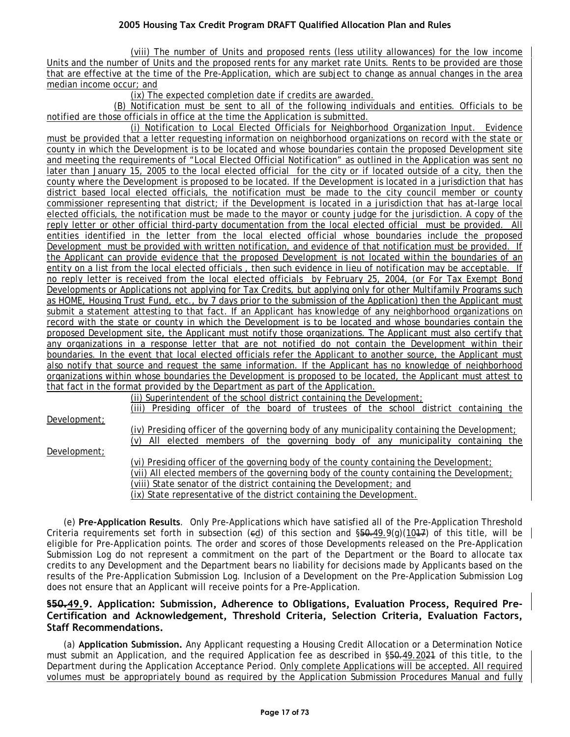(viii) The number of Units and proposed rents (less utility allowances) for the low income Units and the number of Units and the proposed rents for any market rate Units. Rents to be provided are those that are effective at the time of the Pre-Application, which are subject to change as annual changes in the area median income occur; and

(ix) The expected completion date if credits are awarded.

(B) Notification must be sent to all of the following individuals and entities. Officials to be notified are those officials in office at the time the Application is submitted.

(i) Notification to Local Elected Officials for Neighborhood Organization Input. Evidence must be provided that a letter requesting information on neighborhood organizations on record with the state or county in which the Development is to be located and whose boundaries contain the proposed Development site and meeting the requirements of "Local Elected Official Notification" as outlined in the Application was sent no later than January 15, 2005 to the local elected official for the city or if located outside of a city, then the county where the Development is proposed to be located. If the Development is located in a jurisdiction that has district based local elected officials, the notification must be made to the city council member or county commissioner representing that district; if the Development is located in a jurisdiction that has at-large local elected officials, the notification must be made to the mayor or county judge for the jurisdiction. A copy of the reply letter or other official third-party documentation from the local elected official must be provided. All entities identified in the letter from the local elected official whose boundaries include the proposed Development must be provided with written notification, and evidence of that notification must be provided. If the Applicant can provide evidence that the proposed Development is not located within the boundaries of an entity on a list from the local elected officials , then such evidence in lieu of notification may be acceptable. If no reply letter is received from the local elected officials by February 25, 2004, (or For Tax Exempt Bond Developments or Applications not applying for Tax Credits, but applying only for other Multifamily Programs such as HOME, Housing Trust Fund, etc., by 7 days prior to the submission of the Application) then the Applicant must submit a statement attesting to that fact. If an Applicant has knowledge of any neighborhood organizations on record with the state or county in which the Development is to be located and whose boundaries contain the proposed Development site, the Applicant must notify those organizations. The Applicant must also certify that any organizations in a response letter that are not notified do not contain the Development within their boundaries. In the event that local elected officials refer the Applicant to another source, the Applicant must also notify that source and request the same information. If the Applicant has no knowledge of neighborhood organizations within whose boundaries the Development is proposed to be located, the Applicant must attest to that fact in the format provided by the Department as part of the Application.

(ii) Superintendent of the school district containing the Development;

Development;

Development;

(iv) Presiding officer of the governing body of any municipality containing the Development; (v) All elected members of the governing body of any municipality containing the

(iii) Presiding officer of the board of trustees of the school district containing the

(vi) Presiding officer of the governing body of the county containing the Development; (vii) All elected members of the governing body of the county containing the Development; (viii) State senator of the district containing the Development; and (ix) State representative of the district containing the Development.

(e) **Pre-Application Results**. Only Pre-Applications which have satisfied all of the Pre-Application Threshold Criteria requirements set forth in subsection (ed) of this section and  $\S50.49.9(q)(1017)$  of this title, will be eligible for Pre-Application points. The order and scores of those Developments released on the Pre-Application Submission Log do not represent a commitment on the part of the Department or the Board to allocate tax credits to any Development and the Department bears no liability for decisions made by Applicants based on the results of the Pre-Application Submission Log. Inclusion of a Development on the Pre-Application Submission Log does not ensure that an Applicant will receive points for a Pre-Application.

## **§50.49.9. Application: Submission, Adherence to Obligations, Evaluation Process, Required Pre-Certification and Acknowledgement, Threshold Criteria, Selection Criteria, Evaluation Factors, Staff Recommendations.**

(a) **Application Submission.** Any Applicant requesting a Housing Credit Allocation or a Determination Notice must submit an Application, and the required Application fee as described in §50.49.2021 of this title, to the Department during the Application Acceptance Period. Only complete Applications will be accepted. All required volumes must be appropriately bound as required by the Application Submission Procedures Manual and fully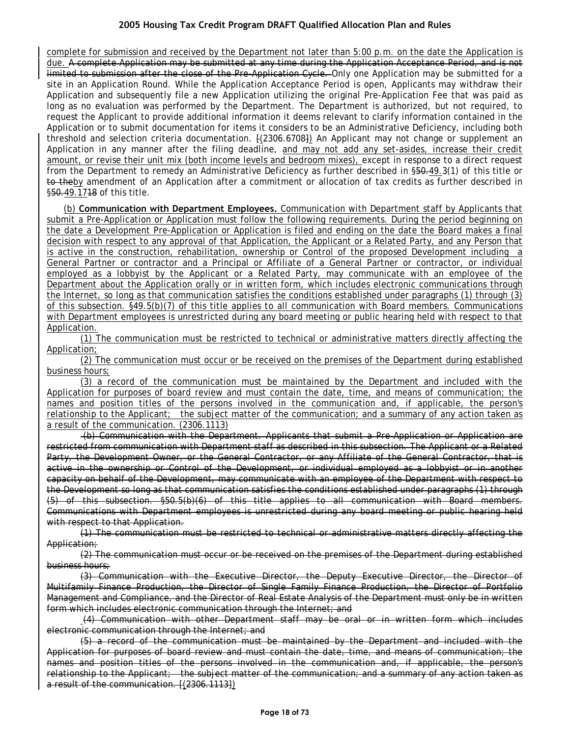complete for submission and received by the Department not later than 5:00 p.m. on the date the Application is due. A complete Application may be submitted at any time during the Application Acceptance Period, and is not limited to submission after the close of the Pre-Application Cycle. Only one Application may be submitted for a site in an Application Round. While the Application Acceptance Period is open, Applicants may withdraw their Application and subsequently file a new Application utilizing the original Pre-Application Fee that was paid as long as no evaluation was performed by the Department. The Department is authorized, but not required, to request the Applicant to provide additional information it deems relevant to clarify information contained in the Application or to submit documentation for items it considers to be an Administrative Deficiency, including both threshold and selection criteria documentation.  $[(2306.6708)]$  An Applicant may not change or supplement an Application in any manner after the filing deadline, and may not add any set-asides, increase their credit amount, or revise their unit mix (both income levels and bedroom mixes), except in response to a direct request from the Department to remedy an Administrative Deficiency as further described in §50.49.3(1) of this title or to theby amendment of an Application after a commitment or allocation of tax credits as further described in §50.49.1718 of this title.

(b) **Communication with Department Employees.** Communication with Department staff by Applicants that submit a Pre-Application or Application must follow the following requirements. During the period beginning on the date a Development Pre-Application or Application is filed and ending on the date the Board makes a final decision with respect to any approval of that Application, the Applicant or a Related Party, and any Person that is active in the construction, rehabilitation, ownership or Control of the proposed Development including a General Partner or contractor and a Principal or Affiliate of a General Partner or contractor, or individual employed as a lobbyist by the Applicant or a Related Party, may communicate with an employee of the Department about the Application orally or in written form, which includes electronic communications through the Internet, so long as that communication satisfies the conditions established under paragraphs (1) through (3) of this subsection. §49.5(b)(7) of this title applies to all communication with Board members. Communications with Department employees is unrestricted during any board meeting or public hearing held with respect to that Application.

(1) The communication must be restricted to technical or administrative matters directly affecting the Application;

(2) The communication must occur or be received on the premises of the Department during established business hours;

(3) a record of the communication must be maintained by the Department and included with the Application for purposes of board review and must contain the date, time, and means of communication; the names and position titles of the persons involved in the communication and, if applicable, the person's relationship to the Applicant; the subject matter of the communication; and a summary of any action taken as a result of the communication. (2306.1113)

(b) Communication with the Department. Applicants that submit a Pre-Application or Application are restricted from communication with Department staff as described in this subsection. The Applicant or a Related Party, the Development Owner, or the General Contractor, or any Affiliate of the General Contractor, that is active in the ownership or Control of the Development, or individual employed as a lobbyist or in another capacity on behalf of the Development, may communicate with an employee of the Department with respect to the Development so long as that communication satisfies the conditions established under paragraphs (1) through (5) of this subsection. §50.5(b)(6) of this title applies to all communication with Board members. Communications with Department employees is unrestricted during any board meeting or public hearing held with respect to that Application.

(1) The communication must be restricted to technical or administrative matters directly affecting the Application;

(2) The communication must occur or be received on the premises of the Department during established business hours;

(3) Communication with the Executive Director, the Deputy Executive Director, the Director of Multifamily Finance Production, the Director of Single Family Finance Production, the Director of Portfolio Management and Compliance, and the Director of Real Estate Analysis of the Department must only be in written form which includes electronic communication through the Internet; and

(4) Communication with other Department staff may be oral or in written form which includes electronic communication through the Internet; and

(5) a record of the communication must be maintained by the Department and included with the Application for purposes of board review and must contain the date, time, and means of communication; the names and position titles of the persons involved in the communication and, if applicable, the person's relationship to the Applicant; the subject matter of the communication; and a summary of any action taken as a result of the communication. [(2306.1113])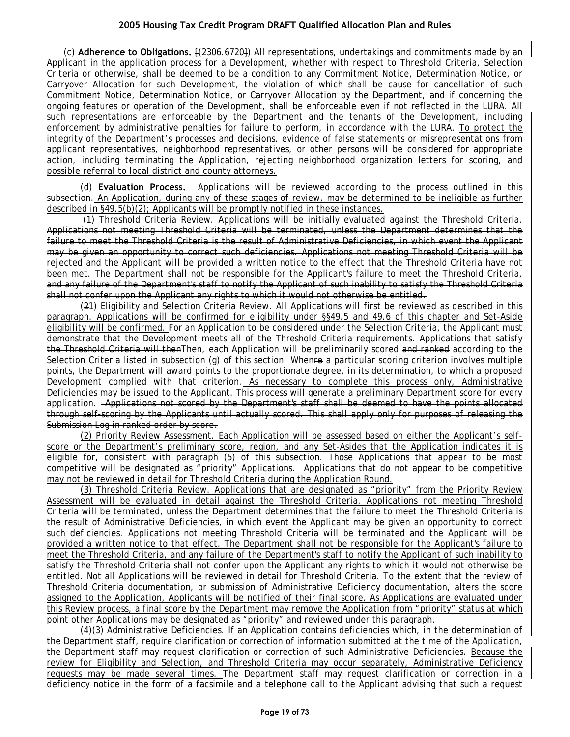(c) **Adherence to Obligations.** [(2306.6720]) All representations, undertakings and commitments made by an Applicant in the application process for a Development, whether with respect to Threshold Criteria, Selection Criteria or otherwise, shall be deemed to be a condition to any Commitment Notice, Determination Notice, or Carryover Allocation for such Development, the violation of which shall be cause for cancellation of such Commitment Notice, Determination Notice, or Carryover Allocation by the Department, and if concerning the ongoing features or operation of the Development, shall be enforceable even if not reflected in the LURA. All such representations are enforceable by the Department and the tenants of the Development, including enforcement by administrative penalties for failure to perform, in accordance with the LURA. To protect the integrity of the Department's processes and decisions, evidence of false statements or misrepresentations from applicant representatives, neighborhood representatives, or other persons will be considered for appropriate action, including terminating the Application, rejecting neighborhood organization letters for scoring, and possible referral to local district and county attorneys.

(d) **Evaluation Process.** Applications will be reviewed according to the process outlined in this subsection. An Application, during any of these stages of review, may be determined to be ineligible as further described in §49.5(b)(2); Applicants will be promptly notified in these instances.

(1) Threshold Criteria Review. Applications will be initially evaluated against the Threshold Criteria. Applications not meeting Threshold Criteria will be terminated, unless the Department determines that the failure to meet the Threshold Criteria is the result of Administrative Deficiencies, in which event the Applicant may be given an opportunity to correct such deficiencies. Applications not meeting Threshold Criteria will be rejected and the Applicant will be provided a written notice to the effect that the Threshold Criteria have not been met. The Department shall not be responsible for the Applicant's failure to meet the Threshold Criteria, and any failure of the Department's staff to notify the Applicant of such inability to satisfy the Threshold Criteria shall not confer upon the Applicant any rights to which it would not otherwise be entitled.

(21) Eligibility and Selection Criteria Review. All Applications will first be reviewed as described in this paragraph. Applications will be confirmed for eligibility under §§49.5 and 49.6 of this chapter and Set-Aside eligibility will be confirmed. For an Application to be considered under the Selection Criteria, the Applicant must demonstrate that the Development meets all of the Threshold Criteria requirements. Applications that satisfy the Threshold Criteria will thenThen, each Application will be preliminarily scored and ranked according to the Selection Criteria listed in subsection (g) of this section. Whenre a particular scoring criterion involves multiple points, the Department will award points to the proportionate degree, in its determination, to which a proposed Development complied with that criterion. As necessary to complete this process only, Administrative Deficiencies may be issued to the Applicant. This process will generate a preliminary Department score for every application. Applications not scored by the Department's staff shall be deemed to have the points allocated through self-scoring by the Applicants until actually scored. This shall apply only for purposes of releasing the Submission Log in ranked order by score.

(2) Priority Review Assessment. Each Application will be assessed based on either the Applicant's selfscore or the Department's preliminary score, region, and any Set-Asides that the Application indicates it is eligible for, consistent with paragraph (5) of this subsection. Those Applications that appear to be most competitive will be designated as "priority" Applications. Applications that do not appear to be competitive may not be reviewed in detail for Threshold Criteria during the Application Round.

(3) Threshold Criteria Review. Applications that are designated as "priority" from the Priority Review Assessment will be evaluated in detail against the Threshold Criteria. Applications not meeting Threshold Criteria will be terminated, unless the Department determines that the failure to meet the Threshold Criteria is the result of Administrative Deficiencies, in which event the Applicant may be given an opportunity to correct such deficiencies. Applications not meeting Threshold Criteria will be terminated and the Applicant will be provided a written notice to that effect. The Department shall not be responsible for the Applicant's failure to meet the Threshold Criteria, and any failure of the Department's staff to notify the Applicant of such inability to satisfy the Threshold Criteria shall not confer upon the Applicant any rights to which it would not otherwise be entitled. Not all Applications will be reviewed in detail for Threshold Criteria. To the extent that the review of Threshold Criteria documentation, or submission of Administrative Deficiency documentation, alters the score assigned to the Application, Applicants will be notified of their final score. As Applications are evaluated under this Review process, a final score by the Department may remove the Application from "priority" status at which point other Applications may be designated as "priority" and reviewed under this paragraph.

(4)(3) Administrative Deficiencies. If an Application contains deficiencies which, in the determination of the Department staff, require clarification or correction of information submitted at the time of the Application, the Department staff may request clarification or correction of such Administrative Deficiencies. Because the review for Eligibility and Selection, and Threshold Criteria may occur separately, Administrative Deficiency requests may be made several times. The Department staff may request clarification or correction in a deficiency notice in the form of a facsimile and a telephone call to the Applicant advising that such a request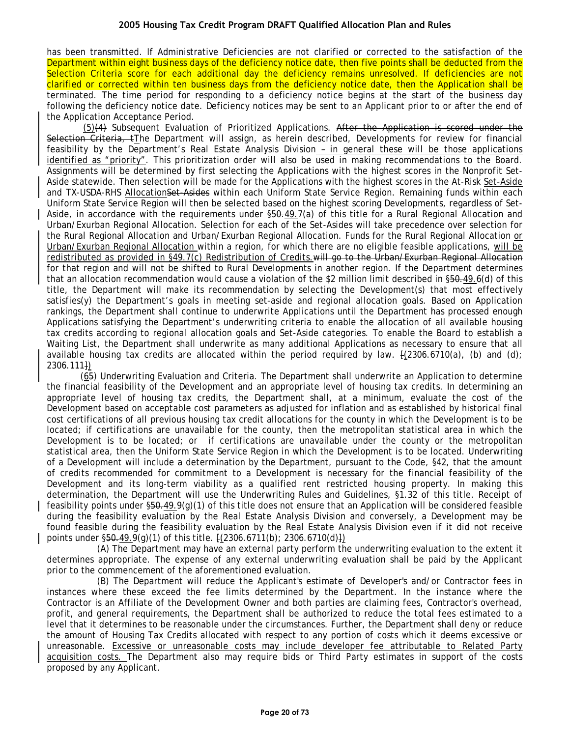has been transmitted. If Administrative Deficiencies are not clarified or corrected to the satisfaction of the Department within eight business days of the deficiency notice date, then five points shall be deducted from the Selection Criteria score for each additional day the deficiency remains unresolved. If deficiencies are not clarified or corrected within ten business days from the deficiency notice date, then the Application shall be terminated. The time period for responding to a deficiency notice begins at the start of the business day following the deficiency notice date. Deficiency notices may be sent to an Applicant prior to or after the end of the Application Acceptance Period.

(5)(4) Subsequent Evaluation of Prioritized Applications. After the Application is scored under the Selection Criteria, tThe Department will assign, as herein described, Developments for review for financial feasibility by the Department's Real Estate Analysis Division – in general these will be those applications identified as "priority". This prioritization order will also be used in making recommendations to the Board. Assignments will be determined by first selecting the Applications with the highest scores in the Nonprofit Set-Aside statewide. Then selection will be made for the Applications with the highest scores in the At-Risk Set-Aside and TX-USDA-RHS AllocationSet-Asides within each Uniform State Service Region. Remaining funds within each Uniform State Service Region will then be selected based on the highest scoring Developments, regardless of Set-Aside, in accordance with the requirements under §50.49.7(a) of this title for a Rural Regional Allocation and Urban/Exurban Regional Allocation. Selection for each of the Set-Asides will take precedence over selection for the Rural Regional Allocation and Urban/Exurban Regional Allocation. Funds for the Rural Regional Allocation or Urban/Exurban Regional Allocation within a region, for which there are no eligible feasible applications, will be redistributed as provided in §49.7(c) Redistribution of Credits.will go to the Urban/Exurban Regional Allocation for that region and will not be shifted to Rural Developments in another region. If the Department determines that an allocation recommendation would cause a violation of the \$2 million limit described in §50.49.6(d) of this title, the Department will make its recommendation by selecting the Development(s) that most effectively satisfies(y) the Department's goals in meeting set-aside and regional allocation goals. Based on Application rankings, the Department shall continue to underwrite Applications until the Department has processed enough Applications satisfying the Department's underwriting criteria to enable the allocation of all available housing tax credits according to regional allocation goals and Set-Aside categories. To enable the Board to establish a Waiting List, the Department shall underwrite as many additional Applications as necessary to ensure that all available housing tax credits are allocated within the period required by law.  $\frac{1}{2306.6710(a)}$ , (b) and (d); 2306.111])

(65) Underwriting Evaluation and Criteria. The Department shall underwrite an Application to determine the financial feasibility of the Development and an appropriate level of housing tax credits. In determining an appropriate level of housing tax credits, the Department shall, at a minimum, evaluate the cost of the Development based on acceptable cost parameters as adjusted for inflation and as established by historical final cost certifications of all previous housing tax credit allocations for the county in which the Development is to be located; if certifications are unavailable for the county, then the metropolitan statistical area in which the Development is to be located; or if certifications are unavailable under the county or the metropolitan statistical area, then the Uniform State Service Region in which the Development is to be located. Underwriting of a Development will include a determination by the Department, pursuant to the Code, §42, that the amount of credits recommended for commitment to a Development is necessary for the financial feasibility of the Development and its long-term viability as a qualified rent restricted housing property. In making this determination, the Department will use the Underwriting Rules and Guidelines, §1.32 of this title. Receipt of feasibility points under  $\S50-49.9(q)(1)$  of this title does not ensure that an Application will be considered feasible during the feasibility evaluation by the Real Estate Analysis Division and conversely, a Development may be found feasible during the feasibility evaluation by the Real Estate Analysis Division even if it did not receive points under  $\S50.49.9(q)(1)$  of this title.  $[(2306.6711(b); 2306.6710(d)])$ 

(A) The Department may have an external party perform the underwriting evaluation to the extent it determines appropriate. The expense of any external underwriting evaluation shall be paid by the Applicant prior to the commencement of the aforementioned evaluation.

(B) The Department will reduce the Applicant's estimate of Developer's and/or Contractor fees in instances where these exceed the fee limits determined by the Department. In the instance where the Contractor is an Affiliate of the Development Owner and both parties are claiming fees, Contractor's overhead, profit, and general requirements, the Department shall be authorized to reduce the total fees estimated to a level that it determines to be reasonable under the circumstances. Further, the Department shall deny or reduce the amount of Housing Tax Credits allocated with respect to any portion of costs which it deems excessive or unreasonable. Excessive or unreasonable costs may include developer fee attributable to Related Party acquisition costs. The Department also may require bids or Third Party estimates in support of the costs proposed by any Applicant.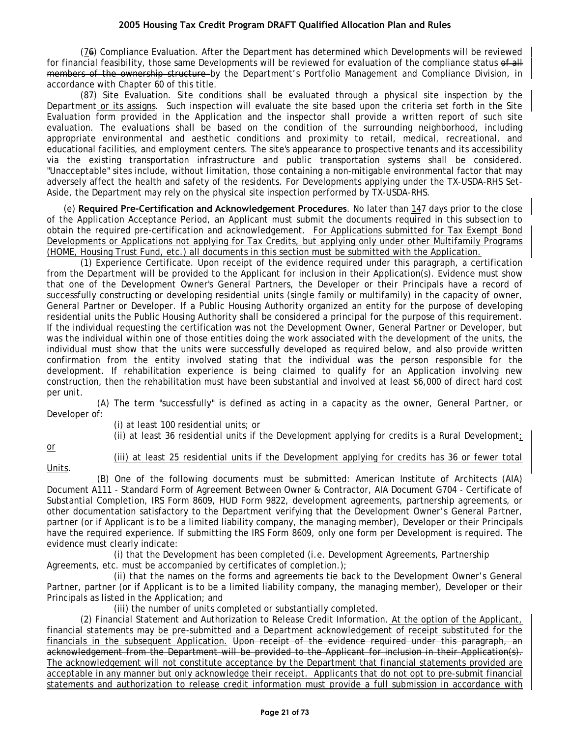(76) Compliance Evaluation. After the Department has determined which Developments will be reviewed for financial feasibility, those same Developments will be reviewed for evaluation of the compliance status of all members of the ownership structure by the Department's Portfolio Management and Compliance Division, in accordance with Chapter 60 of this title.

(87) Site Evaluation. Site conditions shall be evaluated through a physical site inspection by the Department or its assigns. Such inspection will evaluate the site based upon the criteria set forth in the Site Evaluation form provided in the Application and the inspector shall provide a written report of such site evaluation. The evaluations shall be based on the condition of the surrounding neighborhood, including appropriate environmental and aesthetic conditions and proximity to retail, medical, recreational, and educational facilities, and employment centers. The site's appearance to prospective tenants and its accessibility via the existing transportation infrastructure and public transportation systems shall be considered. "Unacceptable" sites include, without limitation, those containing a non-mitigable environmental factor that may adversely affect the health and safety of the residents. For Developments applying under the TX-USDA-RHS Set-Aside, the Department may rely on the physical site inspection performed by TX-USDA-RHS.

(e) **Required Pre-Certification and Acknowledgement Procedures**. No later than 147 days prior to the close of the Application Acceptance Period, an Applicant must submit the documents required in this subsection to obtain the required pre-certification and acknowledgement. For Applications submitted for Tax Exempt Bond Developments or Applications not applying for Tax Credits, but applying only under other Multifamily Programs (HOME, Housing Trust Fund, etc.) all documents in this section must be submitted with the Application.

(1) Experience Certificate. Upon receipt of the evidence required under this paragraph, a certification from the Department will be provided to the Applicant for inclusion in their Application(s). Evidence must show that one of the Development Owner's General Partners, the Developer or their Principals have a record of successfully constructing or developing residential units (single family or multifamily) in the capacity of owner, General Partner or Developer. If a Public Housing Authority organized an entity for the purpose of developing residential units the Public Housing Authority shall be considered a principal for the purpose of this requirement. If the individual requesting the certification was not the Development Owner, General Partner or Developer, but was the individual within one of those entities doing the work associated with the development of the units, the individual must show that the units were successfully developed as required below, and also provide written confirmation from the entity involved stating that the individual was the person responsible for the development. If rehabilitation experience is being claimed to qualify for an Application involving new construction, then the rehabilitation must have been substantial and involved at least \$6,000 of direct hard cost per unit.

(A) The term "successfully" is defined as acting in a capacity as the owner, General Partner, or Developer of:

(i) at least 100 residential units; or

(ii) at least 36 residential units if the Development applying for credits is a Rural Development;

or

Units.

(iii) at least 25 residential units if the Development applying for credits has 36 or fewer total

(B) One of the following documents must be submitted: American Institute of Architects (AIA) Document A111 - Standard Form of Agreement Between Owner & Contractor, AIA Document G704 - Certificate of Substantial Completion, IRS Form 8609, HUD Form 9822, development agreements, partnership agreements, or other documentation satisfactory to the Department verifying that the Development Owner's General Partner, partner (or if Applicant is to be a limited liability company, the managing member), Developer or their Principals have the required experience. If submitting the IRS Form 8609, only one form per Development is required. The evidence must clearly indicate:

(i) that the Development has been completed (i.e. Development Agreements, Partnership Agreements, etc. must be accompanied by certificates of completion.);

(ii) that the names on the forms and agreements tie back to the Development Owner's General Partner, partner (or if Applicant is to be a limited liability company, the managing member), Developer or their Principals as listed in the Application; and

(iii) the number of units completed or substantially completed.

(2) Financial Statement and Authorization to Release Credit Information. At the option of the Applicant, financial statements may be pre-submitted and a Department acknowledgement of receipt substituted for the financials in the subsequent Application. Upon receipt of the evidence required under this paragraph, an acknowledgement from the Department will be provided to the Applicant for inclusion in their Application(s). The acknowledgement will not constitute acceptance by the Department that financial statements provided are acceptable in any manner but only acknowledge their receipt. Applicants that do not opt to pre-submit financial statements and authorization to release credit information must provide a full submission in accordance with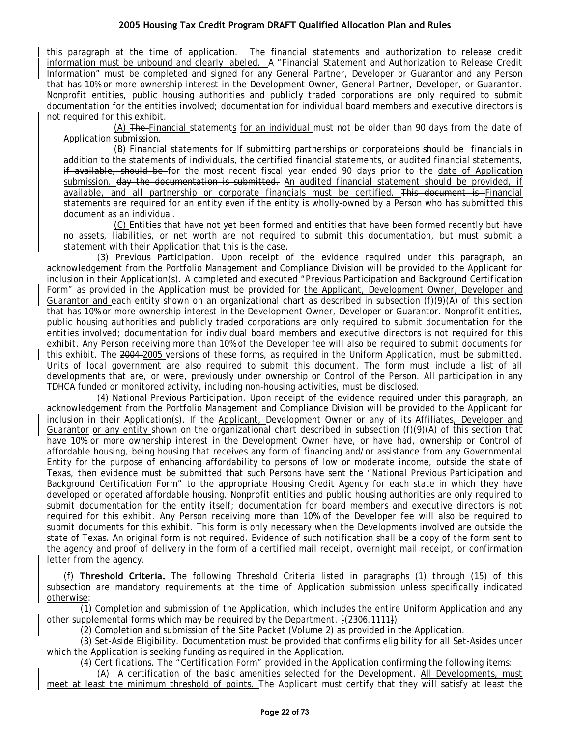this paragraph at the time of application. The financial statements and authorization to release credit information must be unbound and clearly labeled. A "Financial Statement and Authorization to Release Credit Information" must be completed and signed for any General Partner, Developer or Guarantor and any Person that has 10% or more ownership interest in the Development Owner, General Partner, Developer, or Guarantor. Nonprofit entities, public housing authorities and publicly traded corporations are only required to submit documentation for the entities involved; documentation for individual board members and executive directors is not required for this exhibit.

(A) The Financial statements for an individual must not be older than 90 days from the date of Application submission.

(B) Financial statements for If submitting partnerships or corporateions should be financials in addition to the statements of individuals, the certified financial statements, or audited financial statements, if available, should be for the most recent fiscal year ended 90 days prior to the date of Application submission. day the documentation is submitted. An audited financial statement should be provided, if available, and all partnership or corporate financials must be certified. This document is Financial statements are required for an entity even if the entity is wholly-owned by a Person who has submitted this document as an individual.

(C) Entities that have not yet been formed and entities that have been formed recently but have no assets, liabilities, or net worth are not required to submit this documentation, but must submit a statement with their Application that this is the case.

(3) Previous Participation. Upon receipt of the evidence required under this paragraph, an acknowledgement from the Portfolio Management and Compliance Division will be provided to the Applicant for inclusion in their Application(s). A completed and executed "Previous Participation and Background Certification Form" as provided in the Application must be provided for the Applicant, Development Owner, Developer and Guarantor and each entity shown on an organizational chart as described in subsection (f)(9)(A) of this section that has 10% or more ownership interest in the Development Owner, Developer or Guarantor. Nonprofit entities, public housing authorities and publicly traded corporations are only required to submit documentation for the entities involved; documentation for individual board members and executive directors is not required for this exhibit. Any Person receiving more than 10% of the Developer fee will also be required to submit documents for this exhibit. The 2004 2005 versions of these forms, as required in the Uniform Application, must be submitted. Units of local government are also required to submit this document. The form must include a list of all developments that are, or were, previously under ownership or Control of the Person. All participation in any TDHCA funded or monitored activity, including non-housing activities, must be disclosed.

(4) National Previous Participation. Upon receipt of the evidence required under this paragraph, an acknowledgement from the Portfolio Management and Compliance Division will be provided to the Applicant for inclusion in their Application(s). If the Applicant, Development Owner or any of its Affiliates, Developer and Guarantor or any entity shown on the organizational chart described in subsection (f)(9)(A) of this section that have 10% or more ownership interest in the Development Owner have, or have had, ownership or Control of affordable housing, being housing that receives any form of financing and/or assistance from any Governmental Entity for the purpose of enhancing affordability to persons of low or moderate income, outside the state of Texas, then evidence must be submitted that such Persons have sent the "National Previous Participation and Background Certification Form" to the appropriate Housing Credit Agency for each state in which they have developed or operated affordable housing. Nonprofit entities and public housing authorities are only required to submit documentation for the entity itself; documentation for board members and executive directors is not required for this exhibit. Any Person receiving more than 10% of the Developer fee will also be required to submit documents for this exhibit. This form is only necessary when the Developments involved are outside the state of Texas. An original form is not required. Evidence of such notification shall be a copy of the form sent to the agency and proof of delivery in the form of a certified mail receipt, overnight mail receipt, or confirmation letter from the agency.

(f) **Threshold Criteria.** The following Threshold Criteria listed in paragraphs (1) through (15) of this subsection are mandatory requirements at the time of Application submission unless specifically indicated otherwise:

(1) Completion and submission of the Application, which includes the entire Uniform Application and any other supplemental forms which may be required by the Department. [(2306.1111])

(2) Completion and submission of the Site Packet (Volume 2) as provided in the Application.

(3) Set-Aside Eligibility. Documentation must be provided that confirms eligibility for all Set-Asides under which the Application is seeking funding as required in the Application.

(4) Certifications. The "Certification Form" provided in the Application confirming the following items:

(A) A certification of the basic amenities selected for the Development. All Developments, must meet at least the minimum threshold of points. The Applicant must certify that they will satisfy at least the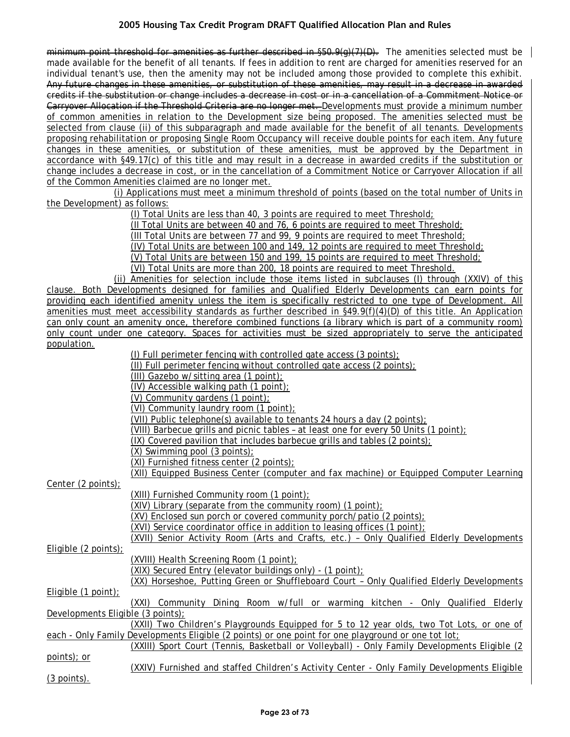minimum point threshold for amenities as further described in §50.9(g)(7)(D). The amenities selected must be made available for the benefit of all tenants. If fees in addition to rent are charged for amenities reserved for an individual tenant's use, then the amenity may not be included among those provided to complete this exhibit. Any future changes in these amenities, or substitution of these amenities, may result in a decrease in awarded credits if the substitution or change includes a decrease in cost or in a cancellation of a Commitment Notice or Carryover Allocation if the Threshold Criteria are no longer met. Developments must provide a minimum number of common amenities in relation to the Development size being proposed. The amenities selected must be selected from clause (ii) of this subparagraph and made available for the benefit of all tenants. Developments proposing rehabilitation or proposing Single Room Occupancy will receive double points for each item. Any future changes in these amenities, or substitution of these amenities, must be approved by the Department in accordance with §49.17(c) of this title and may result in a decrease in awarded credits if the substitution or change includes a decrease in cost, or in the cancellation of a Commitment Notice or Carryover Allocation if all of the Common Amenities claimed are no longer met.

(i) Applications must meet a minimum threshold of points (based on the total number of Units in the Development) as follows:

(I) Total Units are less than 40, 3 points are required to meet Threshold;

(II Total Units are between 40 and 76, 6 points are required to meet Threshold;

(III Total Units are between 77 and 99, 9 points are required to meet Threshold;

(IV) Total Units are between 100 and 149, 12 points are required to meet Threshold;

(V) Total Units are between 150 and 199, 15 points are required to meet Threshold;

(VI) Total Units are more than 200, 18 points are required to meet Threshold.

(ii) Amenities for selection include those items listed in subclauses (I) through (XXIV) of this clause. Both Developments designed for families and Qualified Elderly Developments can earn points for providing each identified amenity unless the item is specifically restricted to one type of Development. All amenities must meet accessibility standards as further described in §49.9(f)(4)(D) of this title. An Application can only count an amenity once, therefore combined functions (a library which is part of a community room) only count under one category. Spaces for activities must be sized appropriately to serve the anticipated population.

|                                   | $(1)$ Full perimeter fencing with controlled gate access $(3 \text{ points})$ ;                     |
|-----------------------------------|-----------------------------------------------------------------------------------------------------|
|                                   | (II) Full perimeter fencing without controlled gate access (2 points);                              |
|                                   | (III) Gazebo w/sitting area (1 point);                                                              |
|                                   | (IV) Accessible walking path (1 point);                                                             |
|                                   | (V) Community gardens (1 point);                                                                    |
|                                   | (VI) Community laundry room (1 point);                                                              |
|                                   | (VII) Public telephone(s) available to tenants 24 hours a day (2 points);                           |
|                                   | (VIII) Barbecue grills and picnic tables - at least one for every 50 Units $(1 \text{ point})$ ;    |
|                                   | $(IX)$ Covered pavilion that includes barbecue grills and tables $(2 \text{ points})$ ;             |
|                                   | $(X)$ Swimming pool $(3 \text{ points})$ ;                                                          |
|                                   | (XI) Furnished fitness center (2 points);                                                           |
|                                   | (XII) Equipped Business Center (computer and fax machine) or Equipped Computer Learning             |
| Center (2 points);                |                                                                                                     |
|                                   | (XIII) Furnished Community room (1 point);                                                          |
|                                   | $(XIV)$ Library (separate from the community room) (1 point);                                       |
|                                   | (XV) Enclosed sun porch or covered community porch/patio (2 points);                                |
|                                   | (XVI) Service coordinator office in addition to leasing offices (1 point);                          |
|                                   | (XVII) Senior Activity Room (Arts and Crafts, etc.) - Only Qualified Elderly Developments           |
| Eligible (2 points);              |                                                                                                     |
|                                   | (XVIII) Health Screening Room (1 point);                                                            |
|                                   | (XIX) Secured Entry (elevator buildings only) - (1 point);                                          |
|                                   | (XX) Horseshoe, Putting Green or Shuffleboard Court - Only Qualified Elderly Developments           |
| Eligible $(1$ point):             |                                                                                                     |
|                                   | (XXI) Community Dining Room w/full or warming kitchen - Only Qualified Elderly                      |
| Developments Eligible (3 points); |                                                                                                     |
|                                   | (XXII) Two Children's Playgrounds Equipped for 5 to 12 year olds, two Tot Lots, or one of           |
|                                   | each - Only Family Developments Eligible (2 points) or one point for one playground or one tot lot; |
|                                   | (XXIII) Sport Court (Tennis, Basketball or Volleyball) - Only Family Developments Eligible (2       |
| points); or                       |                                                                                                     |
|                                   | (XXIV) Furnished and staffed Children's Activity Center - Only Family Developments Eligible         |
| <u>(3 points).</u>                |                                                                                                     |
|                                   |                                                                                                     |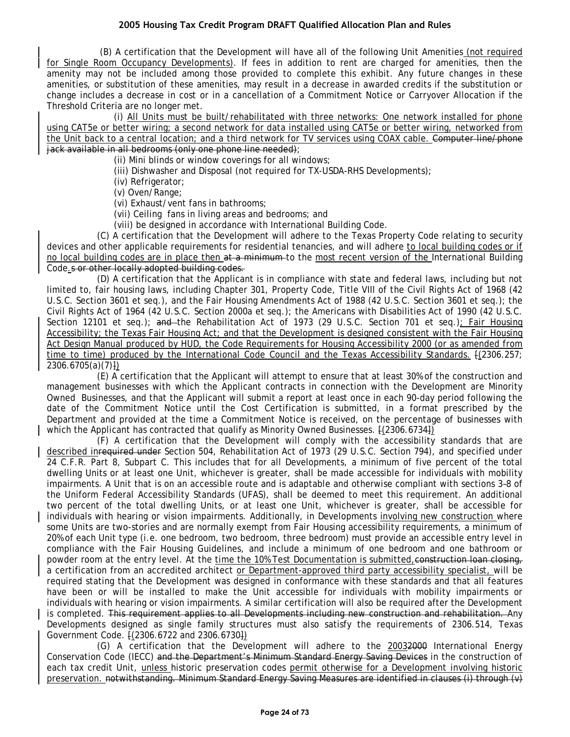(B) A certification that the Development will have all of the following Unit Amenities (not required for Single Room Occupancy Developments). If fees in addition to rent are charged for amenities, then the amenity may not be included among those provided to complete this exhibit. Any future changes in these amenities, or substitution of these amenities, may result in a decrease in awarded credits if the substitution or change includes a decrease in cost or in a cancellation of a Commitment Notice or Carryover Allocation if the Threshold Criteria are no longer met.

(i) All Units must be built/rehabilitated with three networks: One network installed for phone using CAT5e or better wiring; a second network for data installed using CAT5e or better wiring, networked from the Unit back to a central location; and a third network for TV services using COAX cable. Computer line/phone jack available in all bedrooms (only one phone line needed);

(ii) Mini blinds or window coverings for all windows;

(iii) Dishwasher and Disposal (not required for TX-USDA-RHS Developments);

(iv) Refrigerator;

(v) Oven/Range;

(vi) Exhaust/vent fans in bathrooms;

(vii) Ceiling fans in living areas and bedrooms; and

(viii) be designed in accordance with International Building Code.

(C) A certification that the Development will adhere to the Texas Property Code relating to security devices and other applicable requirements for residential tenancies, and will adhere to local building codes or if no local building codes are in place then at a minimum to the most recent version of the International Building Code.s or other locally adopted building codes.

(D) A certification that the Applicant is in compliance with state and federal laws, including but not limited to, fair housing laws, including Chapter 301, Property Code, Title VIII of the Civil Rights Act of 1968 (42 U.S.C. Section 3601 et seq.), and the Fair Housing Amendments Act of 1988 (42 U.S.C. Section 3601 et seq.); the Civil Rights Act of 1964 (42 U.S.C. Section 2000a et seq.); the Americans with Disabilities Act of 1990 (42 U.S.C. Section 12101 et seq.); and the Rehabilitation Act of 1973 (29 U.S.C. Section 701 et seq.); Fair Housing Accessibility; the Texas Fair Housing Act; and that the Development is designed consistent with the Fair Housing Act Design Manual produced by HUD, the Code Requirements for Housing Accessibility 2000 (or as amended from time to time) produced by the International Code Council and the Texas Accessibility Standards.  $\frac{2306.257}{2}$  $2306.6705(a)(7)$ 

(E) A certification that the Applicant will attempt to ensure that at least 30% of the construction and management businesses with which the Applicant contracts in connection with the Development are Minority Owned Businesses, and that the Applicant will submit a report at least once in each 90-day period following the date of the Commitment Notice until the Cost Certification is submitted, in a format prescribed by the Department and provided at the time a Commitment Notice is received, on the percentage of businesses with which the Applicant has contracted that qualify as Minority Owned Businesses.  $[(2306.6734])$ 

(F) A certification that the Development will comply with the accessibility standards that are described inrequired under Section 504, Rehabilitation Act of 1973 (29 U.S.C. Section 794), and specified under 24 C.F.R. Part 8, Subpart C. This includes that for all Developments, a minimum of five percent of the total dwelling Units or at least one Unit, whichever is greater, shall be made accessible for individuals with mobility impairments. A Unit that is on an accessible route and is adaptable and otherwise compliant with sections 3–8 of the Uniform Federal Accessibility Standards (UFAS), shall be deemed to meet this requirement. An additional two percent of the total dwelling Units, or at least one Unit, whichever is greater, shall be accessible for individuals with hearing or vision impairments. Additionally, in Developments involving new construction where some Units are two-stories and are normally exempt from Fair Housing accessibility requirements, a minimum of 20% of each Unit type (i.e. one bedroom, two bedroom, three bedroom) must provide an accessible entry level in compliance with the Fair Housing Guidelines, and include a minimum of one bedroom and one bathroom or powder room at the entry level. At the time the 10% Test Documentation is submitted, construction loan closing, a certification from an accredited architect or Department-approved third party accessibility specialist, will be required stating that the Development was designed in conformance with these standards and that all features have been or will be installed to make the Unit accessible for individuals with mobility impairments or individuals with hearing or vision impairments. A similar certification will also be required after the Development is completed. This requirement applies to all Developments including new construction and rehabilitation. Any Developments designed as single family structures must also satisfy the requirements of 2306.514, Texas Government Code. [(2306.6722 and 2306.6730])

(G) A certification that the Development will adhere to the 20032000 International Energy Conservation Code (IECC) and the Department's Minimum Standard Energy Saving Devices in the construction of each tax credit Unit, unless historic preservation codes permit otherwise for a Development involving historic preservation. notwithstanding. Minimum Standard Energy Saving Measures are identified in clauses (i) through (v)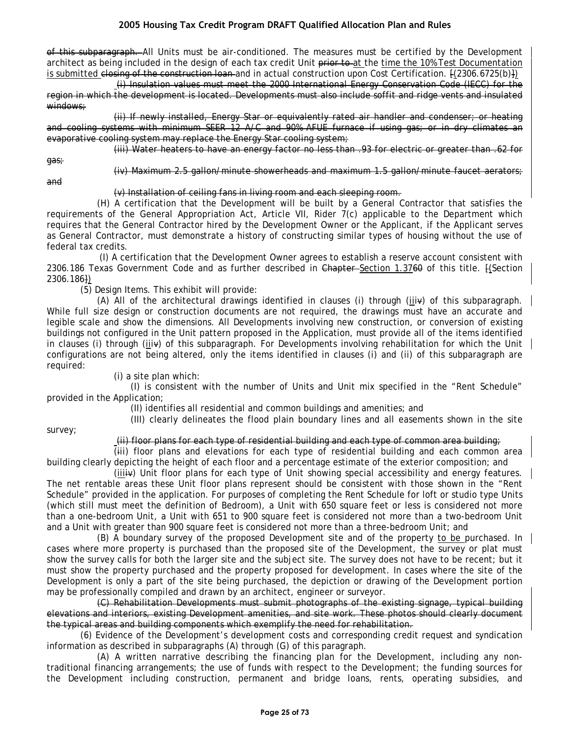of this subparagraph. All Units must be air-conditioned. The measures must be certified by the Development architect as being included in the design of each tax credit Unit prior to at the time the 10% Test Documentation is submitted closing of the construction loan and in actual construction upon Cost Certification. [(2306.6725(b)])

(i) Insulation values must meet the 2000 International Energy Conservation Code (IECC) for the region in which the development is located. Developments must also include soffit and ridge vents and insulated windows:

(ii) If newly installed, Energy Star or equivalently rated air handler and condenser; or heating and cooling systems with minimum SEER 12 A/C and 90% AFUE furnace if using gas; or in dry climates an evaporative cooling system may replace the Energy Star cooling system;

(iii) Water heaters to have an energy factor no less than .93 for electric or greater than .62 for

gas;

and

(iv) Maximum 2.5 gallon/minute showerheads and maximum 1.5 gallon/minute faucet aerators;

(v) Installation of ceiling fans in living room and each sleeping room.

(H) A certification that the Development will be built by a General Contractor that satisfies the requirements of the General Appropriation Act, Article VII, Rider 7(c) applicable to the Department which requires that the General Contractor hired by the Development Owner or the Applicant, if the Applicant serves as General Contractor, must demonstrate a history of constructing similar types of housing without the use of federal tax credits.

(I) A certification that the Development Owner agrees to establish a reserve account consistent with 2306.186 Texas Government Code and as further described in Chapter-Section 1.3760 of this title. [(Section 2306.186])

(5) Design Items. This exhibit will provide:

(A) All of the architectural drawings identified in clauses (i) through (iiiv) of this subparagraph. While full size design or construction documents are not required, the drawings must have an accurate and legible scale and show the dimensions. All Developments involving new construction, or conversion of existing buildings not configured in the Unit pattern proposed in the Application, must provide all of the items identified in clauses (i) through (iiiv) of this subparagraph. For Developments involving rehabilitation for which the Unit configurations are not being altered, only the items identified in clauses (i) and (ii) of this subparagraph are required:

(i) a site plan which:

(I) is consistent with the number of Units and Unit mix specified in the "Rent Schedule" provided in the Application;

(II) identifies all residential and common buildings and amenities; and

(III) clearly delineates the flood plain boundary lines and all easements shown in the site

survey;

(ii) floor plans for each type of residential building and each type of common area building;

(iii) floor plans and elevations for each type of residential building and each common area building clearly depicting the height of each floor and a percentage estimate of the exterior composition; and

(iiiiv) Unit floor plans for each type of Unit showing special accessibility and energy features. The net rentable areas these Unit floor plans represent should be consistent with those shown in the "Rent Schedule" provided in the application. For purposes of completing the Rent Schedule for loft or studio type Units (which still must meet the definition of Bedroom), a Unit with 650 square feet or less is considered not more than a one-bedroom Unit, a Unit with 651 to 900 square feet is considered not more than a two-bedroom Unit and a Unit with greater than 900 square feet is considered not more than a three-bedroom Unit; and

(B) A boundary survey of the proposed Development site and of the property to be purchased. In cases where more property is purchased than the proposed site of the Development, the survey or plat must show the survey calls for both the larger site and the subject site. The survey does not have to be recent; but it must show the property purchased and the property proposed for development. In cases where the site of the Development is only a part of the site being purchased, the depiction or drawing of the Development portion may be professionally compiled and drawn by an architect, engineer or surveyor.

(C) Rehabilitation Developments must submit photographs of the existing signage, typical building elevations and interiors, existing Development amenities, and site work. These photos should clearly document the typical areas and building components which exemplify the need for rehabilitation.

(6) Evidence of the Development's development costs and corresponding credit request and syndication information as described in subparagraphs (A) through (G) of this paragraph.

(A) A written narrative describing the financing plan for the Development, including any nontraditional financing arrangements; the use of funds with respect to the Development; the funding sources for the Development including construction, permanent and bridge loans, rents, operating subsidies, and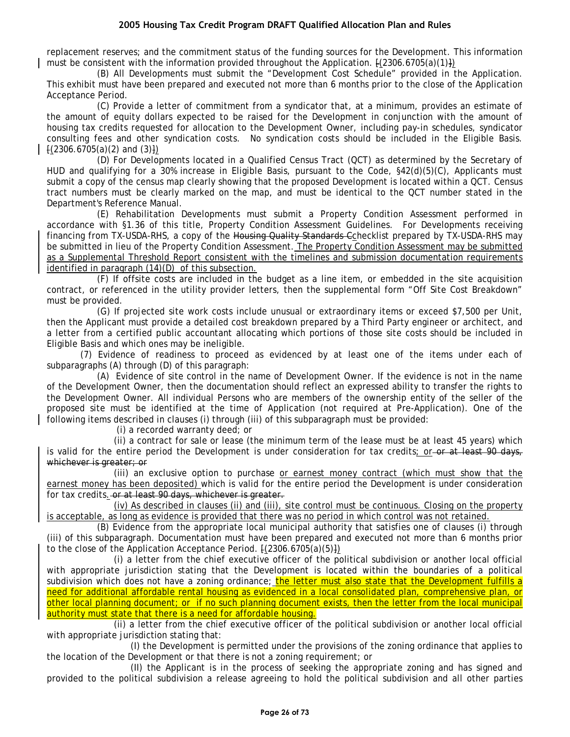replacement reserves; and the commitment status of the funding sources for the Development. This information must be consistent with the information provided throughout the Application.  $\{(2306.6705(a)(1)\})$ 

(B) All Developments must submit the "Development Cost Schedule" provided in the Application. This exhibit must have been prepared and executed not more than 6 months prior to the close of the Application Acceptance Period.

(C) Provide a letter of commitment from a syndicator that, at a minimum, provides an estimate of the amount of equity dollars expected to be raised for the Development in conjunction with the amount of housing tax credits requested for allocation to the Development Owner, including pay-in schedules, syndicator consulting fees and other syndication costs. No syndication costs should be included in the Eligible Basis.  $\{(2306.6705(a)(2) \text{ and } (3)\})$ 

(D) For Developments located in a Qualified Census Tract (QCT) as determined by the Secretary of HUD and qualifying for a 30% increase in Eligible Basis, pursuant to the Code, §42(d)(5)(C), Applicants must submit a copy of the census map clearly showing that the proposed Development is located within a QCT. Census tract numbers must be clearly marked on the map, and must be identical to the QCT number stated in the Department's Reference Manual.

(E) Rehabilitation Developments must submit a Property Condition Assessment performed in accordance with §1.36 of this title, Property Condition Assessment Guidelines. For Developments receiving financing from TX-USDA-RHS, a copy of the Housing Quality Standards Cchecklist prepared by TX-USDA-RHS may be submitted in lieu of the Property Condition Assessment. The Property Condition Assessment may be submitted as a Supplemental Threshold Report consistent with the timelines and submission documentation requirements identified in paragraph (14)(D) of this subsection.

(F) If offsite costs are included in the budget as a line item, or embedded in the site acquisition contract, or referenced in the utility provider letters, then the supplemental form "Off Site Cost Breakdown" must be provided.

(G) If projected site work costs include unusual or extraordinary items or exceed \$7,500 per Unit, then the Applicant must provide a detailed cost breakdown prepared by a Third Party engineer or architect, and a letter from a certified public accountant allocating which portions of those site costs should be included in Eligible Basis and which ones may be ineligible.

(7) Evidence of readiness to proceed as evidenced by at least one of the items under each of subparagraphs (A) through (D) of this paragraph:

(A) Evidence of site control in the name of Development Owner. If the evidence is not in the name of the Development Owner, then the documentation should reflect an expressed ability to transfer the rights to the Development Owner. All individual Persons who are members of the ownership entity of the seller of the proposed site must be identified at the time of Application (not required at Pre-Application). One of the following items described in clauses (i) through (iii) of this subparagraph must be provided:

(i) a recorded warranty deed; or

(ii) a contract for sale or lease (the minimum term of the lease must be at least 45 years) which is valid for the entire period the Development is under consideration for tax credits; or or at least 90 days, whichever is greater; or

(iii) an exclusive option to purchase or earnest money contract (which must show that the earnest money has been deposited) which is valid for the entire period the Development is under consideration for tax credits. or at least 90 days, whichever is greater.

(iv) As described in clauses (ii) and (iii), site control must be continuous. Closing on the property is acceptable, as long as evidence is provided that there was no period in which control was not retained.

(B) Evidence from the appropriate local municipal authority that satisfies one of clauses (i) through (iii) of this subparagraph. Documentation must have been prepared and executed not more than 6 months prior to the close of the Application Acceptance Period.  $\{(2306.6705(a)(5)\})$ 

(i) a letter from the chief executive officer of the political subdivision or another local official with appropriate jurisdiction stating that the Development is located within the boundaries of a political subdivision which does not have a zoning ordinance; the letter must also state that the Development fulfills a need for additional affordable rental housing as evidenced in a local consolidated plan, comprehensive plan, or other local planning document; or if no such planning document exists, then the letter from the local municipal authority must state that there is a need for affordable housing.

(ii) a letter from the chief executive officer of the political subdivision or another local official with appropriate jurisdiction stating that:

(I) the Development is permitted under the provisions of the zoning ordinance that applies to the location of the Development or that there is not a zoning requirement; or

(II) the Applicant is in the process of seeking the appropriate zoning and has signed and provided to the political subdivision a release agreeing to hold the political subdivision and all other parties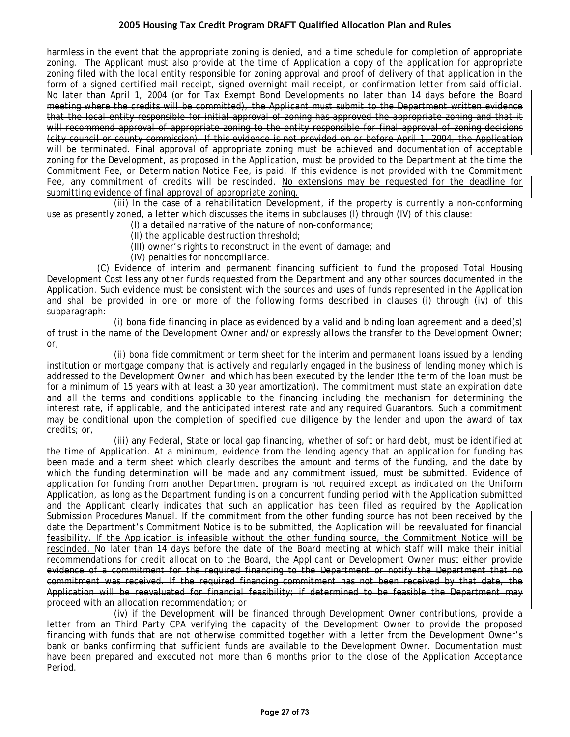harmless in the event that the appropriate zoning is denied, and a time schedule for completion of appropriate zoning. The Applicant must also provide at the time of Application a copy of the application for appropriate zoning filed with the local entity responsible for zoning approval and proof of delivery of that application in the form of a signed certified mail receipt, signed overnight mail receipt, or confirmation letter from said official. No later than April 1, 2004 (or for Tax Exempt Bond Developments no later than 14 days before the Board meeting where the credits will be committed), the Applicant must submit to the Department written evidence that the local entity responsible for initial approval of zoning has approved the appropriate zoning and that it will recommend approval of appropriate zoning to the entity responsible for final approval of zoning decisions (city council or county commission). If this evidence is not provided on or before April 1, 2004, the Application will be terminated. Final approval of appropriate zoning must be achieved and documentation of acceptable zoning for the Development, as proposed in the Application, must be provided to the Department at the time the Commitment Fee, or Determination Notice Fee, is paid. If this evidence is not provided with the Commitment Fee, any commitment of credits will be rescinded. No extensions may be requested for the deadline for submitting evidence of final approval of appropriate zoning.

(iii) In the case of a rehabilitation Development, if the property is currently a non-conforming use as presently zoned, a letter which discusses the items in subclauses (I) through (IV) of this clause:

- (I) a detailed narrative of the nature of non-conformance;
	- (II) the applicable destruction threshold;
	- (III) owner's rights to reconstruct in the event of damage; and
- (IV) penalties for noncompliance.

(C) Evidence of interim and permanent financing sufficient to fund the proposed Total Housing Development Cost less any other funds requested from the Department and any other sources documented in the Application. Such evidence must be consistent with the sources and uses of funds represented in the Application and shall be provided in one or more of the following forms described in clauses (i) through (iv) of this subparagraph:

(i) bona fide financing in place as evidenced by a valid and binding loan agreement and a deed(s) of trust in the name of the Development Owner and/or expressly allows the transfer to the Development Owner; or,

(ii) bona fide commitment or term sheet for the interim and permanent loans issued by a lending institution or mortgage company that is actively and regularly engaged in the business of lending money which is addressed to the Development Owner and which has been executed by the lender (the term of the loan must be for a minimum of 15 years with at least a 30 year amortization). The commitment must state an expiration date and all the terms and conditions applicable to the financing including the mechanism for determining the interest rate, if applicable, and the anticipated interest rate and any required Guarantors. Such a commitment may be conditional upon the completion of specified due diligence by the lender and upon the award of tax credits; or,

(iii) any Federal, State or local gap financing, whether of soft or hard debt, must be identified at the time of Application. At a minimum, evidence from the lending agency that an application for funding has been made and a term sheet which clearly describes the amount and terms of the funding, and the date by which the funding determination will be made and any commitment issued, must be submitted. Evidence of application for funding from another Department program is not required except as indicated on the Uniform Application, as long as the Department funding is on a concurrent funding period with the Application submitted and the Applicant clearly indicates that such an application has been filed as required by the Application Submission Procedures Manual. If the commitment from the other funding source has not been received by the date the Department's Commitment Notice is to be submitted, the Application will be reevaluated for financial feasibility. If the Application is infeasible without the other funding source, the Commitment Notice will be rescinded. No later than 14 days before the date of the Board meeting at which staff will make their initial recommendations for credit allocation to the Board, the Applicant or Development Owner must either provide evidence of a commitment for the required financing to the Department or notify the Department that no commitment was received. If the required financing commitment has not been received by that date, the Application will be reevaluated for financial feasibility; if determined to be feasible the Department may proceed with an allocation recommendation; or

(iv) if the Development will be financed through Development Owner contributions, provide a letter from an Third Party CPA verifying the capacity of the Development Owner to provide the proposed financing with funds that are not otherwise committed together with a letter from the Development Owner's bank or banks confirming that sufficient funds are available to the Development Owner. Documentation must have been prepared and executed not more than 6 months prior to the close of the Application Acceptance Period.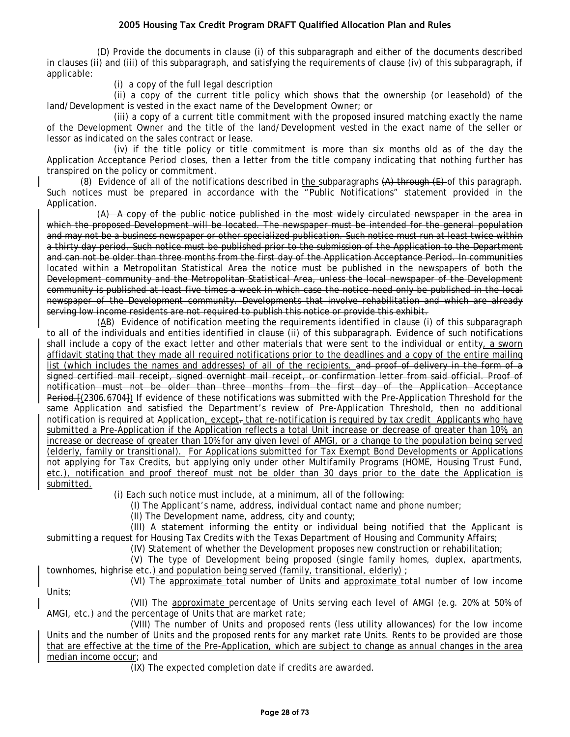(D) Provide the documents in clause (i) of this subparagraph and either of the documents described in clauses (ii) and (iii) of this subparagraph, and satisfying the requirements of clause (iv) of this subparagraph, if applicable:

(i) a copy of the full legal description

(ii) a copy of the current title policy which shows that the ownership (or leasehold) of the land/Development is vested in the exact name of the Development Owner; or

(iii) a copy of a current title commitment with the proposed insured matching exactly the name of the Development Owner and the title of the land/Development vested in the exact name of the seller or lessor as indicated on the sales contract or lease.

(iv) if the title policy or title commitment is more than six months old as of the day the Application Acceptance Period closes, then a letter from the title company indicating that nothing further has transpired on the policy or commitment.

(8) Evidence of all of the notifications described in the subparagraphs  $(A)$  through  $(E)$  of this paragraph. Such notices must be prepared in accordance with the "Public Notifications" statement provided in the Application.

(A) A copy of the public notice published in the most widely circulated newspaper in the area in which the proposed Development will be located. The newspaper must be intended for the general population and may not be a business newspaper or other specialized publication. Such notice must run at least twice within a thirty day period. Such notice must be published prior to the submission of the Application to the Department and can not be older than three months from the first day of the Application Acceptance Period. In communities located within a Metropolitan Statistical Area the notice must be published in the newspapers of both the Development community and the Metropolitan Statistical Area, unless the local newspaper of the Development community is published at least five times a week in which case the notice need only be published in the local newspaper of the Development community. Developments that involve rehabilitation and which are already serving low income residents are not required to publish this notice or provide this exhibit.

(AB) Evidence of notification meeting the requirements identified in clause (i) of this subparagraph to all of the individuals and entities identified in clause (ii) of this subparagraph. Evidence of such notifications shall include a copy of the exact letter and other materials that were sent to the individual or entity, a sworn affidavit stating that they made all required notifications prior to the deadlines and a copy of the entire mailing list (which includes the names and addresses) of all of the recipients. and proof of delivery in the form of a signed certified mail receipt, signed overnight mail receipt, or confirmation letter from said official. Proof of notification must not be older than three months from the first day of the Application Acceptance Period. [(2306.6704]) If evidence of these notifications was submitted with the Pre-Application Threshold for the same Application and satisfied the Department's review of Pre-Application Threshold, then no additional notification is required at Application, except- that re-notification is required by tax credit Applicants who have submitted a Pre-Application if the Application reflects a total Unit increase or decrease of greater than 10%, an increase or decrease of greater than 10% for any given level of AMGI, or a change to the population being served (elderly, family or transitional). For Applications submitted for Tax Exempt Bond Developments or Applications not applying for Tax Credits, but applying only under other Multifamily Programs (HOME, Housing Trust Fund, etc.), notification and proof thereof must not be older than 30 days prior to the date the Application is submitted.

(i) Each such notice must include, at a minimum, all of the following:

(I) The Applicant's name, address, individual contact name and phone number;

(II) The Development name, address, city and county;

(III) A statement informing the entity or individual being notified that the Applicant is submitting a request for Housing Tax Credits with the Texas Department of Housing and Community Affairs;

(IV) Statement of whether the Development proposes new construction or rehabilitation;

(V) The type of Development being proposed (single family homes, duplex, apartments, townhomes, highrise etc.) and population being served (family, transitional, elderly) ;

(VI) The approximate total number of Units and approximate total number of low income Units;

(VII) The approximate percentage of Units serving each level of AMGI (e.g. 20% at 50% of AMGI, etc.) and the percentage of Units that are market rate;

(VIII) The number of Units and proposed rents (less utility allowances) for the low income Units and the number of Units and the proposed rents for any market rate Units. Rents to be provided are those that are effective at the time of the Pre-Application, which are subject to change as annual changes in the area median income occur; and

(IX) The expected completion date if credits are awarded.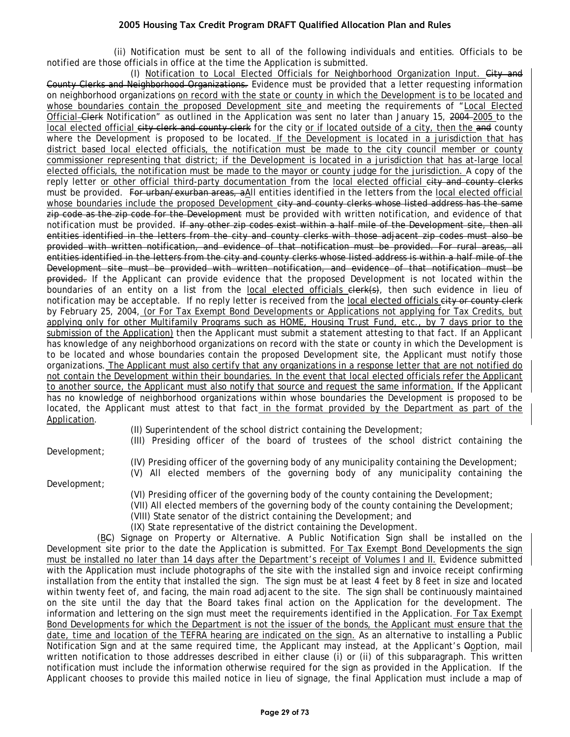(ii) Notification must be sent to all of the following individuals and entities. Officials to be notified are those officials in office at the time the Application is submitted.

(I) Notification to Local Elected Officials for Neighborhood Organization Input. City and County Clerks and Neighborhood Organizations. Evidence must be provided that a letter requesting information on neighborhood organizations on record with the state or county in which the Development is to be located and whose boundaries contain the proposed Development site and meeting the requirements of "Local Elected Official Clerk Notification" as outlined in the Application was sent no later than January 15, 2004–2005 to the local elected official city clerk and county clerk for the city or if located outside of a city, then the and county where the Development is proposed to be located. If the Development is located in a jurisdiction that has district based local elected officials, the notification must be made to the city council member or county commissioner representing that district; if the Development is located in a jurisdiction that has at-large local elected officials, the notification must be made to the mayor or county judge for the jurisdiction. A copy of the reply letter or other official third-party documentation from the local elected official city and county clerks must be provided. For urban/exurban areas, aAll entities identified in the letters from the local elected official whose boundaries include the proposed Development city and county clerks whose listed address has the same zip code as the zip code for the Development must be provided with written notification, and evidence of that notification must be provided. If any other zip codes exist within a half mile of the Development site, then all entities identified in the letters from the city and county clerks with those adjacent zip codes must also be provided with written notification, and evidence of that notification must be provided. For rural areas, all entities identified in the letters from the city and county clerks whose listed address is within a half mile of the Development site must be provided with written notification, and evidence of that notification must be provided. If the Applicant can provide evidence that the proposed Development is not located within the boundaries of an entity on a list from the local elected officials elerk(s), then such evidence in lieu of notification may be acceptable. If no reply letter is received from the local elected officials city or county clerk by February 25, 2004, (or For Tax Exempt Bond Developments or Applications not applying for Tax Credits, but applying only for other Multifamily Programs such as HOME, Housing Trust Fund, etc., by 7 days prior to the submission of the Application) then the Applicant must submit a statement attesting to that fact. If an Applicant has knowledge of any neighborhood organizations on record with the state or county in which the Development is to be located and whose boundaries contain the proposed Development site, the Applicant must notify those organizations. The Applicant must also certify that any organizations in a response letter that are not notified do not contain the Development within their boundaries. In the event that local elected officials refer the Applicant to another source, the Applicant must also notify that source and request the same information. If the Applicant has no knowledge of neighborhood organizations within whose boundaries the Development is proposed to be located, the Applicant must attest to that fact in the format provided by the Department as part of the Application.

(II) Superintendent of the school district containing the Development;

(III) Presiding officer of the board of trustees of the school district containing the

Development;

(IV) Presiding officer of the governing body of any municipality containing the Development; (V) All elected members of the governing body of any municipality containing the

Development;

- (VI) Presiding officer of the governing body of the county containing the Development;
- (VII) All elected members of the governing body of the county containing the Development;
	- (VIII) State senator of the district containing the Development; and

(IX) State representative of the district containing the Development.

(BC) Signage on Property or Alternative. A Public Notification Sign shall be installed on the Development site prior to the date the Application is submitted. For Tax Exempt Bond Developments the sign must be installed no later than 14 days after the Department's receipt of Volumes I and II. Evidence submitted with the Application must include photographs of the site with the installed sign and invoice receipt confirming installation from the entity that installed the sign. The sign must be at least 4 feet by 8 feet in size and located within twenty feet of, and facing, the main road adjacent to the site. The sign shall be continuously maintained on the site until the day that the Board takes final action on the Application for the development. The information and lettering on the sign must meet the requirements identified in the Application. For Tax Exempt Bond Developments for which the Department is not the issuer of the bonds, the Applicant must ensure that the date, time and location of the TEFRA hearing are indicated on the sign. As an alternative to installing a Public Notification Sign and at the same required time, the Applicant may instead, at the Applicant's Ooption, mail written notification to those addresses described in either clause (i) or (ii) of this subparagraph. This written notification must include the information otherwise required for the sign as provided in the Application. If the Applicant chooses to provide this mailed notice in lieu of signage, the final Application must include a map of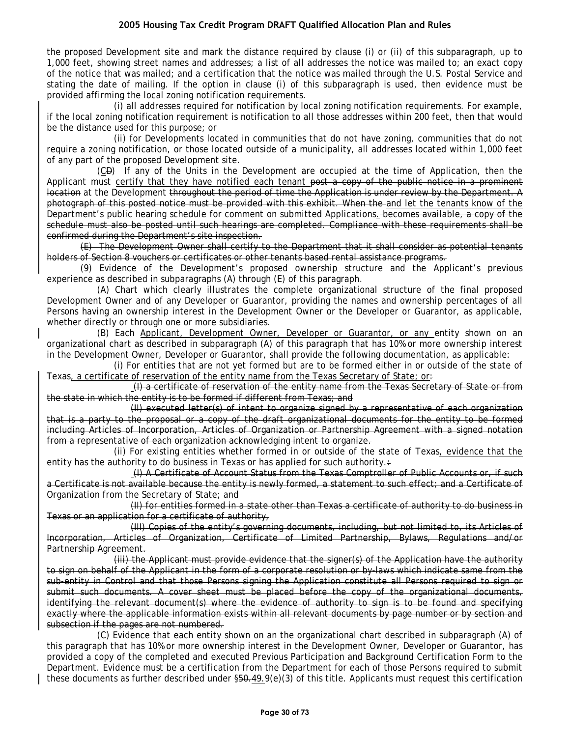the proposed Development site and mark the distance required by clause (i) or (ii) of this subparagraph, up to 1,000 feet, showing street names and addresses; a list of all addresses the notice was mailed to; an exact copy of the notice that was mailed; and a certification that the notice was mailed through the U.S. Postal Service and stating the date of mailing. If the option in clause (i) of this subparagraph is used, then evidence must be provided affirming the local zoning notification requirements.

(i) all addresses required for notification by local zoning notification requirements. For example, if the local zoning notification requirement is notification to all those addresses within 200 feet, then that would be the distance used for this purpose; or

(ii) for Developments located in communities that do not have zoning, communities that do not require a zoning notification, or those located outside of a municipality, all addresses located within 1,000 feet of any part of the proposed Development site.

(CD) If any of the Units in the Development are occupied at the time of Application, then the Applicant must certify that they have notified each tenant post a copy of the public notice in a prominent location at the Development throughout the period of time the Application is under review by the Department. A photograph of this posted notice must be provided with this exhibit. When the and let the tenants know of the Department's public hearing schedule for comment on submitted Applications. becomes available, a copy of the schedule must also be posted until such hearings are completed. Compliance with these requirements shall be confirmed during the Department's site inspection.

(E) The Development Owner shall certify to the Department that it shall consider as potential tenants holders of Section 8 vouchers or certificates or other tenants based rental assistance programs.

(9) Evidence of the Development's proposed ownership structure and the Applicant's previous experience as described in subparagraphs (A) through (E) of this paragraph.

(A) Chart which clearly illustrates the complete organizational structure of the final proposed Development Owner and of any Developer or Guarantor, providing the names and ownership percentages of all Persons having an ownership interest in the Development Owner or the Developer or Guarantor, as applicable, whether directly or through one or more subsidiaries.

(B) Each Applicant, Development Owner, Developer or Guarantor, or any entity shown on an organizational chart as described in subparagraph (A) of this paragraph that has 10% or more ownership interest in the Development Owner, Developer or Guarantor, shall provide the following documentation, as applicable:

(i) For entities that are not yet formed but are to be formed either in or outside of the state of Texas, a certificate of reservation of the entity name from the Texas Secretary of State; or:

(I) a certificate of reservation of the entity name from the Texas Secretary of State or from the state in which the entity is to be formed if different from Texas; and

(II) executed letter(s) of intent to organize signed by a representative of each organization that is a party to the proposal or a copy of the draft organizational documents for the entity to be formed including Articles of Incorporation, Articles of Organization or Partnership Agreement with a signed notation from a representative of each organization acknowledging intent to organize.

(ii) For existing entities whether formed in or outside of the state of Texas, evidence that the entity has the authority to do business in Texas or has applied for such authority. $\div$ 

(I) A Certificate of Account Status from the Texas Comptroller of Public Accounts or, if such a Certificate is not available because the entity is newly formed, a statement to such effect; and a Certificate of Organization from the Secretary of State; and

(II) for entities formed in a state other than Texas a certificate of authority to do business in Texas or an application for a certificate of authority,

(III) Copies of the entity's governing documents, including, but not limited to, its Articles of Incorporation, Articles of Organization, Certificate of Limited Partnership, Bylaws, Regulations and/or Partnership Agreement.

(iii) the Applicant must provide evidence that the signer(s) of the Application have the authority to sign on behalf of the Applicant in the form of a corporate resolution or by-laws which indicate same from the sub-entity in Control and that those Persons signing the Application constitute all Persons required to sign or submit such documents. A cover sheet must be placed before the copy of the organizational documents, identifying the relevant document(s) where the evidence of authority to sign is to be found and specifying exactly where the applicable information exists within all relevant documents by page number or by section and subsection if the pages are not numbered.

(C) Evidence that each entity shown on an the organizational chart described in subparagraph (A) of this paragraph that has 10% or more ownership interest in the Development Owner, Developer or Guarantor, has provided a copy of the completed and executed Previous Participation and Background Certification Form to the Department. Evidence must be a certification from the Department for each of those Persons required to submit these documents as further described under  $$50-.49.9(e)(3)$  of this title. Applicants must request this certification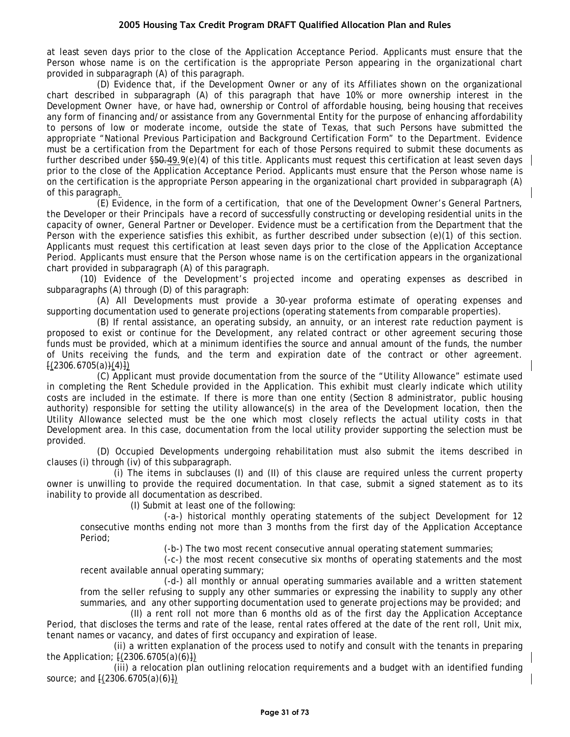at least seven days prior to the close of the Application Acceptance Period. Applicants must ensure that the Person whose name is on the certification is the appropriate Person appearing in the organizational chart provided in subparagraph (A) of this paragraph.

(D) Evidence that, if the Development Owner or any of its Affiliates shown on the organizational chart described in subparagraph (A) of this paragraph that have 10% or more ownership interest in the Development Owner have, or have had, ownership or Control of affordable housing, being housing that receives any form of financing and/or assistance from any Governmental Entity for the purpose of enhancing affordability to persons of low or moderate income, outside the state of Texas, that such Persons have submitted the appropriate "National Previous Participation and Background Certification Form" to the Department. Evidence must be a certification from the Department for each of those Persons required to submit these documents as further described under §50.49.9(e)(4) of this title. Applicants must request this certification at least seven days prior to the close of the Application Acceptance Period. Applicants must ensure that the Person whose name is on the certification is the appropriate Person appearing in the organizational chart provided in subparagraph (A) of this paragraph.

(E) Evidence, in the form of a certification, that one of the Development Owner's General Partners, the Developer or their Principals have a record of successfully constructing or developing residential units in the capacity of owner, General Partner or Developer. Evidence must be a certification from the Department that the Person with the experience satisfies this exhibit, as further described under subsection (e)(1) of this section. Applicants must request this certification at least seven days prior to the close of the Application Acceptance Period. Applicants must ensure that the Person whose name is on the certification appears in the organizational chart provided in subparagraph (A) of this paragraph.

(10) Evidence of the Development's projected income and operating expenses as described in subparagraphs (A) through (D) of this paragraph:

(A) All Developments must provide a 30-year proforma estimate of operating expenses and supporting documentation used to generate projections (operating statements from comparable properties).

(B) If rental assistance, an operating subsidy, an annuity, or an interest rate reduction payment is proposed to exist or continue for the Development, any related contract or other agreement securing those funds must be provided, which at a minimum identifies the source and annual amount of the funds, the number of Units receiving the funds, and the term and expiration date of the contract or other agreement.  $(2306.6705(a))(4)$ 

(C) Applicant must provide documentation from the source of the "Utility Allowance" estimate used in completing the Rent Schedule provided in the Application. This exhibit must clearly indicate which utility costs are included in the estimate. If there is more than one entity (Section 8 administrator, public housing authority) responsible for setting the utility allowance(s) in the area of the Development location, then the Utility Allowance selected must be the one which most closely reflects the actual utility costs in that Development area. In this case, documentation from the local utility provider supporting the selection must be provided.

(D) Occupied Developments undergoing rehabilitation must also submit the items described in clauses (i) through (iv) of this subparagraph.

(i) The items in subclauses (I) and (II) of this clause are required unless the current property owner is unwilling to provide the required documentation. In that case, submit a signed statement as to its inability to provide all documentation as described.

(I) Submit at least one of the following:

(-a-) historical monthly operating statements of the subject Development for 12 consecutive months ending not more than 3 months from the first day of the Application Acceptance Period;

(-b-) The two most recent consecutive annual operating statement summaries;

(-c-) the most recent consecutive six months of operating statements and the most recent available annual operating summary;

(-d-) all monthly or annual operating summaries available and a written statement from the seller refusing to supply any other summaries or expressing the inability to supply any other summaries, and any other supporting documentation used to generate projections may be provided; and

(II) a rent roll not more than 6 months old as of the first day the Application Acceptance Period, that discloses the terms and rate of the lease, rental rates offered at the date of the rent roll, Unit mix, tenant names or vacancy, and dates of first occupancy and expiration of lease.

(ii) a written explanation of the process used to notify and consult with the tenants in preparing the Application;  $[(2306.6705(a)(6)])$ 

(iii) a relocation plan outlining relocation requirements and a budget with an identified funding source; and [(2306.6705(a)(6)])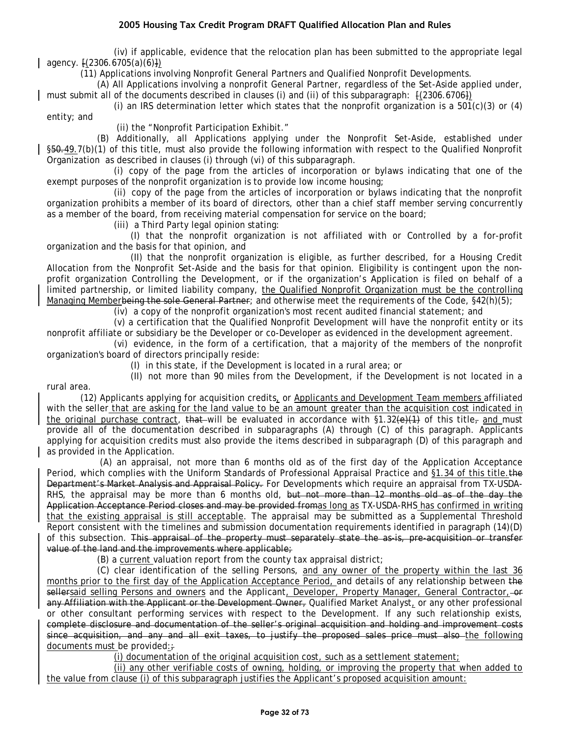(iv) if applicable, evidence that the relocation plan has been submitted to the appropriate legal agency. [(2306.6705(a)(6)])

(11) Applications involving Nonprofit General Partners and Qualified Nonprofit Developments.

(A) All Applications involving a nonprofit General Partner, regardless of the Set-Aside applied under, must submit all of the documents described in clauses (i) and (ii) of this subparagraph:  $\{2306.6706\}$ 

(i) an IRS determination letter which states that the nonprofit organization is a 501 $(c)(3)$  or  $(4)$ entity; and

(ii) the "Nonprofit Participation Exhibit."

(B) Additionally, all Applications applying under the Nonprofit Set-Aside, established under §50.49.7(b)(1) of this title, must also provide the following information with respect to the Qualified Nonprofit Organization as described in clauses (i) through (vi) of this subparagraph.

(i) copy of the page from the articles of incorporation or bylaws indicating that one of the exempt purposes of the nonprofit organization is to provide low income housing;

(ii) copy of the page from the articles of incorporation or bylaws indicating that the nonprofit organization prohibits a member of its board of directors, other than a chief staff member serving concurrently as a member of the board, from receiving material compensation for service on the board;

(iii) a Third Party legal opinion stating:

(I) that the nonprofit organization is not affiliated with or Controlled by a for-profit organization and the basis for that opinion, and

(II) that the nonprofit organization is eligible, as further described, for a Housing Credit Allocation from the Nonprofit Set-Aside and the basis for that opinion. Eligibility is contingent upon the nonprofit organization Controlling the Development, or if the organization's Application is filed on behalf of a limited partnership, or limited liability company, the Qualified Nonprofit Organization must be the controlling Managing Memberbeing the sole General Partner; and otherwise meet the requirements of the Code, §42(h)(5);

(iv) a copy of the nonprofit organization's most recent audited financial statement; and

(v) a certification that the Qualified Nonprofit Development will have the nonprofit entity or its nonprofit affiliate or subsidiary be the Developer or co-Developer as evidenced in the development agreement.

(vi) evidence, in the form of a certification, that a majority of the members of the nonprofit organization's board of directors principally reside:

(I) in this state, if the Development is located in a rural area; or

(II) not more than 90 miles from the Development, if the Development is not located in a rural area.

(12) Applicants applying for acquisition credits, or Applicants and Development Team members affiliated with the seller that are asking for the land value to be an amount greater than the acquisition cost indicated in the original purchase contract, that will be evaluated in accordance with §1.32( $\Theta$ )(1) of this title<sub>r</sub> and must provide all of the documentation described in subparagraphs (A) through (C) of this paragraph. Applicants applying for acquisition credits must also provide the items described in subparagraph (D) of this paragraph and as provided in the Application.

(A) an appraisal, not more than 6 months old as of the first day of the Application Acceptance Period, which complies with the Uniform Standards of Professional Appraisal Practice and §1.34 of this title. the Department's Market Analysis and Appraisal Policy. For Developments which require an appraisal from TX-USDA-RHS, the appraisal may be more than 6 months old, but not more than 12 months old as of the day the Application Acceptance Period closes and may be provided fromas long as TX-USDA-RHS has confirmed in writing that the existing appraisal is still acceptable. The appraisal may be submitted as a Supplemental Threshold Report consistent with the timelines and submission documentation requirements identified in paragraph (14)(D) of this subsection. This appraisal of the property must separately state the as-is, pre-acquisition or transfer value of the land and the improvements where applicable;

(B) a current valuation report from the county tax appraisal district;

(C) clear identification of the selling Persons, and any owner of the property within the last 36 months prior to the first day of the Application Acceptance Period, and details of any relationship between the sellersaid selling Persons and owners and the Applicant, Developer, Property Manager, General Contractor, -or any Affiliation with the Applicant or the Development Owner, Qualified Market Analyst, or any other professional or other consultant performing services with respect to the Development. If any such relationship exists, complete disclosure and documentation of the seller's original acquisition and holding and improvement costs since acquisition, and any and all exit taxes, to justify the proposed sales price must also the following documents must be provided: $\div$ 

(i) documentation of the original acquisition cost, such as a settlement statement;

(ii) any other verifiable costs of owning, holding, or improving the property that when added to the value from clause (i) of this subparagraph justifies the Applicant's proposed acquisition amount: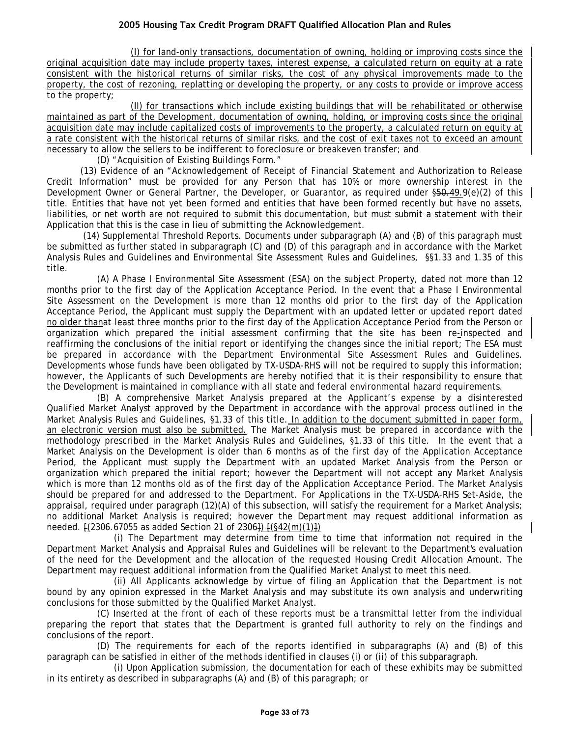(I) for land-only transactions, documentation of owning, holding or improving costs since the original acquisition date may include property taxes, interest expense, a calculated return on equity at a rate consistent with the historical returns of similar risks, the cost of any physical improvements made to the property, the cost of rezoning, replatting or developing the property, or any costs to provide or improve access to the property;

(II) for transactions which include existing buildings that will be rehabilitated or otherwise maintained as part of the Development, documentation of owning, holding, or improving costs since the original acquisition date may include capitalized costs of improvements to the property, a calculated return on equity at a rate consistent with the historical returns of similar risks, and the cost of exit taxes not to exceed an amount necessary to allow the sellers to be indifferent to foreclosure or breakeven transfer; and

(D) "Acquisition of Existing Buildings Form."

(13) Evidence of an "Acknowledgement of Receipt of Financial Statement and Authorization to Release Credit Information" must be provided for any Person that has 10% or more ownership interest in the Development Owner or General Partner, the Developer, or Guarantor, as required under  $$50,49.9(e)(2)$  of this title. Entities that have not yet been formed and entities that have been formed recently but have no assets, liabilities, or net worth are not required to submit this documentation, but must submit a statement with their Application that this is the case in lieu of submitting the Acknowledgement.

(14) Supplemental Threshold Reports. Documents under subparagraph (A) and (B) of this paragraph must be submitted as further stated in subparagraph (C) and (D) of this paragraph and in accordance with the Market Analysis Rules and Guidelines and Environmental Site Assessment Rules and Guidelines, §§1.33 and 1.35 of this title.

(A) A Phase I Environmental Site Assessment (ESA) on the subject Property, dated not more than 12 months prior to the first day of the Application Acceptance Period. In the event that a Phase I Environmental Site Assessment on the Development is more than 12 months old prior to the first day of the Application Acceptance Period, the Applicant must supply the Department with an updated letter or updated report dated no older thanat least three months prior to the first day of the Application Acceptance Period from the Person or organization which prepared the initial assessment confirming that the site has been re-inspected and reaffirming the conclusions of the initial report or identifying the changes since the initial report; The ESA must be prepared in accordance with the Department Environmental Site Assessment Rules and Guidelines. Developments whose funds have been obligated by TX-USDA-RHS will not be required to supply this information; however, the Applicants of such Developments are hereby notified that it is their responsibility to ensure that the Development is maintained in compliance with all state and federal environmental hazard requirements.

(B) A comprehensive Market Analysis prepared at the Applicant's expense by a disinterested Qualified Market Analyst approved by the Department in accordance with the approval process outlined in the Market Analysis Rules and Guidelines, §1.33 of this title. In addition to the document submitted in paper form, an electronic version must also be submitted. The Market Analysis must be prepared in accordance with the methodology prescribed in the Market Analysis Rules and Guidelines, §1.33 of this title. In the event that a Market Analysis on the Development is older than 6 months as of the first day of the Application Acceptance Period, the Applicant must supply the Department with an updated Market Analysis from the Person or organization which prepared the initial report; however the Department will not accept any Market Analysis which is more than 12 months old as of the first day of the Application Acceptance Period. The Market Analysis should be prepared for and addressed to the Department. For Applications in the TX-USDA-RHS Set-Aside, the appraisal, required under paragraph (12)(A) of this subsection, will satisfy the requirement for a Market Analysis; no additional Market Analysis is required; however the Department may request additional information as needed. [(2306.67055 as added Section 21 of 2306]) [(§42(m)(1)])

(i) The Department may determine from time to time that information not required in the Department Market Analysis and Appraisal Rules and Guidelines will be relevant to the Department's evaluation of the need for the Development and the allocation of the requested Housing Credit Allocation Amount. The Department may request additional information from the Qualified Market Analyst to meet this need.

(ii) All Applicants acknowledge by virtue of filing an Application that the Department is not bound by any opinion expressed in the Market Analysis and may substitute its own analysis and underwriting conclusions for those submitted by the Qualified Market Analyst.

(C) Inserted at the front of each of these reports must be a transmittal letter from the individual preparing the report that states that the Department is granted full authority to rely on the findings and conclusions of the report.

(D) The requirements for each of the reports identified in subparagraphs (A) and (B) of this paragraph can be satisfied in either of the methods identified in clauses (i) or (ii) of this subparagraph.

(i) Upon Application submission, the documentation for each of these exhibits may be submitted in its entirety as described in subparagraphs (A) and (B) of this paragraph; or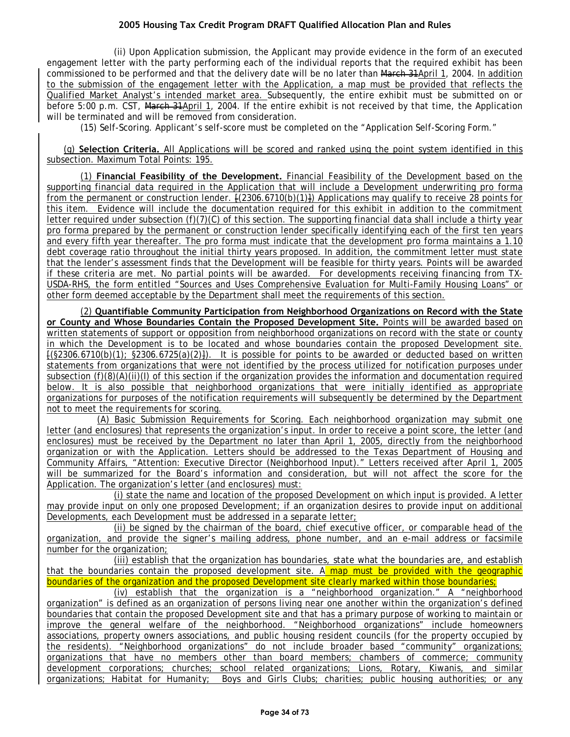(ii) Upon Application submission, the Applicant may provide evidence in the form of an executed engagement letter with the party performing each of the individual reports that the required exhibit has been commissioned to be performed and that the delivery date will be no later than March 31April 1, 2004. In addition to the submission of the engagement letter with the Application, a map must be provided that reflects the Qualified Market Analyst's intended market area. Subsequently, the entire exhibit must be submitted on or before 5:00 p.m. CST, March 31April 1, 2004. If the entire exhibit is not received by that time, the Application will be terminated and will be removed from consideration.

(15) Self-Scoring. Applicant's self-score must be completed on the "Application Self-Scoring Form."

(g) **Selection Criteria.** All Applications will be scored and ranked using the point system identified in this subsection. Maximum Total Points: 195.

(1) **Financial Feasibility of the Development.** Financial Feasibility of the Development based on the supporting financial data required in the Application that will include a Development underwriting pro forma from the permanent or construction lender. [(2306.6710(b)(1)]) Applications may qualify to receive 28 points for this item. Evidence will include the documentation required for this exhibit in addition to the commitment letter required under subsection (f)(7)(C) of this section. The supporting financial data shall include a thirty year pro forma prepared by the permanent or construction lender specifically identifying each of the first ten years and every fifth year thereafter. The pro forma must indicate that the development pro forma maintains a 1.10 debt coverage ratio throughout the initial thirty years proposed. In addition, the commitment letter must state that the lender's assessment finds that the Development will be feasible for thirty years. Points will be awarded if these criteria are met. No partial points will be awarded. For developments receiving financing from TX-USDA-RHS, the form entitled "Sources and Uses Comprehensive Evaluation for Multi-Family Housing Loans" or other form deemed acceptable by the Department shall meet the requirements of this section.

(2) **Quantifiable Community Participation from Neighborhood Organizations on Record with the State or County and Whose Boundaries Contain the Proposed Development Site.** Points will be awarded based on written statements of support or opposition from neighborhood organizations on record with the state or county in which the Development is to be located and whose boundaries contain the proposed Development site.  $f(\$2306.6710(b)(1); \$2306.6725(a)(2)].$  It is possible for points to be awarded or deducted based on written statements from organizations that were not identified by the process utilized for notification purposes under subsection (f)(8)(A)(ii)(I) of this section if the organization provides the information and documentation required below. It is also possible that neighborhood organizations that were initially identified as appropriate organizations for purposes of the notification requirements will subsequently be determined by the Department not to meet the requirements for scoring.

(A) Basic Submission Requirements for Scoring. Each neighborhood organization may submit one letter (and enclosures) that represents the organization's input. In order to receive a point score, the letter (and enclosures) must be received by the Department no later than April 1, 2005, directly from the neighborhood organization or with the Application. Letters should be addressed to the Texas Department of Housing and Community Affairs, "Attention: Executive Director (Neighborhood Input)." Letters received after April 1, 2005 will be summarized for the Board's information and consideration, but will not affect the score for the Application. The organization's letter (and enclosures) must:

(i) state the name and location of the proposed Development on which input is provided. A letter may provide input on only one proposed Development; if an organization desires to provide input on additional Developments, each Development must be addressed in a separate letter;

(ii) be signed by the chairman of the board, chief executive officer, or comparable head of the organization, and provide the signer's mailing address, phone number, and an e-mail address or facsimile number for the organization;

(iii) establish that the organization has boundaries, state what the boundaries are, and establish that the boundaries contain the proposed development site. A map must be provided with the geographic boundaries of the organization and the proposed Development site clearly marked within those boundaries;

(iv) establish that the organization is a "neighborhood organization." A "neighborhood organization" is defined as an organization of persons living near one another within the organization's defined boundaries that contain the proposed Development site and that has a primary purpose of working to maintain or improve the general welfare of the neighborhood. "Neighborhood organizations" include homeowners associations, property owners associations, and public housing resident councils (for the property occupied by the residents). "Neighborhood organizations" do not include broader based "community" organizations; organizations that have no members other than board members; chambers of commerce; community development corporations; churches; school related organizations; Lions, Rotary, Kiwanis, and similar organizations; Habitat for Humanity; Boys and Girls Clubs; charities; public housing authorities; or any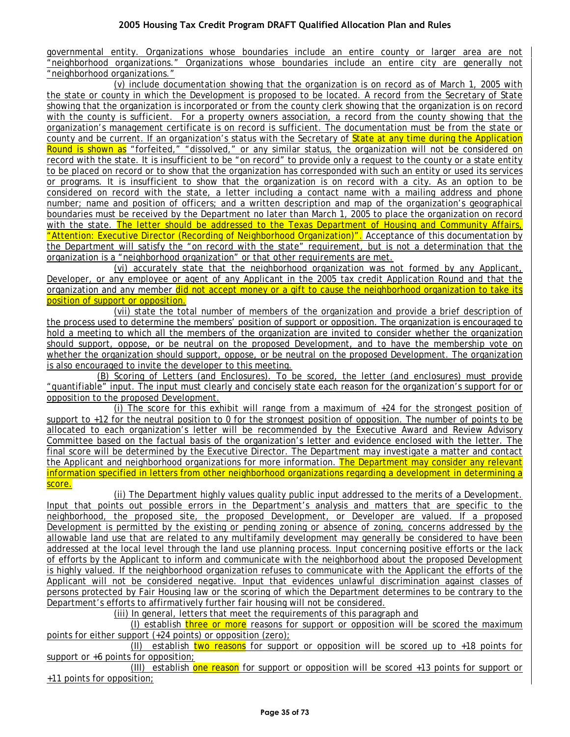governmental entity. Organizations whose boundaries include an entire county or larger area are not "neighborhood organizations." Organizations whose boundaries include an entire city are generally not "neighborhood organizations."

(v) include documentation showing that the organization is on record as of March 1, 2005 with the state or county in which the Development is proposed to be located. A record from the Secretary of State showing that the organization is incorporated or from the county clerk showing that the organization is on record with the county is sufficient. For a property owners association, a record from the county showing that the organization's management certificate is on record is sufficient. The documentation must be from the state or county and be current. If an organization's status with the Secretary of State at any time during the Application Round is shown as "forfeited," "dissolved," or any similar status, the organization will not be considered on record with the state. It is insufficient to be "on record" to provide only a request to the county or a state entity to be placed on record or to show that the organization has corresponded with such an entity or used its services or programs. It is insufficient to show that the organization is on record with a city. As an option to be considered on record with the state, a letter including a contact name with a mailing address and phone number; name and position of officers; and a written description and map of the organization's geographical boundaries must be received by the Department no later than March 1, 2005 to place the organization on record with the state. The letter should be addressed to the Texas Department of Housing and Community Affairs, "Attention: Executive Director (Recording of Neighborhood Organization)". Acceptance of this documentation by the Department will satisfy the "on record with the state" requirement, but is not a determination that the organization is a "neighborhood organization" or that other requirements are met.

(vi) accurately state that the neighborhood organization was not formed by any Applicant, Developer, or any employee or agent of any Applicant in the 2005 tax credit Application Round and that the organization and any member did not accept money or a gift to cause the neighborhood organization to take its position of support or opposition.

(vii) state the total number of members of the organization and provide a brief description of the process used to determine the members' position of support or opposition. The organization is encouraged to hold a meeting to which all the members of the organization are invited to consider whether the organization should support, oppose, or be neutral on the proposed Development, and to have the membership vote on whether the organization should support, oppose, or be neutral on the proposed Development. The organization is also encouraged to invite the developer to this meeting.

(B) Scoring of Letters (and Enclosures). To be scored, the letter (and enclosures) must provide "quantifiable" input. The input must clearly and concisely state each reason for the organization's support for or opposition to the proposed Development.

(i) The score for this exhibit will range from a maximum of  $+24$  for the strongest position of support to +12 for the neutral position to 0 for the strongest position of opposition. The number of points to be allocated to each organization's letter will be recommended by the Executive Award and Review Advisory Committee based on the factual basis of the organization's letter and evidence enclosed with the letter. The final score will be determined by the Executive Director. The Department may investigate a matter and contact the Applicant and neighborhood organizations for more information. The Department may consider any relevant information specified in letters from other neighborhood organizations regarding a development in determining a score.

(ii) The Department highly values quality public input addressed to the merits of a Development. Input that points out possible errors in the Department's analysis and matters that are specific to the neighborhood, the proposed site, the proposed Development, or Developer are valued. If a proposed Development is permitted by the existing or pending zoning or absence of zoning, concerns addressed by the allowable land use that are related to any multifamily development may generally be considered to have been addressed at the local level through the land use planning process. Input concerning positive efforts or the lack of efforts by the Applicant to inform and communicate with the neighborhood about the proposed Development is highly valued. If the neighborhood organization refuses to communicate with the Applicant the efforts of the Applicant will not be considered negative. Input that evidences unlawful discrimination against classes of persons protected by Fair Housing law or the scoring of which the Department determines to be contrary to the Department's efforts to affirmatively further fair housing will not be considered.

(iii) In general, letters that meet the requirements of this paragraph and

(I) establish three or more reasons for support or opposition will be scored the maximum points for either support (+24 points) or opposition (zero);

(II) establish two reasons for support or opposition will be scored up to +18 points for support or +6 points for opposition;

(III) establish one reason for support or opposition will be scored +13 points for support or +11 points for opposition;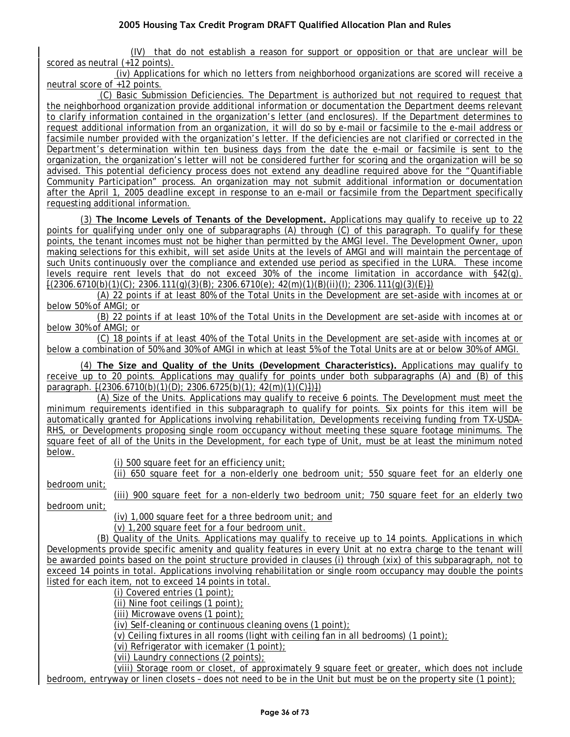(IV) that do not establish a reason for support or opposition or that are unclear will be scored as neutral (+12 points).

(iv) Applications for which no letters from neighborhood organizations are scored will receive a neutral score of +12 points.

(C) Basic Submission Deficiencies. The Department is authorized but not required to request that the neighborhood organization provide additional information or documentation the Department deems relevant to clarify information contained in the organization's letter (and enclosures). If the Department determines to request additional information from an organization, it will do so by e-mail or facsimile to the e-mail address or facsimile number provided with the organization's letter. If the deficiencies are not clarified or corrected in the Department's determination within ten business days from the date the e-mail or facsimile is sent to the organization, the organization's letter will not be considered further for scoring and the organization will be so advised. This potential deficiency process does not extend any deadline required above for the "Quantifiable Community Participation" process. An organization may not submit additional information or documentation after the April 1, 2005 deadline except in response to an e-mail or facsimile from the Department specifically requesting additional information.

(3) **The Income Levels of Tenants of the Development.** Applications may qualify to receive up to 22 points for qualifying under only one of subparagraphs (A) through (C) of this paragraph. To qualify for these points, the tenant incomes must not be higher than permitted by the AMGI level. The Development Owner, upon making selections for this exhibit, will set aside Units at the levels of AMGI and will maintain the percentage of such Units continuously over the compliance and extended use period as specified in the LURA. These income levels require rent levels that do not exceed 30% of the income limitation in accordance with §42(g).  $\frac{1}{2306.6710(b)(1)(C)}$ ; 2306.111(g)(3)(B); 2306.6710(e); 42(m)(1)(B)(ii)(l); 2306.111(g)(3)(E)])

(A) 22 points if at least 80% of the Total Units in the Development are set-aside with incomes at or below 50% of AMGI; or

(B) 22 points if at least 10% of the Total Units in the Development are set-aside with incomes at or below 30% of AMGI; or

(C) 18 points if at least 40% of the Total Units in the Development are set-aside with incomes at or below a combination of 50% and 30% of AMGI in which at least 5% of the Total Units are at or below 30% of AMGI.

(4) **The Size and Quality of the Units (Development Characteristics).** Applications may qualify to receive up to 20 points. Applications may qualify for points under both subparagraphs (A) and (B) of this paragraph.  $\{(2306.6710(b)(1)(D); 2306.6725(b)(1); 42(m)(1)(C)\})\}$ 

(A) Size of the Units. Applications may qualify to receive 6 points. The Development must meet the minimum requirements identified in this subparagraph to qualify for points. Six points for this item will be automatically granted for Applications involving rehabilitation, Developments receiving funding from TX-USDA-RHS, or Developments proposing single room occupancy without meeting these square footage minimums. The square feet of all of the Units in the Development, for each type of Unit, must be at least the minimum noted below.

(i) 500 square feet for an efficiency unit;

(ii) 650 square feet for a non-elderly one bedroom unit; 550 square feet for an elderly one bedroom unit;

(iii) 900 square feet for a non-elderly two bedroom unit; 750 square feet for an elderly two bedroom unit;

(iv) 1,000 square feet for a three bedroom unit; and

(v) 1,200 square feet for a four bedroom unit.

(B) Quality of the Units. Applications may qualify to receive up to 14 points. Applications in which Developments provide specific amenity and quality features in every Unit at no extra charge to the tenant will be awarded points based on the point structure provided in clauses (i) through (xix) of this subparagraph, not to exceed 14 points in total. Applications involving rehabilitation or single room occupancy may double the points listed for each item, not to exceed 14 points in total.

(i) Covered entries (1 point);

(ii) Nine foot ceilings (1 point);

(iii) Microwave ovens (1 point);

(iv) Self-cleaning or continuous cleaning ovens (1 point);

(v) Ceiling fixtures in all rooms (light with ceiling fan in all bedrooms) (1 point);

(vi) Refrigerator with icemaker (1 point);

(vii) Laundry connections (2 points);

(viii) Storage room or closet, of approximately 9 square feet or greater, which does not include bedroom, entryway or linen closets – does not need to be in the Unit but must be on the property site (1 point);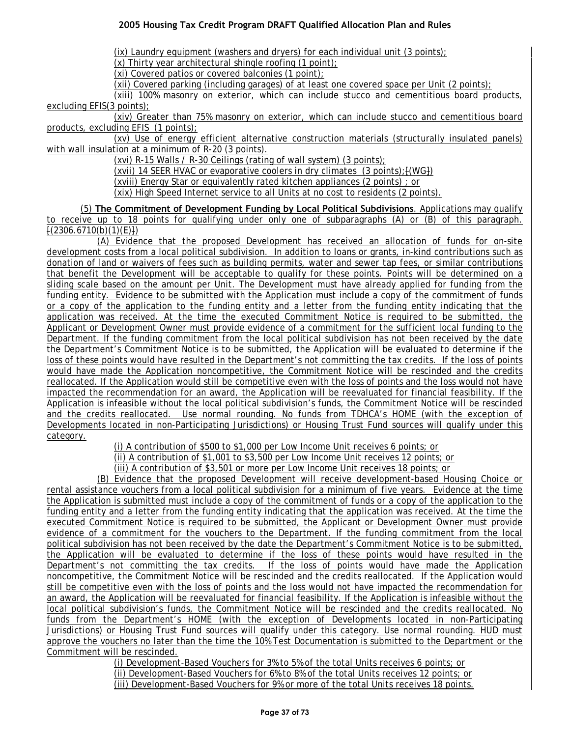(ix) Laundry equipment (washers and dryers) for each individual unit (3 points);

(x) Thirty year architectural shingle roofing (1 point);

(xi) Covered patios or covered balconies (1 point);

(xii) Covered parking (including garages) of at least one covered space per Unit (2 points);

(xiii) 100% masonry on exterior, which can include stucco and cementitious board products, excluding EFIS(3 points);

(xiv) Greater than 75% masonry on exterior, which can include stucco and cementitious board products, excluding EFIS (1 points);

(xv) Use of energy efficient alternative construction materials (structurally insulated panels) with wall insulation at a minimum of R-20 (3 points).

(xvi) R-15 Walls / R-30 Ceilings (rating of wall system) (3 points);

(xvii) 14 SEER HVAC or evaporative coolers in dry climates (3 points);[(WG])

(xviii) Energy Star or equivalently rated kitchen appliances (2 points) ; or

(xix) High Speed Internet service to all Units at no cost to residents (2 points).

(5) **The Commitment of Development Funding by Local Political Subdivisions**. Applications may qualify to receive up to 18 points for qualifying under only one of subparagraphs (A) or (B) of this paragraph.  $\frac{1}{2}(2306.6710(b)(1)(E))$ 

(A) Evidence that the proposed Development has received an allocation of funds for on-site development costs from a local political subdivision. In addition to loans or grants, in-kind contributions such as donation of land or waivers of fees such as building permits, water and sewer tap fees, or similar contributions that benefit the Development will be acceptable to qualify for these points. Points will be determined on a sliding scale based on the amount per Unit. The Development must have already applied for funding from the funding entity. Evidence to be submitted with the Application must include a copy of the commitment of funds or a copy of the application to the funding entity and a letter from the funding entity indicating that the application was received. At the time the executed Commitment Notice is required to be submitted, the Applicant or Development Owner must provide evidence of a commitment for the sufficient local funding to the Department. If the funding commitment from the local political subdivision has not been received by the date the Department's Commitment Notice is to be submitted, the Application will be evaluated to determine if the loss of these points would have resulted in the Department's not committing the tax credits. If the loss of points would have made the Application noncompetitive, the Commitment Notice will be rescinded and the credits reallocated. If the Application would still be competitive even with the loss of points and the loss would not have impacted the recommendation for an award, the Application will be reevaluated for financial feasibility. If the Application is infeasible without the local political subdivision's funds, the Commitment Notice will be rescinded and the credits reallocated. Use normal rounding. No funds from TDHCA's HOME (with the exception of Developments located in non-Participating Jurisdictions) or Housing Trust Fund sources will qualify under this category.

(i) A contribution of \$500 to \$1,000 per Low Income Unit receives 6 points; or

(ii) A contribution of \$1,001 to \$3,500 per Low Income Unit receives 12 points; or

(iii) A contribution of \$3,501 or more per Low Income Unit receives 18 points; or

(B) Evidence that the proposed Development will receive development-based Housing Choice or rental assistance vouchers from a local political subdivision for a minimum of five years. Evidence at the time the Application is submitted must include a copy of the commitment of funds or a copy of the application to the funding entity and a letter from the funding entity indicating that the application was received. At the time the executed Commitment Notice is required to be submitted, the Applicant or Development Owner must provide evidence of a commitment for the vouchers to the Department. If the funding commitment from the local political subdivision has not been received by the date the Department's Commitment Notice is to be submitted, the Application will be evaluated to determine if the loss of these points would have resulted in the Department's not committing the tax credits. If the loss of points would have made the Application noncompetitive, the Commitment Notice will be rescinded and the credits reallocated. If the Application would still be competitive even with the loss of points and the loss would not have impacted the recommendation for an award, the Application will be reevaluated for financial feasibility. If the Application is infeasible without the local political subdivision's funds, the Commitment Notice will be rescinded and the credits reallocated. No funds from the Department's HOME (with the exception of Developments located in non-Participating Jurisdictions) or Housing Trust Fund sources will qualify under this category. Use normal rounding. HUD must approve the vouchers no later than the time the 10% Test Documentation is submitted to the Department or the Commitment will be rescinded.

> (i) Development-Based Vouchers for 3% to 5% of the total Units receives 6 points; or (ii) Development-Based Vouchers for 6% to 8% of the total Units receives 12 points; or (iii) Development-Based Vouchers for 9% or more of the total Units receives 18 points.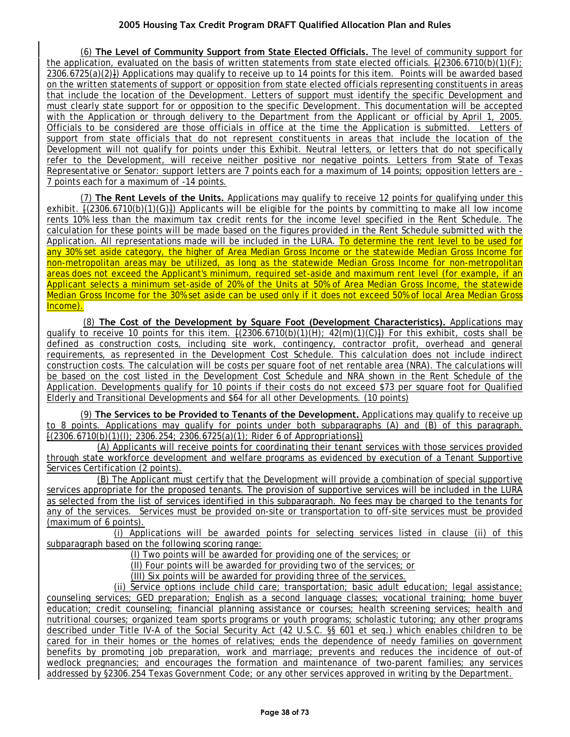(6) **The Level of Community Support from State Elected Officials.** The level of community support for the application, evaluated on the basis of written statements from state elected officials.  $\frac{1}{2}(2306.6710(b)(1)(F))$ ; 2306.6725(a)(2)]) Applications may qualify to receive up to 14 points for this item. Points will be awarded based on the written statements of support or opposition from state elected officials representing constituents in areas that include the location of the Development. Letters of support must identify the specific Development and must clearly state support for or opposition to the specific Development. This documentation will be accepted with the Application or through delivery to the Department from the Applicant or official by April 1, 2005. Officials to be considered are those officials in office at the time the Application is submitted. Letters of support from state officials that do not represent constituents in areas that include the location of the Development will not qualify for points under this Exhibit. Neutral letters, or letters that do not specifically refer to the Development, will receive neither positive nor negative points. Letters from State of Texas Representative or Senator: support letters are 7 points each for a maximum of 14 points; opposition letters are - 7 points each for a maximum of -14 points.

(7) **The Rent Levels of the Units.** Applications may qualify to receive 12 points for qualifying under this exhibit.  $(2306.6710(b)(1)(G))$  Applicants will be eligible for the points by committing to make all low income rents 10% less than the maximum tax credit rents for the income level specified in the Rent Schedule. The calculation for these points will be made based on the figures provided in the Rent Schedule submitted with the Application. All representations made will be included in the LURA. To determine the rent level to be used for any 30% set aside category, the higher of Area Median Gross Income or the statewide Median Gross Income for non-metropolitan areas may be utilized, as long as the statewide Median Gross Income for non-metropolitan areas does not exceed the Applicant's minimum, required set-aside and maximum rent level (for example, if an Applicant selects a minimum set-aside of 20% of the Units at 50% of Area Median Gross Income, the statewide Median Gross Income for the 30% set aside can be used only if it does not exceed 50% of local Area Median Gross Income).

(8) **The Cost of the Development by Square Foot (Development Characteristics).** Applications may qualify to receive 10 points for this item.  $[(2306.6710(b)(1)(H); 42(m)(1)(C)])$  For this exhibit, costs shall be defined as construction costs, including site work, contingency, contractor profit, overhead and general requirements, as represented in the Development Cost Schedule. This calculation does not include indirect construction costs. The calculation will be costs per square foot of net rentable area (NRA). The calculations will be based on the cost listed in the Development Cost Schedule and NRA shown in the Rent Schedule of the Application. Developments qualify for 10 points if their costs do not exceed \$73 per square foot for Qualified Elderly and Transitional Developments and \$64 for all other Developments. (10 points)

(9) **The Services to be Provided to Tenants of the Development.** Applications may qualify to receive up to 8 points. Applications may qualify for points under both subparagraphs (A) and (B) of this paragraph.  $(2306.6710(b)(1)(i); 2306.254; 2306.6725(a)(1);$  Rider 6 of Appropriations.

(A) Applicants will receive points for coordinating their tenant services with those services provided through state workforce development and welfare programs as evidenced by execution of a Tenant Supportive Services Certification (2 points).

(B) The Applicant must certify that the Development will provide a combination of special supportive services appropriate for the proposed tenants. The provision of supportive services will be included in the LURA as selected from the list of services identified in this subparagraph. No fees may be charged to the tenants for any of the services. Services must be provided on-site or transportation to off-site services must be provided (maximum of 6 points).

(i) Applications will be awarded points for selecting services listed in clause (ii) of this subparagraph based on the following scoring range:

(I) Two points will be awarded for providing one of the services; or

(II) Four points will be awarded for providing two of the services; or

(III) Six points will be awarded for providing three of the services.

(ii) Service options include child care; transportation; basic adult education; legal assistance; counseling services; GED preparation; English as a second language classes; vocational training; home buyer education; credit counseling; financial planning assistance or courses; health screening services; health and nutritional courses; organized team sports programs or youth programs; scholastic tutoring; any other programs described under Title IV-A of the Social Security Act (42 U.S.C. §§ 601 et seq.) which enables children to be cared for in their homes or the homes of relatives; ends the dependence of needy families on government benefits by promoting job preparation, work and marriage; prevents and reduces the incidence of out-of wedlock pregnancies; and encourages the formation and maintenance of two-parent families; any services addressed by §2306.254 Texas Government Code; or any other services approved in writing by the Department.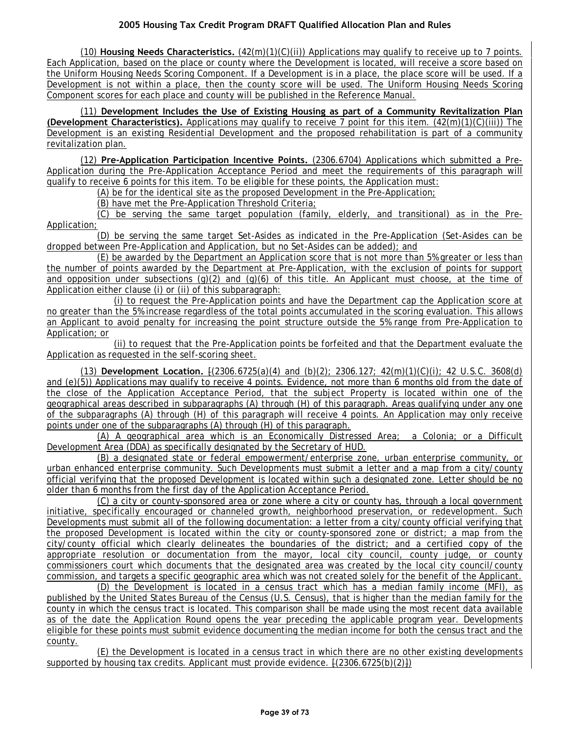(10) **Housing Needs Characteristics.** (42(m)(1)(C)(ii)) Applications may qualify to receive up to 7 points. Each Application, based on the place or county where the Development is located, will receive a score based on the Uniform Housing Needs Scoring Component. If a Development is in a place, the place score will be used. If a Development is not within a place, then the county score will be used. The Uniform Housing Needs Scoring Component scores for each place and county will be published in the Reference Manual.

(11) **Development Includes the Use of Existing Housing as part of a Community Revitalization Plan (Development Characteristics).** Applications may qualify to receive 7 point for this item. (42(m)(1)(C)(iii)) The Development is an existing Residential Development and the proposed rehabilitation is part of a community revitalization plan.

(12) **Pre-Application Participation Incentive Points.** (2306.6704) Applications which submitted a Pre-Application during the Pre-Application Acceptance Period and meet the requirements of this paragraph will qualify to receive 6 points for this item. To be eligible for these points, the Application must:

(A) be for the identical site as the proposed Development in the Pre-Application;

(B) have met the Pre-Application Threshold Criteria;

(C) be serving the same target population (family, elderly, and transitional) as in the Pre-Application;

(D) be serving the same target Set-Asides as indicated in the Pre-Application (Set-Asides can be dropped between Pre-Application and Application, but no Set-Asides can be added); and

(E) be awarded by the Department an Application score that is not more than 5% greater or less than the number of points awarded by the Department at Pre-Application, with the exclusion of points for support and opposition under subsections  $(q)(2)$  and  $(q)(6)$  of this title. An Applicant must choose, at the time of Application either clause (i) or (ii) of this subparagraph:

(i) to request the Pre-Application points and have the Department cap the Application score at no greater than the 5% increase regardless of the total points accumulated in the scoring evaluation. This allows an Applicant to avoid penalty for increasing the point structure outside the 5% range from Pre-Application to Application; or

(ii) to request that the Pre-Application points be forfeited and that the Department evaluate the Application as requested in the self-scoring sheet.

(13) **Development Location.** [(2306.6725(a)(4) and (b)(2); 2306.127; 42(m)(1)(C)(i); 42 U.S.C. 3608(d) and (e)(5)) Applications may qualify to receive 4 points. Evidence, not more than 6 months old from the date of the close of the Application Acceptance Period, that the subject Property is located within one of the geographical areas described in subparagraphs (A) through (H) of this paragraph. Areas qualifying under any one of the subparagraphs (A) through (H) of this paragraph will receive 4 points. An Application may only receive points under one of the subparagraphs (A) through (H) of this paragraph.

(A) A geographical area which is an Economically Distressed Area; a Colonia; or a Difficult Development Area (DDA) as specifically designated by the Secretary of HUD.

(B) a designated state or federal empowerment/enterprise zone, urban enterprise community, or urban enhanced enterprise community. Such Developments must submit a letter and a map from a city/county official verifying that the proposed Development is located within such a designated zone. Letter should be no older than 6 months from the first day of the Application Acceptance Period.

(C) a city or county-sponsored area or zone where a city or county has, through a local government initiative, specifically encouraged or channeled growth, neighborhood preservation, or redevelopment. Such Developments must submit all of the following documentation: a letter from a city/county official verifying that the proposed Development is located within the city or county-sponsored zone or district; a map from the city/county official which clearly delineates the boundaries of the district; and a certified copy of the appropriate resolution or documentation from the mayor, local city council, county judge, or county commissioners court which documents that the designated area was created by the local city council/county commission, and targets a specific geographic area which was not created solely for the benefit of the Applicant.

(D) the Development is located in a census tract which has a median family income (MFI), as published by the United States Bureau of the Census (U.S. Census), that is higher than the median family for the county in which the census tract is located. This comparison shall be made using the most recent data available as of the date the Application Round opens the year preceding the applicable program year. Developments eligible for these points must submit evidence documenting the median income for both the census tract and the county.

(E) the Development is located in a census tract in which there are no other existing developments supported by housing tax credits. Applicant must provide evidence.  $\{(2306.6725(b)(2)\})$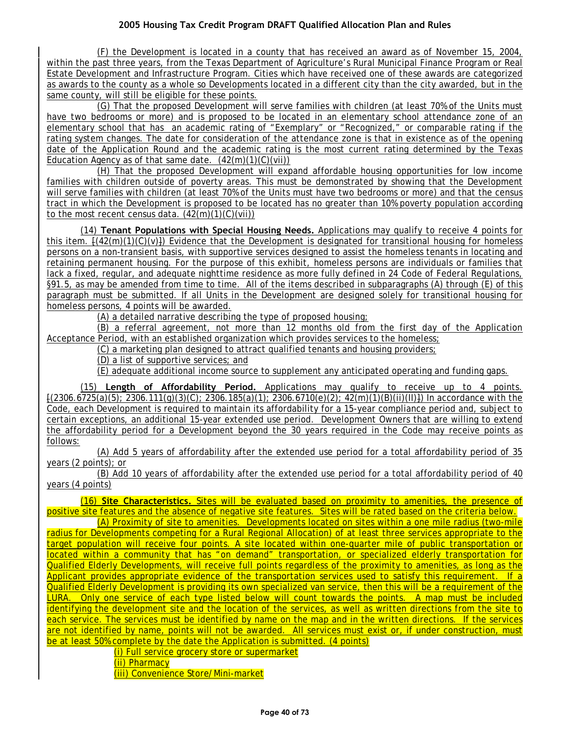(F) the Development is located in a county that has received an award as of November 15, 2004, within the past three years, from the Texas Department of Agriculture's Rural Municipal Finance Program or Real Estate Development and Infrastructure Program. Cities which have received one of these awards are categorized as awards to the county as a whole so Developments located in a different city than the city awarded, but in the same county, will still be eligible for these points.

(G) That the proposed Development will serve families with children (at least 70% of the Units must have two bedrooms or more) and is proposed to be located in an elementary school attendance zone of an elementary school that has an academic rating of "Exemplary" or "Recognized," or comparable rating if the rating system changes. The date for consideration of the attendance zone is that in existence as of the opening date of the Application Round and the academic rating is the most current rating determined by the Texas Education Agency as of that same date.  $(42(m)(1)(C)(vi))$ 

(H) That the proposed Development will expand affordable housing opportunities for low income families with children outside of poverty areas. This must be demonstrated by showing that the Development will serve families with children (at least 70% of the Units must have two bedrooms or more) and that the census tract in which the Development is proposed to be located has no greater than 10% poverty population according to the most recent census data.  $(42(m)(1)(C)(vii))$ 

(14) **Tenant Populations with Special Housing Needs.** Applications may qualify to receive 4 points for this item. [(42(m)(1)(C)(v)]) Evidence that the Development is designated for transitional housing for homeless persons on a non-transient basis, with supportive services designed to assist the homeless tenants in locating and retaining permanent housing. For the purpose of this exhibit, homeless persons are individuals or families that lack a fixed, regular, and adequate nighttime residence as more fully defined in 24 Code of Federal Regulations, §91.5, as may be amended from time to time. All of the items described in subparagraphs (A) through (E) of this paragraph must be submitted. If all Units in the Development are designed solely for transitional housing for homeless persons, 4 points will be awarded.

(A) a detailed narrative describing the type of proposed housing;

(B) a referral agreement, not more than 12 months old from the first day of the Application Acceptance Period, with an established organization which provides services to the homeless;

(C) a marketing plan designed to attract qualified tenants and housing providers;

(D) a list of supportive services; and

(E) adequate additional income source to supplement any anticipated operating and funding gaps.

(15) **Length of Affordability Period.** Applications may qualify to receive up to 4 points. [(2306.6725(a)(5); 2306.111(g)(3)(C); 2306.185(a)(1); 2306.6710(e)(2); 42(m)(1)(B)(ii)(II)]) In accordance with the Code, each Development is required to maintain its affordability for a 15-year compliance period and, subject to certain exceptions, an additional 15-year extended use period. Development Owners that are willing to extend the affordability period for a Development beyond the 30 years required in the Code may receive points as follows:

(A) Add 5 years of affordability after the extended use period for a total affordability period of 35 years (2 points); or

(B) Add 10 years of affordability after the extended use period for a total affordability period of 40 years (4 points)

(16) **Site Characteristics.** Sites will be evaluated based on proximity to amenities, the presence of positive site features and the absence of negative site features. Sites will be rated based on the criteria below.

(A) Proximity of site to amenities. Developments located on sites within a one mile radius (two-mile radius for Developments competing for a Rural Regional Allocation) of at least three services appropriate to the target population will receive four points. A site located within one-quarter mile of public transportation or located within a community that has "on demand" transportation, or specialized elderly transportation for Qualified Elderly Developments, will receive full points regardless of the proximity to amenities, as long as the Applicant provides appropriate evidence of the transportation services used to satisfy this requirement. If a Qualified Elderly Development is providing its own specialized van service, then this will be a requirement of the LURA. Only one service of each type listed below will count towards the points. A map must be included identifying the development site and the location of the services, as well as written directions from the site to each service. The services must be identified by name on the map and in the written directions. If the services are not identified by name, points will not be awarded. All services must exist or, if under construction, must be at least 50% complete by the date the Application is submitted. (4 points)

(i) Full service grocery store or supermarket

(ii) Pharmacy

(iii) Convenience Store/Mini-market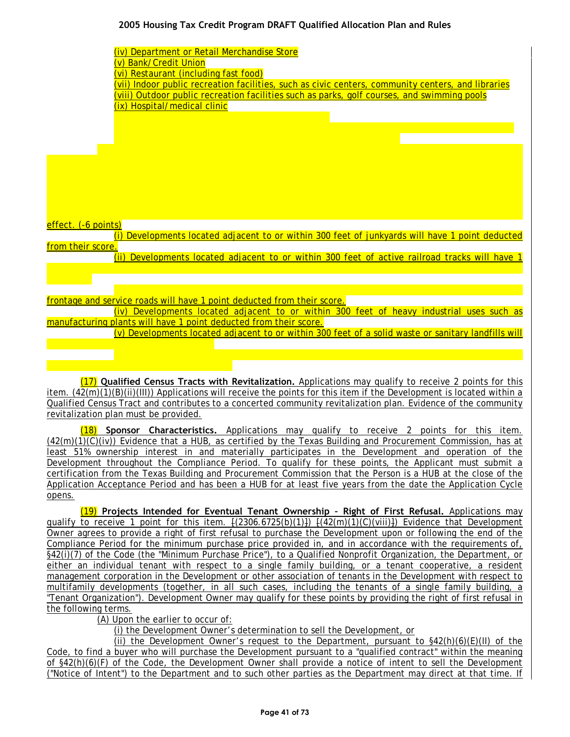| (iv) Department or Retail Merchandise Store                                                         |
|-----------------------------------------------------------------------------------------------------|
| (v) Bank/Credit Union                                                                               |
| (vi) Restaurant (including fast food)                                                               |
| (vii) Indoor public recreation facilities, such as civic centers, community centers, and libraries  |
| (viii) Outdoor public recreation facilities such as parks, golf courses, and swimming pools         |
| (ix) Hospital/medical clinic                                                                        |
|                                                                                                     |
|                                                                                                     |
|                                                                                                     |
|                                                                                                     |
|                                                                                                     |
|                                                                                                     |
|                                                                                                     |
|                                                                                                     |
|                                                                                                     |
| effect. (-6 points)                                                                                 |
| Developments located adjacent to or within 300 feet of junkyards will have 1 point deducted         |
| from their score.                                                                                   |
| (ii) Developments located adjacent to or within 300 feet of active railroad tracks will have 1      |
|                                                                                                     |
|                                                                                                     |
| frontage and service roads will have 1 point deducted from their score.                             |
| (iv) Developments located adjacent to or within 300 feet of heavy industrial uses such as           |
| manufacturing plants will have 1 point deducted from their score.                                   |
| (v) Developments located adjacent to or within 300 feet of a solid waste or sanitary landfills will |
|                                                                                                     |
|                                                                                                     |
|                                                                                                     |

(17) **Qualified Census Tracts with Revitalization.** Applications may qualify to receive 2 points for this item.  $(42(m)(1)(B)(ii)(III))$  Applications will receive the points for this item if the Development is located within a Qualified Census Tract and contributes to a concerted community revitalization plan. Evidence of the community revitalization plan must be provided.

(18) **Sponsor Characteristics.** Applications may qualify to receive 2 points for this item.  $(42(m)(1)(C)(iv))$  Evidence that a HUB, as certified by the Texas Building and Procurement Commission, has at least 51% ownership interest in and materially participates in the Development and operation of the Development throughout the Compliance Period. To qualify for these points, the Applicant must submit a certification from the Texas Building and Procurement Commission that the Person is a HUB at the close of the Application Acceptance Period and has been a HUB for at least five years from the date the Application Cycle opens.

(19) **Projects Intended for Eventual Tenant Ownership – Right of First Refusal.** Applications may qualify to receive 1 point for this item.  $\frac{1}{2306.6725(b)(1)}$   $\frac{1}{42(m)(1)(c)(viii)}$  Evidence that Development Owner agrees to provide a right of first refusal to purchase the Development upon or following the end of the Compliance Period for the minimum purchase price provided in, and in accordance with the requirements of, §42(i)(7) of the Code (the "Minimum Purchase Price"), to a Qualified Nonprofit Organization, the Department, or either an individual tenant with respect to a single family building, or a tenant cooperative, a resident management corporation in the Development or other association of tenants in the Development with respect to multifamily developments (together, in all such cases, including the tenants of a single family building, a "Tenant Organization"). Development Owner may qualify for these points by providing the right of first refusal in the following terms.

(A) Upon the earlier to occur of:

(i) the Development Owner's determination to sell the Development, or

(ii) the Development Owner's request to the Department, pursuant to  $$42(h)(6)(E)(II)$  of the Code, to find a buyer who will purchase the Development pursuant to a "qualified contract" within the meaning of §42(h)(6)(F) of the Code, the Development Owner shall provide a notice of intent to sell the Development ("Notice of Intent") to the Department and to such other parties as the Department may direct at that time. If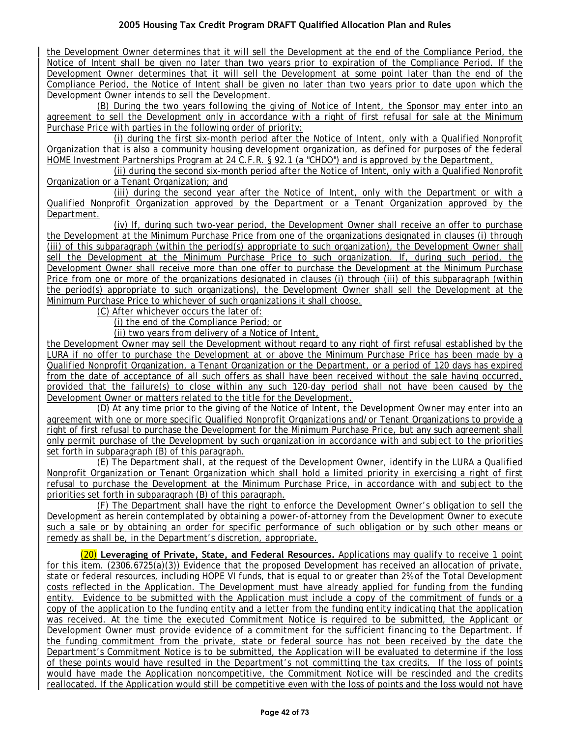the Development Owner determines that it will sell the Development at the end of the Compliance Period, the Notice of Intent shall be given no later than two years prior to expiration of the Compliance Period. If the Development Owner determines that it will sell the Development at some point later than the end of the Compliance Period, the Notice of Intent shall be given no later than two years prior to date upon which the Development Owner intends to sell the Development.

(B) During the two years following the giving of Notice of Intent, the Sponsor may enter into an agreement to sell the Development only in accordance with a right of first refusal for sale at the Minimum Purchase Price with parties in the following order of priority:

(i) during the first six-month period after the Notice of Intent, only with a Qualified Nonprofit Organization that is also a community housing development organization, as defined for purposes of the federal HOME Investment Partnerships Program at 24 C.F.R. § 92.1 (a "CHDO") and is approved by the Department,

(ii) during the second six-month period after the Notice of Intent, only with a Qualified Nonprofit Organization or a Tenant Organization; and

(iii) during the second year after the Notice of Intent, only with the Department or with a Qualified Nonprofit Organization approved by the Department or a Tenant Organization approved by the Department.

(iv) If, during such two-year period, the Development Owner shall receive an offer to purchase the Development at the Minimum Purchase Price from one of the organizations designated in clauses (i) through (iii) of this subparagraph (within the period(s) appropriate to such organization), the Development Owner shall sell the Development at the Minimum Purchase Price to such organization. If, during such period, the Development Owner shall receive more than one offer to purchase the Development at the Minimum Purchase Price from one or more of the organizations designated in clauses (i) through (iii) of this subparagraph (within the period(s) appropriate to such organizations), the Development Owner shall sell the Development at the Minimum Purchase Price to whichever of such organizations it shall choose.

(C) After whichever occurs the later of:

(i) the end of the Compliance Period; or

(ii) two years from delivery of a Notice of Intent,

the Development Owner may sell the Development without regard to any right of first refusal established by the LURA if no offer to purchase the Development at or above the Minimum Purchase Price has been made by a Qualified Nonprofit Organization, a Tenant Organization or the Department, or a period of 120 days has expired from the date of acceptance of all such offers as shall have been received without the sale having occurred, provided that the failure(s) to close within any such 120-day period shall not have been caused by the Development Owner or matters related to the title for the Development.

(D) At any time prior to the giving of the Notice of Intent, the Development Owner may enter into an agreement with one or more specific Qualified Nonprofit Organizations and/or Tenant Organizations to provide a right of first refusal to purchase the Development for the Minimum Purchase Price, but any such agreement shall only permit purchase of the Development by such organization in accordance with and subject to the priorities set forth in subparagraph (B) of this paragraph.

(E) The Department shall, at the request of the Development Owner, identify in the LURA a Qualified Nonprofit Organization or Tenant Organization which shall hold a limited priority in exercising a right of first refusal to purchase the Development at the Minimum Purchase Price, in accordance with and subject to the priorities set forth in subparagraph (B) of this paragraph.

(F) The Department shall have the right to enforce the Development Owner's obligation to sell the Development as herein contemplated by obtaining a power-of-attorney from the Development Owner to execute such a sale or by obtaining an order for specific performance of such obligation or by such other means or remedy as shall be, in the Department's discretion, appropriate.

(20) **Leveraging of Private, State, and Federal Resources.** Applications may qualify to receive 1 point for this item. (2306.6725(a)(3)) Evidence that the proposed Development has received an allocation of private, state or federal resources, including HOPE VI funds, that is equal to or greater than 2% of the Total Development costs reflected in the Application. The Development must have already applied for funding from the funding entity. Evidence to be submitted with the Application must include a copy of the commitment of funds or a copy of the application to the funding entity and a letter from the funding entity indicating that the application was received. At the time the executed Commitment Notice is required to be submitted, the Applicant or Development Owner must provide evidence of a commitment for the sufficient financing to the Department. If the funding commitment from the private, state or federal source has not been received by the date the Department's Commitment Notice is to be submitted, the Application will be evaluated to determine if the loss of these points would have resulted in the Department's not committing the tax credits. If the loss of points would have made the Application noncompetitive, the Commitment Notice will be rescinded and the credits reallocated. If the Application would still be competitive even with the loss of points and the loss would not have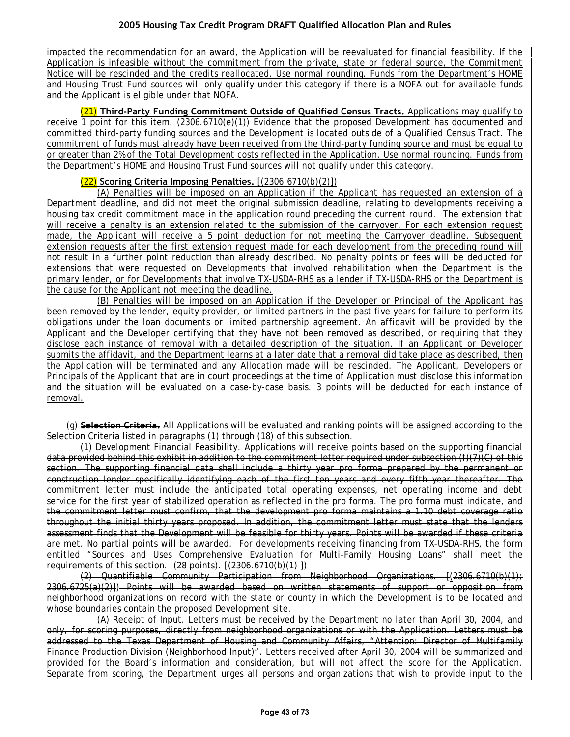impacted the recommendation for an award, the Application will be reevaluated for financial feasibility. If the Application is infeasible without the commitment from the private, state or federal source, the Commitment Notice will be rescinded and the credits reallocated. Use normal rounding. Funds from the Department's HOME and Housing Trust Fund sources will only qualify under this category if there is a NOFA out for available funds and the Applicant is eligible under that NOFA.

(21) **Third-Party Funding Commitment Outside of Qualified Census Tracts.** Applications may qualify to receive 1 point for this item. (2306.6710(e)(1)) Evidence that the proposed Development has documented and committed third-party funding sources and the Development is located outside of a Qualified Census Tract. The commitment of funds must already have been received from the third-party funding source and must be equal to or greater than 2% of the Total Development costs reflected in the Application. Use normal rounding. Funds from the Department's HOME and Housing Trust Fund sources will not qualify under this category.

## (22) **Scoring Criteria Imposing Penalties.** [(2306.6710(b)(2)])

(A) Penalties will be imposed on an Application if the Applicant has requested an extension of a Department deadline, and did not meet the original submission deadline, relating to developments receiving a housing tax credit commitment made in the application round preceding the current round. The extension that will receive a penalty is an extension related to the submission of the carryover. For each extension request made, the Applicant will receive a 5 point deduction for not meeting the Carryover deadline. Subsequent extension requests after the first extension request made for each development from the preceding round will not result in a further point reduction than already described. No penalty points or fees will be deducted for extensions that were requested on Developments that involved rehabilitation when the Department is the primary lender, or for Developments that involve TX-USDA-RHS as a lender if TX-USDA-RHS or the Department is the cause for the Applicant not meeting the deadline.

(B) Penalties will be imposed on an Application if the Developer or Principal of the Applicant has been removed by the lender, equity provider, or limited partners in the past five years for failure to perform its obligations under the loan documents or limited partnership agreement. An affidavit will be provided by the Applicant and the Developer certifying that they have not been removed as described, or requiring that they disclose each instance of removal with a detailed description of the situation. If an Applicant or Developer submits the affidavit, and the Department learns at a later date that a removal did take place as described, then the Application will be terminated and any Allocation made will be rescinded. The Applicant, Developers or Principals of the Applicant that are in court proceedings at the time of Application must disclose this information and the situation will be evaluated on a case-by-case basis. 3 points will be deducted for each instance of removal.

(g) **Selection Criteria.** All Applications will be evaluated and ranking points will be assigned according to the Selection Criteria listed in paragraphs (1) through (18) of this subsection.

(1) Development Financial Feasibility. Applications will receive points based on the supporting financial data provided behind this exhibit in addition to the commitment letter required under subsection (f)(7)(C) of this section. The supporting financial data shall include a thirty year pro forma prepared by the permanent or construction lender specifically identifying each of the first ten years and every fifth year thereafter. The commitment letter must include the anticipated total operating expenses, net operating income and debt service for the first year of stabilized operation as reflected in the pro forma. The pro forma must indicate, and the commitment letter must confirm, that the development pro forma maintains a 1.10 debt coverage ratio throughout the initial thirty years proposed. In addition, the commitment letter must state that the lenders assessment finds that the Development will be feasible for thirty years. Points will be awarded if these criteria are met. No partial points will be awarded. For developments receiving financing from TX-USDA-RHS, the form entitled "Sources and Uses Comprehensive Evaluation for Multi-Family Housing Loans" shall meet the requirements of this section. (28 points). [(2306.6710(b)(1) ])

 $(2)$  Quantifiable Community Participation from Neighborhood Organizations.  $(2306.6710(b)(1))$ 2306.6725(a)(2)]) Points will be awarded based on written statements of support or opposition from neighborhood organizations on record with the state or county in which the Development is to be located and whose boundaries contain the proposed Development site.

(A) Receipt of Input. Letters must be received by the Department no later than April 30, 2004, and only, for scoring purposes, directly from neighborhood organizations or with the Application. Letters must be addressed to the Texas Department of Housing and Community Affairs, "Attention: Director of Multifamily Finance Production Division (Neighborhood Input)". Letters received after April 30, 2004 will be summarized and provided for the Board's information and consideration, but will not affect the score for the Application. Separate from scoring, the Department urges all persons and organizations that wish to provide input to the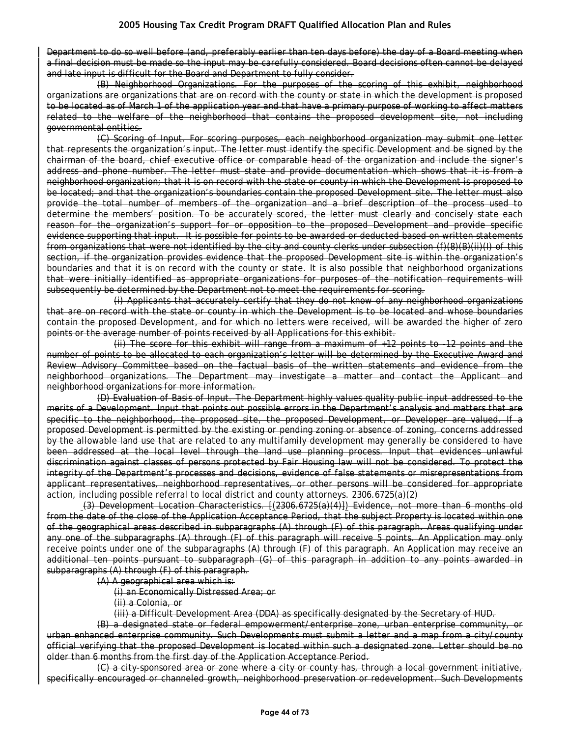Department to do so well before (and, preferably earlier than ten days before) the day of a Board meeting when a final decision must be made so the input may be carefully considered. Board decisions often cannot be delayed and late input is difficult for the Board and Department to fully consider.

(B) Neighborhood Organizations. For the purposes of the scoring of this exhibit, neighborhood organizations are organizations that are on record with the county or state in which the development is proposed to be located as of March 1 of the application year and that have a primary purpose of working to affect matters related to the welfare of the neighborhood that contains the proposed development site, not including governmental entities.

(C) Scoring of Input. For scoring purposes, each neighborhood organization may submit one letter that represents the organization's input. The letter must identify the specific Development and be signed by the chairman of the board, chief executive office or comparable head of the organization and include the signer's address and phone number. The letter must state and provide documentation which shows that it is from a neighborhood organization; that it is on record with the state or county in which the Development is proposed to be located; and that the organization's boundaries contain the proposed Development site. The letter must also provide the total number of members of the organization and a brief description of the process used to determine the members' position. To be accurately scored, the letter must clearly and concisely state each reason for the organization's support for or opposition to the proposed Development and provide specific evidence supporting that input. It is possible for points to be awarded or deducted based on written statements from organizations that were not identified by the city and county clerks under subsection (f)(8)(B)(ii)(I) of this section, if the organization provides evidence that the proposed Development site is within the organization's boundaries and that it is on record with the county or state. It is also possible that neighborhood organizations that were initially identified as appropriate organizations for purposes of the notification requirements will subsequently be determined by the Department not to meet the requirements for scoring.

(i) Applicants that accurately certify that they do not know of any neighborhood organizations that are on record with the state or county in which the Development is to be located and whose boundaries contain the proposed Development, and for which no letters were received, will be awarded the higher of zero points or the average number of points received by all Applications for this exhibit.

(ii) The score for this exhibit will range from a maximum of +12 points to -12 points and the number of points to be allocated to each organization's letter will be determined by the Executive Award and Review Advisory Committee based on the factual basis of the written statements and evidence from the neighborhood organizations. The Department may investigate a matter and contact the Applicant and neighborhood organizations for more information.

(D) Evaluation of Basis of Input. The Department highly values quality public input addressed to the merits of a Development. Input that points out possible errors in the Department's analysis and matters that are specific to the neighborhood, the proposed site, the proposed Development, or Developer are valued. If a proposed Development is permitted by the existing or pending zoning or absence of zoning, concerns addressed by the allowable land use that are related to any multifamily development may generally be considered to have been addressed at the local level through the land use planning process. Input that evidences unlawful discrimination against classes of persons protected by Fair Housing law will not be considered. To protect the integrity of the Department's processes and decisions, evidence of false statements or misrepresentations from applicant representatives, neighborhood representatives, or other persons will be considered for appropriate action, including possible referral to local district and county attorneys. 2306.6725(a)(2)

(3) Development Location Characteristics. [(2306.6725(a)(4)]) Evidence, not more than 6 months old from the date of the close of the Application Acceptance Period, that the subject Property is located within one of the geographical areas described in subparagraphs (A) through (F) of this paragraph. Areas qualifying under any one of the subparagraphs (A) through (F) of this paragraph will receive 5 points. An Application may only receive points under one of the subparagraphs (A) through (F) of this paragraph. An Application may receive an additional ten points pursuant to subparagraph (G) of this paragraph in addition to any points awarded in subparagraphs (A) through (F) of this paragraph.

(A) A geographical area which is:

(i) an Economically Distressed Area; or

(ii) a Colonia, or

(iii) a Difficult Development Area (DDA) as specifically designated by the Secretary of HUD.

(B) a designated state or federal empowerment/enterprise zone, urban enterprise community, or urban enhanced enterprise community. Such Developments must submit a letter and a map from a city/county official verifying that the proposed Development is located within such a designated zone. Letter should be no older than 6 months from the first day of the Application Acceptance Period.

(C) a city-sponsored area or zone where a city or county has, through a local government initiative, specifically encouraged or channeled growth, neighborhood preservation or redevelopment. Such Developments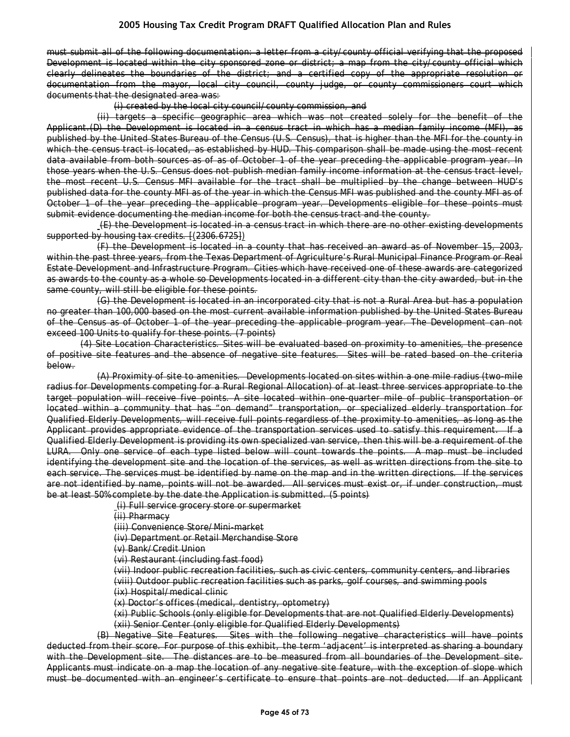must submit all of the following documentation: a letter from a city/county official verifying that the proposed Development is located within the city sponsored zone or district; a map from the city/county official which clearly delineates the boundaries of the district; and a certified copy of the appropriate resolution or documentation from the mayor, local city council, county judge, or county commissioners court which documents that the designated area was:

(i) created by the local city council/county commission, and

(ii) targets a specific geographic area which was not created solely for the benefit of the Applicant.(D) the Development is located in a census tract in which has a median family income (MFI), as published by the United States Bureau of the Census (U.S. Census), that is higher than the MFI for the county in which the census tract is located, as established by HUD. This comparison shall be made using the most recent data available from both sources as of as of October 1 of the year preceding the applicable program year. In those years when the U.S. Census does not publish median family income information at the census tract level, the most recent U.S. Census MFI available for the tract shall be multiplied by the change between HUD's published data for the county MFI as of the year in which the Census MFI was published and the county MFI as of October 1 of the year preceding the applicable program year. Developments eligible for these points must submit evidence documenting the median income for both the census tract and the county.

(E) the Development is located in a census tract in which there are no other existing developments supported by housing tax credits. [(2306.6725])

(F) the Development is located in a county that has received an award as of November 15, 2003, within the past three years, from the Texas Department of Agriculture's Rural Municipal Finance Program or Real Estate Development and Infrastructure Program. Cities which have received one of these awards are categorized as awards to the county as a whole so Developments located in a different city than the city awarded, but in the same county, will still be eligible for these points.

(G) the Development is located in an incorporated city that is not a Rural Area but has a population no greater than 100,000 based on the most current available information published by the United States Bureau of the Census as of October 1 of the year preceding the applicable program year. The Development can not exceed 100 Units to qualify for these points. (7 points)

(4) Site Location Characteristics. Sites will be evaluated based on proximity to amenities, the presence of positive site features and the absence of negative site features. Sites will be rated based on the criteria below.

(A) Proximity of site to amenities. Developments located on sites within a one mile radius (two-mile radius for Developments competing for a Rural Regional Allocation) of at least three services appropriate to the target population will receive five points. A site located within one-quarter mile of public transportation or located within a community that has "on demand" transportation, or specialized elderly transportation for Qualified Elderly Developments, will receive full points regardless of the proximity to amenities, as long as the Applicant provides appropriate evidence of the transportation services used to satisfy this requirement. If a Qualified Elderly Development is providing its own specialized van service, then this will be a requirement of the LURA. Only one service of each type listed below will count towards the points. A map must be included identifying the development site and the location of the services, as well as written directions from the site to each service. The services must be identified by name on the map and in the written directions. If the services are not identified by name, points will not be awarded. All services must exist or, if under construction, must be at least 50% complete by the date the Application is submitted. (5 points)

(i) Full service grocery store or supermarket

(ii) Pharmacy

(iii) Convenience Store/Mini-market

(iv) Department or Retail Merchandise Store

(v) Bank/Credit Union

(vi) Restaurant (including fast food)

(vii) Indoor public recreation facilities, such as civic centers, community centers, and libraries (viii) Outdoor public recreation facilities such as parks, golf courses, and swimming pools

(ix) Hospital/medical clinic

(x) Doctor's offices (medical, dentistry, optometry)

(xi) Public Schools (only eligible for Developments that are not Qualified Elderly Developments) (xii) Senior Center (only eligible for Qualified Elderly Developments)

(B) Negative Site Features. Sites with the following negative characteristics will have points deducted from their score. For purpose of this exhibit, the term 'adjacent' is interpreted as sharing a boundary with the Development site. The distances are to be measured from all boundaries of the Development site. Applicants must indicate on a map the location of any negative site feature, with the exception of slope which must be documented with an engineer's certificate to ensure that points are not deducted. If an Applicant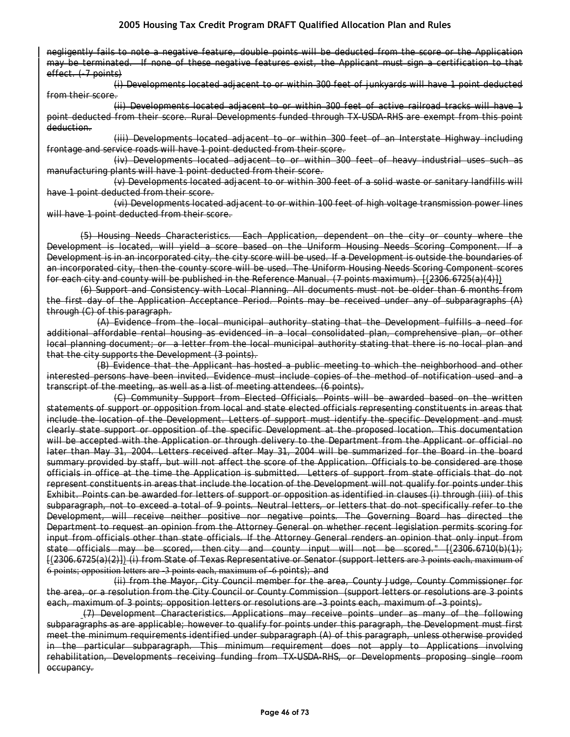negligently fails to note a negative feature, double points will be deducted from the score or the Application may be terminated. If none of these negative features exist, the Applicant must sign a certification to that effect. (-7 points)

(i) Developments located adjacent to or within 300 feet of junkyards will have 1 point deducted from their score.

(ii) Developments located adjacent to or within 300 feet of active railroad tracks will have 1 point deducted from their score. Rural Developments funded through TX-USDA-RHS are exempt from this point deduction.

(iii) Developments located adjacent to or within 300 feet of an Interstate Highway including frontage and service roads will have 1 point deducted from their score.

(iv) Developments located adjacent to or within 300 feet of heavy industrial uses such as manufacturing plants will have 1 point deducted from their score.

(v) Developments located adjacent to or within 300 feet of a solid waste or sanitary landfills will have 1 point deducted from their score.

(vi) Developments located adjacent to or within 100 feet of high voltage transmission power lines will have 1 point deducted from their score.

(5) Housing Needs Characteristics. Each Application, dependent on the city or county where the Development is located, will yield a score based on the Uniform Housing Needs Scoring Component. If a Development is in an incorporated city, the city score will be used. If a Development is outside the boundaries of an incorporated city, then the county score will be used. The Uniform Housing Needs Scoring Component scores for each city and county will be published in the Reference Manual. (7 points maximum). [(2306.6725(a)(4)])

(6) Support and Consistency with Local Planning. All documents must not be older than 6 months from the first day of the Application Acceptance Period. Points may be received under any of subparagraphs (A) through (C) of this paragraph.

(A) Evidence from the local municipal authority stating that the Development fulfills a need for additional affordable rental housing as evidenced in a local consolidated plan, comprehensive plan, or other local planning document; or a letter from the local municipal authority stating that there is no local plan and that the city supports the Development (3 points).

(B) Evidence that the Applicant has hosted a public meeting to which the neighborhood and other interested persons have been invited. Evidence must include copies of the method of notification used and a transcript of the meeting, as well as a list of meeting attendees. (6 points).

(C) Community Support from Elected Officials. Points will be awarded based on the written statements of support or opposition from local and state elected officials representing constituents in areas that include the location of the Development. Letters of support must identify the specific Development and must clearly state support or opposition of the specific Development at the proposed location. This documentation will be accepted with the Application or through delivery to the Department from the Applicant or official no later than May 31, 2004. Letters received after May 31, 2004 will be summarized for the Board in the board summary provided by staff, but will not affect the score of the Application. Officials to be considered are those officials in office at the time the Application is submitted. Letters of support from state officials that do not represent constituents in areas that include the location of the Development will not qualify for points under this Exhibit. Points can be awarded for letters of support or opposition as identified in clauses (i) through (iii) of this subparagraph, not to exceed a total of 9 points. Neutral letters, or letters that do not specifically refer to the Development, will receive neither positive nor negative points. The Governing Board has directed the Department to request an opinion from the Attorney General on whether recent legislation permits scoring for input from officials other than state officials. If the Attorney General renders an opinion that only input from state officials may be scored, then-city and county input will not be scored." [(2306.6710(b)(1); [(2306.6725(a)(2)]) (i) from State of Texas Representative or Senator (support letters are 3 points each, maximum of 6 points; opposition letters are -3 points each, maximum of -6 points); and

(ii) from the Mayor, City Council member for the area, County Judge, County Commissioner for the area, or a resolution from the City Council or County Commission (support letters or resolutions are 3 points each, maximum of 3 points; opposition letters or resolutions are -3 points each, maximum of -3 points).

(7) Development Characteristics. Applications may receive points under as many of the following subparagraphs as are applicable; however to qualify for points under this paragraph, the Development must first meet the minimum requirements identified under subparagraph (A) of this paragraph, unless otherwise provided in the particular subparagraph. This minimum requirement does not apply to Applications involving rehabilitation, Developments receiving funding from TX-USDA-RHS, or Developments proposing single room occupancy.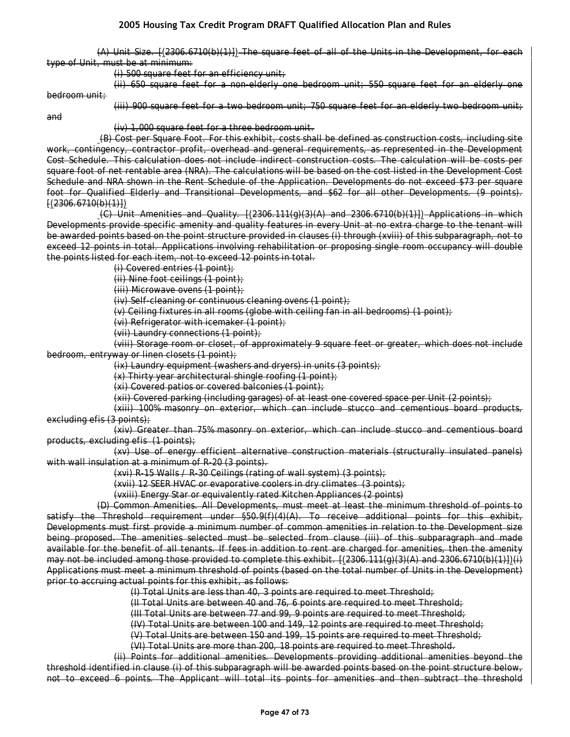(A) Unit Size. [(2306.6710(b)(1)]) The square feet of all of the Units in the Development, for each type of Unit, must be at minimum:

(i) 500 square feet for an efficiency unit;

(ii) 650 square feet for a non-elderly one bedroom unit; 550 square feet for an elderly one bedroom unit;

(iii) 900 square feet for a two bedroom unit; 750 square feet for an elderly two bedroom unit;

and

(iv) 1,000 square feet for a three bedroom unit.

(B) Cost per Square Foot. For this exhibit, costs shall be defined as construction costs, including site work, contingency, contractor profit, overhead and general requirements, as represented in the Development Cost Schedule. This calculation does not include indirect construction costs. The calculation will be costs per square foot of net rentable area (NRA). The calculations will be based on the cost listed in the Development Cost Schedule and NRA shown in the Rent Schedule of the Application. Developments do not exceed \$73 per square foot for Qualified Elderly and Transitional Developments, and \$62 for all other Developments. (9 points).  $(2306.6710(b)(1))$ 

 $(C)$  Unit Amenities and Quality.  $[(2306.111(q)(3)(A)$  and  $2306.6710(b)(1))]$  Applications in which Developments provide specific amenity and quality features in every Unit at no extra charge to the tenant will be awarded points based on the point structure provided in clauses (i) through (xviii) of this subparagraph, not to exceed 12 points in total. Applications involving rehabilitation or proposing single room occupancy will double the points listed for each item, not to exceed 12 points in total.

(i) Covered entries (1 point);

(ii) Nine foot ceilings (1 point);

(iii) Microwave ovens (1 point);

(iv) Self-cleaning or continuous cleaning ovens (1 point);

(v) Ceiling fixtures in all rooms (globe with ceiling fan in all bedrooms) (1 point);

(vi) Refrigerator with icemaker (1 point);

(vii) Laundry connections (1 point);

(viii) Storage room or closet, of approximately 9 square feet or greater, which does not include bedroom, entryway or linen closets (1 point);

 $(ix)$  Laundry equipment (washers and dryers) in units  $(3 \text{ points})$ ;

(x) Thirty year architectural shingle roofing (1 point);

(xi) Covered patios or covered balconies (1 point);

(xii) Covered parking (including garages) of at least one covered space per Unit (2 points);

(xiii) 100% masonry on exterior, which can include stucco and cementious board products, excluding efis (3 points);

(xiv) Greater than 75% masonry on exterior, which can include stucco and cementious board products, excluding efis (1 points);

(xv) Use of energy efficient alternative construction materials (structurally insulated panels) with wall insulation at a minimum of R-20 (3 points).

(xvi) R-15 Walls / R-30 Ceilings (rating of wall system) (3 points);

(xvii) 12 SEER HVAC or evaporative coolers in dry climates (3 points);

(vxiii) Energy Star or equivalently rated Kitchen Appliances (2 points)

(D) Common Amenities. All Developments, must meet at least the minimum threshold of points to satisfy the Threshold requirement under §50.9(f)(4)(A). To receive additional points for this exhibit, Developments must first provide a minimum number of common amenities in relation to the Development size being proposed. The amenities selected must be selected from clause (iii) of this subparagraph and made available for the benefit of all tenants. If fees in addition to rent are charged for amenities, then the amenity may not be included among those provided to complete this exhibit. [(2306.111(g)(3)(A) and 2306.6710(b)(1)])(i) Applications must meet a minimum threshold of points (based on the total number of Units in the Development) prior to accruing actual points for this exhibit, as follows:

(I) Total Units are less than 40, 3 points are required to meet Threshold;

(II Total Units are between 40 and 76, 6 points are required to meet Threshold;

(III Total Units are between 77 and 99, 9 points are required to meet Threshold;

(IV) Total Units are between 100 and 149, 12 points are required to meet Threshold;

(V) Total Units are between 150 and 199, 15 points are required to meet Threshold;

(VI) Total Units are more than 200, 18 points are required to meet Threshold.

(ii) Points for additional amenities. Developments providing additional amenities beyond the threshold identified in clause (i) of this subparagraph will be awarded points based on the point structure below, not to exceed 6 points. The Applicant will total its points for amenities and then subtract the threshold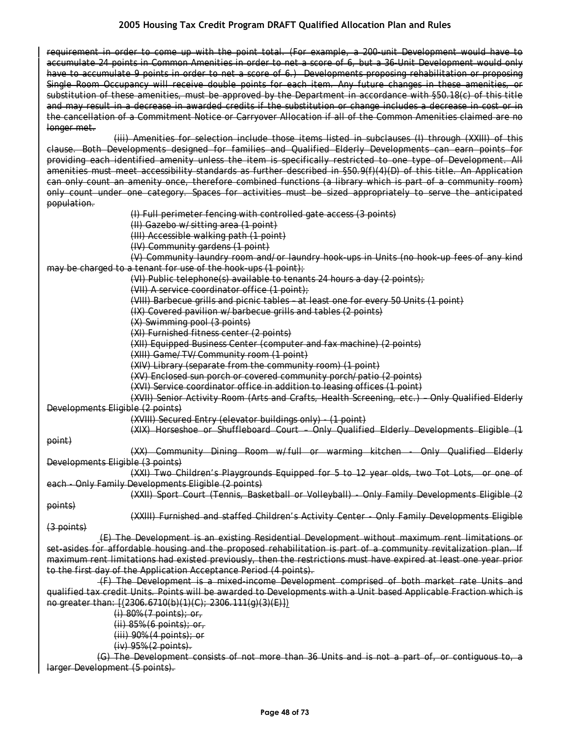requirement in order to come up with the point total. (For example, a 200-unit Development would have to accumulate 24 points in Common Amenities in order to net a score of 6, but a 36-Unit Development would only have to accumulate 9 points in order to net a score of 6.) Developments proposing rehabilitation or proposing Single Room Occupancy will receive double points for each item. Any future changes in these amenities, or substitution of these amenities, must be approved by the Department in accordance with §50.18(c) of this title and may result in a decrease in awarded credits if the substitution or change includes a decrease in cost or in the cancellation of a Commitment Notice or Carryover Allocation if all of the Common Amenities claimed are no longer met.

(iii) Amenities for selection include those items listed in subclauses (I) through (XXIII) of this clause. Both Developments designed for families and Qualified Elderly Developments can earn points for providing each identified amenity unless the item is specifically restricted to one type of Development. All amenities must meet accessibility standards as further described in §50.9(f)(4)(D) of this title. An Application can only count an amenity once, therefore combined functions (a library which is part of a community room) only count under one category. Spaces for activities must be sized appropriately to serve the anticipated population.

(I) Full perimeter fencing with controlled gate access (3 points)

(II) Gazebo w/sitting area (1 point)

(III) Accessible walking path (1 point)

(IV) Community gardens (1 point)

(V) Community laundry room and/or laundry hook-ups in Units (no hook-up fees of any kind may be charged to a tenant for use of the hook-ups (1 point);

(VI) Public telephone(s) available to tenants 24 hours a day (2 points);

(VII) A service coordinator office (1 point);

(VIII) Barbecue grills and picnic tables – at least one for every 50 Units (1 point)

(IX) Covered pavilion w/barbecue grills and tables (2 points)

(X) Swimming pool (3 points)

(XI) Furnished fitness center (2 points)

(XII) Equipped Business Center (computer and fax machine) (2 points)

(XIII) Game/TV/Community room (1 point)

(XIV) Library (separate from the community room) (1 point)

(XV) Enclosed sun porch or covered community porch/patio (2 points)

(XVI) Service coordinator office in addition to leasing offices (1 point)

(XVII) Senior Activity Room (Arts and Crafts, Health Screening, etc.) – Only Qualified Elderly Developments Eligible (2 points)

(XVIII) Secured Entry (elevator buildings only) - (1 point)

(XIX) Horseshoe or Shuffleboard Court – Only Qualified Elderly Developments Eligible (1

point)

(XX) Community Dining Room w/full or warming kitchen - Only Qualified Elderly Developments Eligible (3 points)

(XXI) Two Children's Playgrounds Equipped for 5 to 12 year olds, two Tot Lots, or one of each - Only Family Developments Eligible (2 points)

(XXII) Sport Court (Tennis, Basketball or Volleyball) - Only Family Developments Eligible (2

points)

(XXIII) Furnished and staffed Children's Activity Center - Only Family Developments Eligible

(3 points)

(E) The Development is an existing Residential Development without maximum rent limitations or set-asides for affordable housing and the proposed rehabilitation is part of a community revitalization plan. If maximum rent limitations had existed previously, then the restrictions must have expired at least one year prior to the first day of the Application Acceptance Period (4 points).

(F) The Development is a mixed-income Development comprised of both market rate Units and qualified tax credit Units. Points will be awarded to Developments with a Unit based Applicable Fraction which is no greater than: [(2306.6710(b)(1)(C); 2306.111(g)(3)(E)])

> (i) 80% (7 points); or, (ii) 85% (6 points); or, (iii) 90% (4 points); or (iv) 95% (2 points).

(G) The Development consists of not more than 36 Units and is not a part of, or contiguous to, a larger Development (5 points).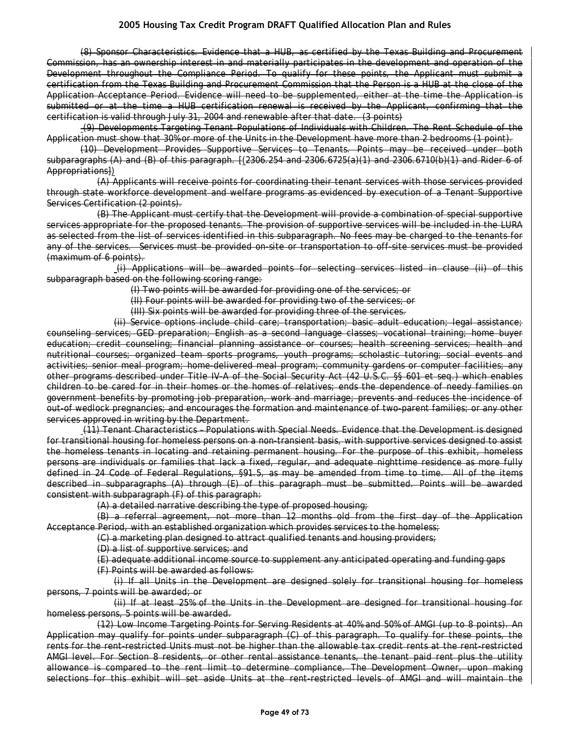(8) Sponsor Characteristics. Evidence that a HUB, as certified by the Texas Building and Procurement Commission, has an ownership interest in and materially participates in the development and operation of the Development throughout the Compliance Period. To qualify for these points, the Applicant must submit a certification from the Texas Building and Procurement Commission that the Person is a HUB at the close of the Application Acceptance Period. Evidence will need to be supplemented, either at the time the Application is submitted or at the time a HUB certification renewal is received by the Applicant, confirming that the certification is valid through July 31, 2004 and renewable after that date. (3 points)

(9) Developments Targeting Tenant Populations of Individuals with Children. The Rent Schedule of the Application must show that 30% or more of the Units in the Development have more than 2 bedrooms (1 point).

(10) Development Provides Supportive Services to Tenants. Points may be received under both subparagraphs (A) and (B) of this paragraph. [(2306.254 and 2306.6725(a)(1) and 2306.6710(b)(1) and Rider 6 of Appropriations])

(A) Applicants will receive points for coordinating their tenant services with those services provided through state workforce development and welfare programs as evidenced by execution of a Tenant Supportive Services Certification (2 points).

(B) The Applicant must certify that the Development will provide a combination of special supportive services appropriate for the proposed tenants. The provision of supportive services will be included in the LURA as selected from the list of services identified in this subparagraph. No fees may be charged to the tenants for any of the services. Services must be provided on-site or transportation to off-site services must be provided (maximum of 6 points).

(i) Applications will be awarded points for selecting services listed in clause (ii) of this subparagraph based on the following scoring range:

(I) Two points will be awarded for providing one of the services; or

(II) Four points will be awarded for providing two of the services; or

(III) Six points will be awarded for providing three of the services.

(ii) Service options include child care; transportation; basic adult education; legal assistance; counseling services; GED preparation; English as a second language classes; vocational training; home buyer education; credit counseling; financial planning assistance or courses; health screening services; health and nutritional courses; organized team sports programs, youth programs; scholastic tutoring; social events and activities; senior meal program; home-delivered meal program; community gardens or computer facilities; any other programs described under Title IV-A of the Social Security Act (42 U.S.C. §§ 601 et seq.) which enables children to be cared for in their homes or the homes of relatives; ends the dependence of needy families on government benefits by promoting job preparation, work and marriage; prevents and reduces the incidence of out-of wedlock pregnancies; and encourages the formation and maintenance of two-parent families; or any other services approved in writing by the Department.

(11) Tenant Characteristics – Populations with Special Needs. Evidence that the Development is designed for transitional housing for homeless persons on a non-transient basis, with supportive services designed to assist the homeless tenants in locating and retaining permanent housing. For the purpose of this exhibit, homeless persons are individuals or families that lack a fixed, regular, and adequate nighttime residence as more fully defined in 24 Code of Federal Regulations, §91.5, as may be amended from time to time. All of the items described in subparagraphs (A) through (E) of this paragraph must be submitted. Points will be awarded consistent with subparagraph (F) of this paragraph:

(A) a detailed narrative describing the type of proposed housing;

(B) a referral agreement, not more than 12 months old from the first day of the Application Acceptance Period, with an established organization which provides services to the homeless;

(C) a marketing plan designed to attract qualified tenants and housing providers;

(D) a list of supportive services; and

(E) adequate additional income source to supplement any anticipated operating and funding gaps

(F) Points will be awarded as follows:

(i) If all Units in the Development are designed solely for transitional housing for homeless persons, 7 points will be awarded; or

(ii) If at least 25% of the Units in the Development are designed for transitional housing for homeless persons, 5 points will be awarded.

(12) Low Income Targeting Points for Serving Residents at 40% and 50% of AMGI (up to 8 points). An Application may qualify for points under subparagraph (C) of this paragraph. To qualify for these points, the rents for the rent-restricted Units must not be higher than the allowable tax credit rents at the rent-restricted AMGI level. For Section 8 residents, or other rental assistance tenants, the tenant paid rent plus the utility allowance is compared to the rent limit to determine compliance. The Development Owner, upon making selections for this exhibit will set aside Units at the rent-restricted levels of AMGI and will maintain the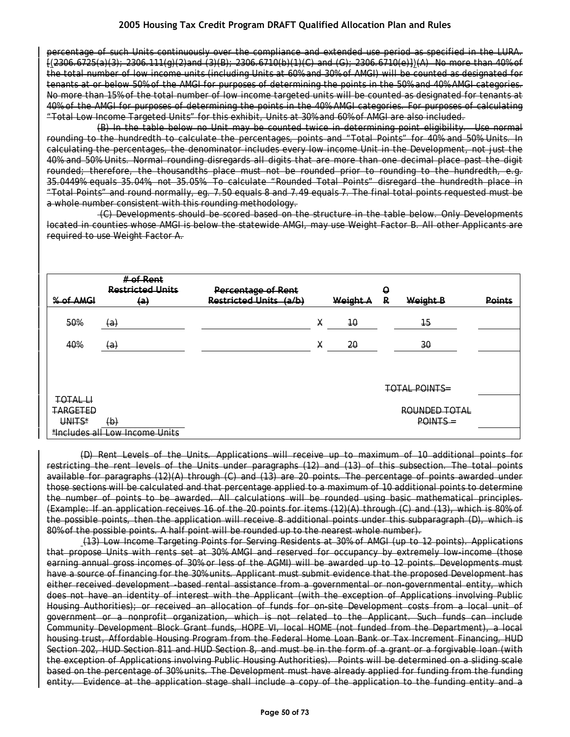percentage of such Units continuously over the compliance and extended use period as specified in the LURA. [(2306.6725(a)(3); 2306.111(g)(2)and (3)(B); 2306.6710(b)(1)(C) and (G); 2306.6710(e)])(A) No more than 40% of the total number of low income units (including Units at 60% and 30% of AMGI) will be counted as designated for tenants at or below 50% of the AMGI for purposes of determining the points in the 50% and 40% AMGI categories. No more than 15% of the total number of low income targeted units will be counted as designated for tenants at 40% of the AMGI for purposes of determining the points in the 40% AMGI categories. For purposes of calculating "Total Low Income Targeted Units" for this exhibit, Units at 30% and 60% of AMGI are also included.

(B) In the table below no Unit may be counted twice in determining point eligibility. Use normal rounding to the hundredth to calculate the percentages, points and "Total Points" for 40% and 50% Units. In calculating the percentages, the denominator includes every low income Unit in the Development, not just the 40% and 50% Units. Normal rounding disregards all digits that are more than one decimal place past the digit rounded; therefore, the thousandths place must not be rounded prior to rounding to the hundredth, e.g. 35.0449% equals 35.04%, not 35.05%. To calculate "Rounded Total Points" disregard the hundredth place in "Total Points" and round normally, eg. 7.50 equals 8 and 7.49 equals 7. The final total points requested must be a whole number consistent with this rounding methodology.

(C) Developments should be scored based on the structure in the table below. Only Developments located in counties whose AMGI is below the statewide AMGI, may use Weight Factor B. All other Applicants are required to use Weight Factor A.

|                                | # of Rent<br><b>Restricted Units</b> | <b>Percentage of Rent</b>     |   |          | Q |                      |               |  |
|--------------------------------|--------------------------------------|-------------------------------|---|----------|---|----------------------|---------------|--|
| % of AMGI                      | $\left( a\right)$                    | <b>Restricted Units (a/b)</b> |   | Weight A | R | Weight B             | <b>Points</b> |  |
| 50%                            | $\left( a\right)$                    |                               | Х | 40       |   | $\overline{15}$      |               |  |
| 40%                            | $\left( a\right)$                    |                               | X | 20       |   | 30                   |               |  |
|                                |                                      |                               |   |          |   |                      |               |  |
|                                |                                      |                               |   |          |   | <b>TOTAL POINTS=</b> |               |  |
| TOTAL LI                       |                                      |                               |   |          |   |                      |               |  |
| <b>TARGETED</b>                |                                      |                               |   |          |   | ROUNDED TOTAL        |               |  |
| UNITS*                         | $\left(\theta\right)$                |                               |   |          |   | POINTS =             |               |  |
| *Includes all Low Income Units |                                      |                               |   |          |   |                      |               |  |

(D) Rent Levels of the Units. Applications will receive up to maximum of 10 additional points for restricting the rent levels of the Units under paragraphs (12) and (13) of this subsection. The total points available for paragraphs (12)(A) through (C) and (13) are 20 points. The percentage of points awarded under those sections will be calculated and that percentage applied to a maximum of 10 additional points to determine the number of points to be awarded. All calculations will be rounded using basic mathematical principles. (Example: If an application receives 16 of the 20 points for items (12)(A) through (C) and (13), which is 80% of the possible points, then the application will receive 8 additional points under this subparagraph (D), which is 80% of the possible points. A half point will be rounded up to the nearest whole number).

(13) Low Income Targeting Points for Serving Residents at 30% of AMGI (up to 12 points). Applications that propose Units with rents set at 30% AMGI and reserved for occupancy by extremely low-income (those earning annual gross incomes of 30% or less of the AGMI) will be awarded up to 12 points. Developments must have a source of financing for the 30% units. Applicant must submit evidence that the proposed Development has either received development -based rental assistance from a governmental or non-governmental entity, which does not have an identity of interest with the Applicant (with the exception of Applications involving Public Housing Authorities); or received an allocation of funds for on-site Development costs from a local unit of government or a nonprofit organization, which is not related to the Applicant. Such funds can include Community Development Block Grant funds, HOPE VI, local HOME (not funded from the Department), a local housing trust, Affordable Housing Program from the Federal Home Loan Bank or Tax Increment Financing, HUD Section 202, HUD Section 811 and HUD Section 8, and must be in the form of a grant or a forgivable loan (with the exception of Applications involving Public Housing Authorities). Points will be determined on a sliding scale based on the percentage of 30% units. The Development must have already applied for funding from the funding entity. Evidence at the application stage shall include a copy of the application to the funding entity and a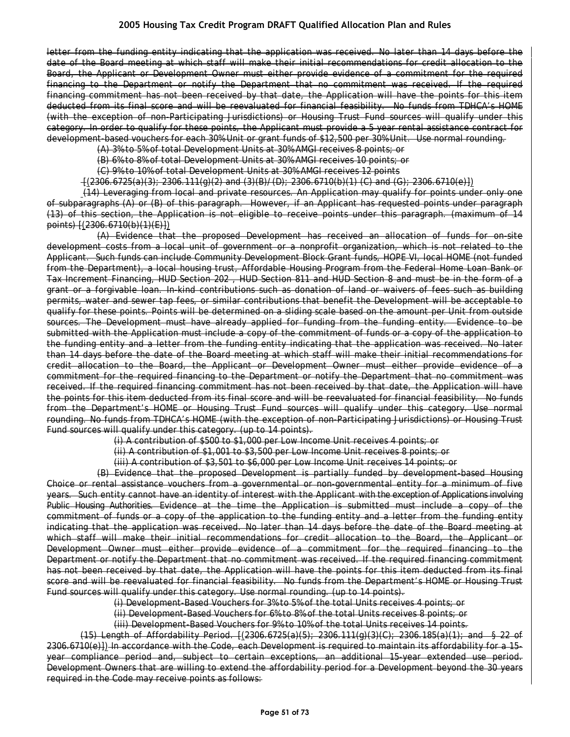letter from the funding entity indicating that the application was received. No later than 14 days before the date of the Board meeting at which staff will make their initial recommendations for credit allocation to the Board, the Applicant or Development Owner must either provide evidence of a commitment for the required financing to the Department or notify the Department that no commitment was received. If the required financing commitment has not been received by that date, the Application will have the points for this item deducted from its final score and will be reevaluated for financial feasibility. No funds from TDHCA's HOME (with the exception of non-Participating Jurisdictions) or Housing Trust Fund sources will qualify under this category. In order to qualify for these points, the Applicant must provide a 5 year rental assistance contract for development-based vouchers for each 30% Unit or grant funds of \$12,500 per 30% Unit. Use normal rounding.

(A) 3% to 5% of total Development Units at 30% AMGI receives 8 points; or

(B) 6% to 8% of total Development Units at 30% AMGI receives 10 points; or

(C) 9% to 10% of total Development Units at 30% AMGI receives 12 points

 $-\frac{1}{2306.6725(a)(3)}$ ; 2306.111(g)(2) and (3)(B)/(D); 2306.6710(b)(1) (C) and (G); 2306.6710(e)])

(14) Leveraging from local and private resources. An Application may qualify for points under only one of subparagraphs (A) or (B) of this paragraph. However, if an Applicant has requested points under paragraph (13) of this section, the Application is not eligible to receive points under this paragraph. (maximum of 14 points) [(2306.6710(b)(1)(E)])

(A) Evidence that the proposed Development has received an allocation of funds for on-site development costs from a local unit of government or a nonprofit organization, which is not related to the Applicant. Such funds can include Community Development Block Grant funds, HOPE VI, local HOME (not funded from the Department), a local housing trust, Affordable Housing Program from the Federal Home Loan Bank or Tax Increment Financing, HUD Section 202 , HUD Section 811 and HUD Section 8 and must be in the form of a grant or a forgivable loan. In-kind contributions such as donation of land or waivers of fees such as building permits, water and sewer tap fees, or similar contributions that benefit the Development will be acceptable to qualify for these points. Points will be determined on a sliding scale based on the amount per Unit from outside sources. The Development must have already applied for funding from the funding entity. Evidence to be submitted with the Application must include a copy of the commitment of funds or a copy of the application to the funding entity and a letter from the funding entity indicating that the application was received. No later than 14 days before the date of the Board meeting at which staff will make their initial recommendations for credit allocation to the Board, the Applicant or Development Owner must either provide evidence of a commitment for the required financing to the Department or notify the Department that no commitment was received. If the required financing commitment has not been received by that date, the Application will have the points for this item deducted from its final score and will be reevaluated for financial feasibility. No funds from the Department's HOME or Housing Trust Fund sources will qualify under this category. Use normal rounding. No funds from TDHCA's HOME (with the exception of non-Participating Jurisdictions) or Housing Trust Fund sources will qualify under this category. (up to 14 points).

(i) A contribution of \$500 to \$1,000 per Low Income Unit receives 4 points; or

(ii) A contribution of \$1,001 to \$3,500 per Low Income Unit receives 8 points; or

(iii) A contribution of \$3,501 to \$6,000 per Low Income Unit receives 14 points; or

(B) Evidence that the proposed Development is partially funded by development-based Housing Choice or rental assistance vouchers from a governmental or non-governmental entity for a minimum of five years. Such entity cannot have an identity of interest with the Applicant with the exception of Applications involving Public Housing Authorities. Evidence at the time the Application is submitted must include a copy of the commitment of funds or a copy of the application to the funding entity and a letter from the funding entity indicating that the application was received. No later than 14 days before the date of the Board meeting at which staff will make their initial recommendations for credit allocation to the Board, the Applicant or Development Owner must either provide evidence of a commitment for the required financing to the Department or notify the Department that no commitment was received. If the required financing commitment has not been received by that date, the Application will have the points for this item deducted from its final score and will be reevaluated for financial feasibility. No funds from the Department's HOME or Housing Trust Fund sources will qualify under this category. Use normal rounding. (up to 14 points).

(i) Development-Based Vouchers for 3% to 5% of the total Units receives 4 points; or

(ii) Development-Based Vouchers for 6% to 8% of the total Units receives 8 points; or

(iii) Development-Based Vouchers for 9% to 10% of the total Units receives 14 points.

 $(15)$  Length of Affordability Period.  $[(2306.6725(a)(5); 2306.111(g)(3)(C); 2306.185(a)(1);$  and § 22 of 2306.6710(e)]) In accordance with the Code, each Development is required to maintain its affordability for a 15 year compliance period and, subject to certain exceptions, an additional 15-year extended use period. Development Owners that are willing to extend the affordability period for a Development beyond the 30 years required in the Code may receive points as follows: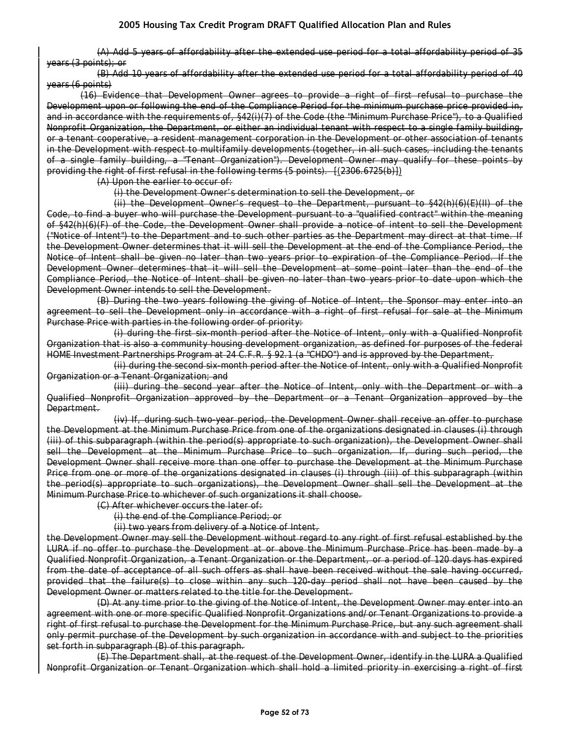(A) Add 5 years of affordability after the extended use period for a total affordability period of 35 years (3 points); or

(B) Add 10 years of affordability after the extended use period for a total affordability period of 40 years (6 points)

(16) Evidence that Development Owner agrees to provide a right of first refusal to purchase the Development upon or following the end of the Compliance Period for the minimum purchase price provided in, and in accordance with the requirements of, §42(i)(7) of the Code (the "Minimum Purchase Price"), to a Qualified Nonprofit Organization, the Department, or either an individual tenant with respect to a single family building, or a tenant cooperative, a resident management corporation in the Development or other association of tenants in the Development with respect to multifamily developments (together, in all such cases, including the tenants of a single family building, a "Tenant Organization"). Development Owner may qualify for these points by providing the right of first refusal in the following terms (5 points). [(2306.6725(b)])

(A) Upon the earlier to occur of:

(i) the Development Owner's determination to sell the Development, or

(ii) the Development Owner's request to the Department, pursuant to §42(h)(6)(E)(II) of the Code, to find a buyer who will purchase the Development pursuant to a "qualified contract" within the meaning of §42(h)(6)(F) of the Code, the Development Owner shall provide a notice of intent to sell the Development ("Notice of Intent") to the Department and to such other parties as the Department may direct at that time. If the Development Owner determines that it will sell the Development at the end of the Compliance Period, the Notice of Intent shall be given no later than two years prior to expiration of the Compliance Period. If the Development Owner determines that it will sell the Development at some point later than the end of the Compliance Period, the Notice of Intent shall be given no later than two years prior to date upon which the Development Owner intends to sell the Development.

(B) During the two years following the giving of Notice of Intent, the Sponsor may enter into an agreement to sell the Development only in accordance with a right of first refusal for sale at the Minimum Purchase Price with parties in the following order of priority:

(i) during the first six-month period after the Notice of Intent, only with a Qualified Nonprofit Organization that is also a community housing development organization, as defined for purposes of the federal HOME Investment Partnerships Program at 24 C.F.R. § 92.1 (a "CHDO") and is approved by the Department,

(ii) during the second six-month period after the Notice of Intent, only with a Qualified Nonprofit Organization or a Tenant Organization; and

(iii) during the second year after the Notice of Intent, only with the Department or with a Qualified Nonprofit Organization approved by the Department or a Tenant Organization approved by the Department.

(iv) If, during such two-year period, the Development Owner shall receive an offer to purchase the Development at the Minimum Purchase Price from one of the organizations designated in clauses (i) through (iii) of this subparagraph (within the period(s) appropriate to such organization), the Development Owner shall sell the Development at the Minimum Purchase Price to such organization. If, during such period, the Development Owner shall receive more than one offer to purchase the Development at the Minimum Purchase Price from one or more of the organizations designated in clauses (i) through (iii) of this subparagraph (within the period(s) appropriate to such organizations), the Development Owner shall sell the Development at the Minimum Purchase Price to whichever of such organizations it shall choose.

(C) After whichever occurs the later of:

(i) the end of the Compliance Period; or

(ii) two years from delivery of a Notice of Intent,

the Development Owner may sell the Development without regard to any right of first refusal established by the LURA if no offer to purchase the Development at or above the Minimum Purchase Price has been made by a Qualified Nonprofit Organization, a Tenant Organization or the Department, or a period of 120 days has expired from the date of acceptance of all such offers as shall have been received without the sale having occurred, provided that the failure(s) to close within any such 120-day period shall not have been caused by the Development Owner or matters related to the title for the Development.

(D) At any time prior to the giving of the Notice of Intent, the Development Owner may enter into an agreement with one or more specific Qualified Nonprofit Organizations and/or Tenant Organizations to provide a right of first refusal to purchase the Development for the Minimum Purchase Price, but any such agreement shall only permit purchase of the Development by such organization in accordance with and subject to the priorities set forth in subparagraph (B) of this paragraph.

(E) The Department shall, at the request of the Development Owner, identify in the LURA a Qualified Nonprofit Organization or Tenant Organization which shall hold a limited priority in exercising a right of first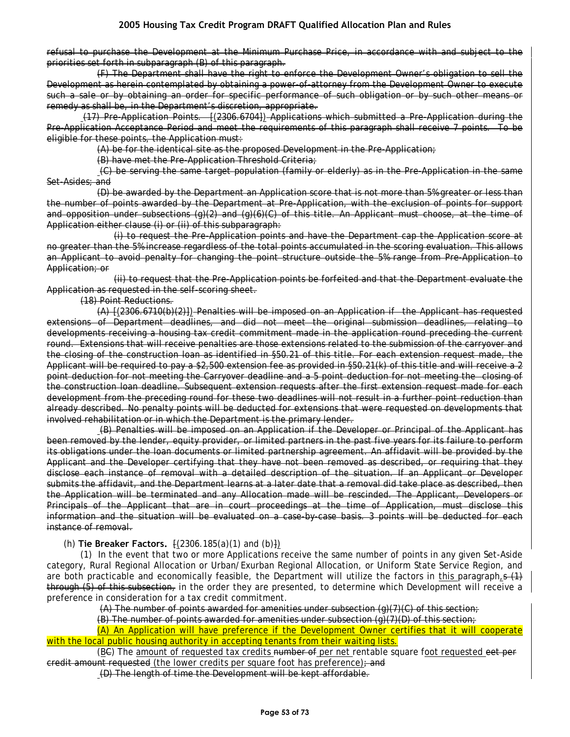refusal to purchase the Development at the Minimum Purchase Price, in accordance with and subject to the priorities set forth in subparagraph (B) of this paragraph.

(F) The Department shall have the right to enforce the Development Owner's obligation to sell the Development as herein contemplated by obtaining a power-of-attorney from the Development Owner to execute such a sale or by obtaining an order for specific performance of such obligation or by such other means or remedy as shall be, in the Department's discretion, appropriate.

(17) Pre-Application Points. [(2306.6704]) Applications which submitted a Pre-Application during the Pre-Application Acceptance Period and meet the requirements of this paragraph shall receive 7 points. To be eligible for these points, the Application must:

(A) be for the identical site as the proposed Development in the Pre-Application;

(B) have met the Pre-Application Threshold Criteria;

(C) be serving the same target population (family or elderly) as in the Pre-Application in the same Set-Asides; and

(D) be awarded by the Department an Application score that is not more than 5% greater or less than the number of points awarded by the Department at Pre-Application, with the exclusion of points for support and opposition under subsections (g)(2) and (g)(6)(C) of this title. An Applicant must choose, at the time of Application either clause (i) or (ii) of this subparagraph:

(i) to request the Pre-Application points and have the Department cap the Application score at no greater than the 5% increase regardless of the total points accumulated in the scoring evaluation. This allows an Applicant to avoid penalty for changing the point structure outside the 5% range from Pre-Application to Application; or

(ii) to request that the Pre-Application points be forfeited and that the Department evaluate the Application as requested in the self-scoring sheet.

(18) Point Reductions.

(A) [(2306.6710(b)(2)]) Penalties will be imposed on an Application if the Applicant has requested extensions of Department deadlines, and did not meet the original submission deadlines, relating to developments receiving a housing tax credit commitment made in the application round preceding the current round. Extensions that will receive penalties are those extensions related to the submission of the carryover and the closing of the construction loan as identified in §50.21 of this title. For each extension request made, the Applicant will be required to pay a \$2,500 extension fee as provided in §50.21(k) of this title and will receive a 2 point deduction for not meeting the Carryover deadline and a 5 point deduction for not meeting the closing of the construction loan deadline. Subsequent extension requests after the first extension request made for each development from the preceding round for these two deadlines will not result in a further point reduction than already described. No penalty points will be deducted for extensions that were requested on developments that involved rehabilitation or in which the Department is the primary lender.

(B) Penalties will be imposed on an Application if the Developer or Principal of the Applicant has been removed by the lender, equity provider, or limited partners in the past five years for its failure to perform its obligations under the loan documents or limited partnership agreement. An affidavit will be provided by the Applicant and the Developer certifying that they have not been removed as described, or requiring that they disclose each instance of removal with a detailed description of the situation. If an Applicant or Developer submits the affidavit, and the Department learns at a later date that a removal did take place as described, then the Application will be terminated and any Allocation made will be rescinded. The Applicant, Developers or Principals of the Applicant that are in court proceedings at the time of Application, must disclose this information and the situation will be evaluated on a case-by-case basis. 3 points will be deducted for each instance of removal.

#### (h) **Tie Breaker Factors.** [(2306.185(a)(1) and (b)])

(1) In the event that two or more Applications receive the same number of points in any given Set-Aside category, Rural Regional Allocation or Urban/Exurban Regional Allocation, or Uniform State Service Region, and are both practicable and economically feasible, the Department will utilize the factors in this paragraph<sub>1</sub>s  $(1)$ through (5) of this subsection, in the order they are presented, to determine which Development will receive a preference in consideration for a tax credit commitment.

(A) The number of points awarded for amenities under subsection  $(q)(7)(C)$  of this section;

(B) The number of points awarded for amenities under subsection  $(g)(7)(D)$  of this section;

(A) An Application will have preference if the Development Owner certifies that it will cooperate with the local public housing authority in accepting tenants from their waiting lists.

(BC) The amount of requested tax credits number of per net rentable square foot requested eet per credit amount requested (the lower credits per square foot has preference); and

(D) The length of time the Development will be kept affordable.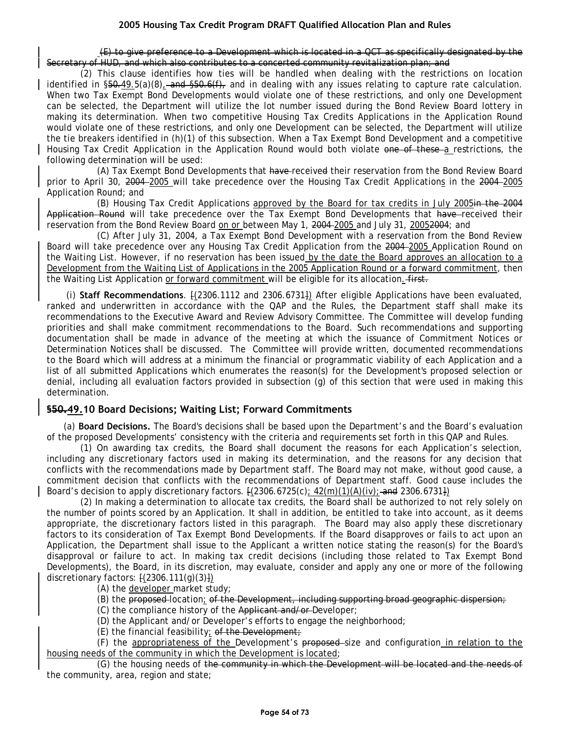(E) to give preference to a Development which is located in a QCT as specifically designated by the Secretary of HUD, and which also contributes to a concerted community revitalization plan; and

(2) This clause identifies how ties will be handled when dealing with the restrictions on location identified in  $\S50.49.5(a)(8)$ , and  $\S50.6(f)$ , and in dealing with any issues relating to capture rate calculation. When two Tax Exempt Bond Developments would violate one of these restrictions, and only one Development can be selected, the Department will utilize the lot number issued during the Bond Review Board lottery in making its determination. When two competitive Housing Tax Credits Applications in the Application Round would violate one of these restrictions, and only one Development can be selected, the Department will utilize the tie breakers identified in (h)(1) of this subsection. When a Tax Exempt Bond Development and a competitive Housing Tax Credit Application in the Application Round would both violate one of these a restrictions, the following determination will be used:

(A) Tax Exempt Bond Developments that have received their reservation from the Bond Review Board prior to April 30, 2004 2005 will take precedence over the Housing Tax Credit Applications in the 2004 2005 Application Round; and

(B) Housing Tax Credit Applications approved by the Board for tax credits in July 2005in the 2004 Application Round will take precedence over the Tax Exempt Bond Developments that have-received their reservation from the Bond Review Board on or between May 1, 2004 2005 and July 31, 20052004; and

(C) After July 31, 2004, a Tax Exempt Bond Development with a reservation from the Bond Review Board will take precedence over any Housing Tax Credit Application from the 2004–2005 Application Round on the Waiting List. However, if no reservation has been issued by the date the Board approves an allocation to a Development from the Waiting List of Applications in the 2005 Application Round or a forward commitment, then the Waiting List Application or forward commitment will be eligible for its allocation. First.

(i) **Staff Recommendations**. [(2306.1112 and 2306.6731]) After eligible Applications have been evaluated, ranked and underwritten in accordance with the QAP and the Rules, the Department staff shall make its recommendations to the Executive Award and Review Advisory Committee. The Committee will develop funding priorities and shall make commitment recommendations to the Board. Such recommendations and supporting documentation shall be made in advance of the meeting at which the issuance of Commitment Notices or Determination Notices shall be discussed. The Committee will provide written, documented recommendations to the Board which will address at a minimum the financial or programmatic viability of each Application and a list of all submitted Applications which enumerates the reason(s) for the Development's proposed selection or denial, including all evaluation factors provided in subsection (g) of this section that were used in making this determination.

# **§50.49.10 Board Decisions; Waiting List; Forward Commitments**

(a) **Board Decisions.** The Board's decisions shall be based upon the Department's and the Board's evaluation of the proposed Developments' consistency with the criteria and requirements set forth in this QAP and Rules.

(1) On awarding tax credits, the Board shall document the reasons for each Application's selection, including any discretionary factors used in making its determination, and the reasons for any decision that conflicts with the recommendations made by Department staff. The Board may not make, without good cause, a commitment decision that conflicts with the recommendations of Department staff. Good cause includes the Board's decision to apply discretionary factors.  $[(2306.6725(c); 42(m)(1)(A)(iv);$  and 2306.6731})

(2) In making a determination to allocate tax credits, the Board shall be authorized to not rely solely on the number of points scored by an Application. It shall in addition, be entitled to take into account, as it deems appropriate, the discretionary factors listed in this paragraph. The Board may also apply these discretionary factors to its consideration of Tax Exempt Bond Developments. If the Board disapproves or fails to act upon an Application, the Department shall issue to the Applicant a written notice stating the reason(s) for the Board's disapproval or failure to act. In making tax credit decisions (including those related to Tax Exempt Bond Developments), the Board, in its discretion, may evaluate, consider and apply any one or more of the following discretionary factors: [(2306.111(g)(3)])

(A) the developer market study;

- (B) the proposed location; of the Development, including supporting broad geographic dispersion;
- (C) the compliance history of the Applicant and/or Developer;
- (D) the Applicant and/or Developer's efforts to engage the neighborhood;
- (E) the financial feasibility; of the Development;

(F) the appropriateness of the Development's proposed size and configuration in relation to the housing needs of the community in which the Development is located;

(G) the housing needs of the community in which the Development will be located and the needs of the community, area, region and state;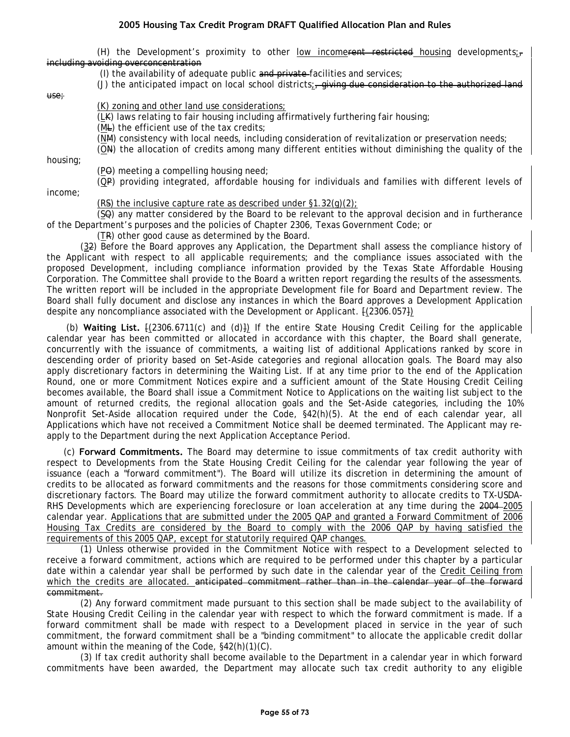(H) the Development's proximity to other low incomerent restricted housing developments; including avoiding overconcentration

(I) the availability of adequate public and private facilities and services;

(J) the anticipated impact on local school districts;  $\frac{1}{2}$  giving due consideration to the authorized land

use;

#### (K) zoning and other land use considerations;

(LK) laws relating to fair housing including affirmatively furthering fair housing;

- (ML) the efficient use of the tax credits;
- (NM) consistency with local needs, including consideration of revitalization or preservation needs;
- (ON) the allocation of credits among many different entities without diminishing the quality of the

housing;

(PO) meeting a compelling housing need;

(QP) providing integrated, affordable housing for individuals and families with different levels of income;

(RS) the inclusive capture rate as described under  $\S1.32(q)(2)$ ;

(SQ) any matter considered by the Board to be relevant to the approval decision and in furtherance of the Department's purposes and the policies of Chapter 2306, Texas Government Code; or

(TR) other good cause as determined by the Board.

(32) Before the Board approves any Application, the Department shall assess the compliance history of the Applicant with respect to all applicable requirements; and the compliance issues associated with the proposed Development, including compliance information provided by the Texas State Affordable Housing Corporation. The Committee shall provide to the Board a written report regarding the results of the assessments. The written report will be included in the appropriate Development file for Board and Department review. The Board shall fully document and disclose any instances in which the Board approves a Development Application despite any noncompliance associated with the Development or Applicant. [(2306.057])

(b) **Waiting List.** [(2306.6711(c) and (d)]) If the entire State Housing Credit Ceiling for the applicable calendar year has been committed or allocated in accordance with this chapter, the Board shall generate, concurrently with the issuance of commitments, a waiting list of additional Applications ranked by score in descending order of priority based on Set-Aside categories and regional allocation goals. The Board may also apply discretionary factors in determining the Waiting List. If at any time prior to the end of the Application Round, one or more Commitment Notices expire and a sufficient amount of the State Housing Credit Ceiling becomes available, the Board shall issue a Commitment Notice to Applications on the waiting list subject to the amount of returned credits, the regional allocation goals and the Set-Aside categories, including the 10% Nonprofit Set-Aside allocation required under the Code, §42(h)(5). At the end of each calendar year, all Applications which have not received a Commitment Notice shall be deemed terminated. The Applicant may reapply to the Department during the next Application Acceptance Period.

(c) **Forward Commitments.** The Board may determine to issue commitments of tax credit authority with respect to Developments from the State Housing Credit Ceiling for the calendar year following the year of issuance (each a "forward commitment"). The Board will utilize its discretion in determining the amount of credits to be allocated as forward commitments and the reasons for those commitments considering score and discretionary factors. The Board may utilize the forward commitment authority to allocate credits to TX-USDA-RHS Developments which are experiencing foreclosure or loan acceleration at any time during the 2004–2005 calendar year. Applications that are submitted under the 2005 QAP and granted a Forward Commitment of 2006 Housing Tax Credits are considered by the Board to comply with the 2006 QAP by having satisfied the requirements of this 2005 QAP, except for statutorily required QAP changes.

(1) Unless otherwise provided in the Commitment Notice with respect to a Development selected to receive a forward commitment, actions which are required to be performed under this chapter by a particular date within a calendar year shall be performed by such date in the calendar year of the Credit Ceiling from which the credits are allocated. anticipated commitment rather than in the calendar year of the forward commitment.

(2) Any forward commitment made pursuant to this section shall be made subject to the availability of State Housing Credit Ceiling in the calendar year with respect to which the forward commitment is made. If a forward commitment shall be made with respect to a Development placed in service in the year of such commitment, the forward commitment shall be a "binding commitment" to allocate the applicable credit dollar amount within the meaning of the Code, §42(h)(1)(C).

(3) If tax credit authority shall become available to the Department in a calendar year in which forward commitments have been awarded, the Department may allocate such tax credit authority to any eligible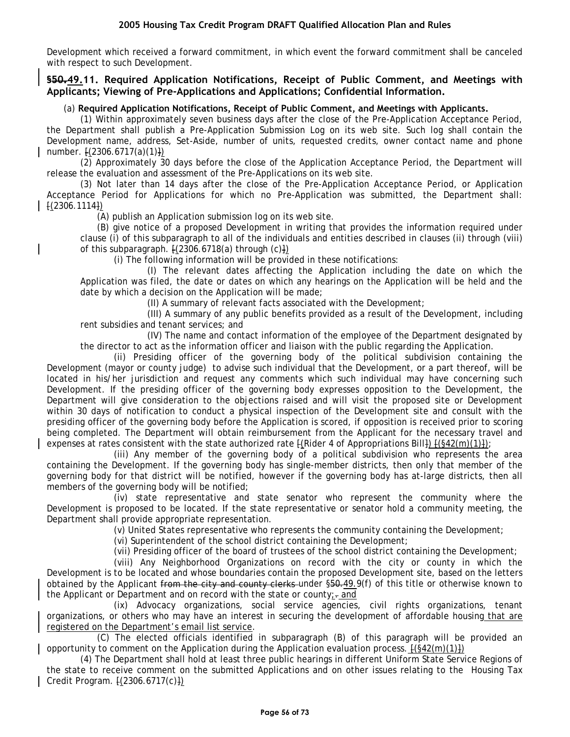Development which received a forward commitment, in which event the forward commitment shall be canceled with respect to such Development.

## **§50.49.11. Required Application Notifications, Receipt of Public Comment, and Meetings with Applicants; Viewing of Pre-Applications and Applications; Confidential Information.**

### (a) **Required Application Notifications, Receipt of Public Comment, and Meetings with Applicants.**

(1) Within approximately seven business days after the close of the Pre-Application Acceptance Period, the Department shall publish a Pre-Application Submission Log on its web site. Such log shall contain the Development name, address, Set-Aside, number of units, requested credits, owner contact name and phone number.  $\{(2306.6717(a)(1))\}$ 

(2) Approximately 30 days before the close of the Application Acceptance Period, the Department will release the evaluation and assessment of the Pre-Applications on its web site.

(3) Not later than 14 days after the close of the Pre-Application Acceptance Period, or Application Acceptance Period for Applications for which no Pre-Application was submitted, the Department shall: [(2306.1114])

(A) publish an Application submission log on its web site.

(B) give notice of a proposed Development in writing that provides the information required under clause (i) of this subparagraph to all of the individuals and entities described in clauses (ii) through (viii) of this subparagraph.  $[(2306.6718(a)$  through  $(c)]$ 

(i) The following information will be provided in these notifications:

(I) The relevant dates affecting the Application including the date on which the Application was filed, the date or dates on which any hearings on the Application will be held and the date by which a decision on the Application will be made;

(II) A summary of relevant facts associated with the Development;

(III) A summary of any public benefits provided as a result of the Development, including rent subsidies and tenant services; and

(IV) The name and contact information of the employee of the Department designated by the director to act as the information officer and liaison with the public regarding the Application.

(ii) Presiding officer of the governing body of the political subdivision containing the Development (mayor or county judge) to advise such individual that the Development, or a part thereof, will be located in his/her jurisdiction and request any comments which such individual may have concerning such Development. If the presiding officer of the governing body expresses opposition to the Development, the Department will give consideration to the objections raised and will visit the proposed site or Development within 30 days of notification to conduct a physical inspection of the Development site and consult with the presiding officer of the governing body before the Application is scored, if opposition is received prior to scoring being completed. The Department will obtain reimbursement from the Applicant for the necessary travel and expenses at rates consistent with the state authorized rate  $\frac{1}{2}$  (Rider 4 of Appropriations Bill))  $\frac{1}{2}$  (§42(m)(1));

(iii) Any member of the governing body of a political subdivision who represents the area containing the Development. If the governing body has single-member districts, then only that member of the governing body for that district will be notified, however if the governing body has at-large districts, then all members of the governing body will be notified;

(iv) state representative and state senator who represent the community where the Development is proposed to be located. If the state representative or senator hold a community meeting, the Department shall provide appropriate representation.

(v) United States representative who represents the community containing the Development;

(vi) Superintendent of the school district containing the Development;

(vii) Presiding officer of the board of trustees of the school district containing the Development;

(viii) Any Neighborhood Organizations on record with the city or county in which the Development is to be located and whose boundaries contain the proposed Development site, based on the letters obtained by the Applicant from the city and county clerks under §50.49.9(f) of this title or otherwise known to the Applicant or Department and on record with the state or county; $\frac{1}{x}$  and

(ix) Advocacy organizations, social service agencies, civil rights organizations, tenant organizations, or others who may have an interest in securing the development of affordable housing that are registered on the Department's email list service.

(C) The elected officials identified in subparagraph (B) of this paragraph will be provided an opportunity to comment on the Application during the Application evaluation process.  $\frac{F(S42(m)(1))}{F(S62)}$ 

(4) The Department shall hold at least three public hearings in different Uniform State Service Regions of the state to receive comment on the submitted Applications and on other issues relating to the Housing Tax Credit Program. [(2306.6717(c)])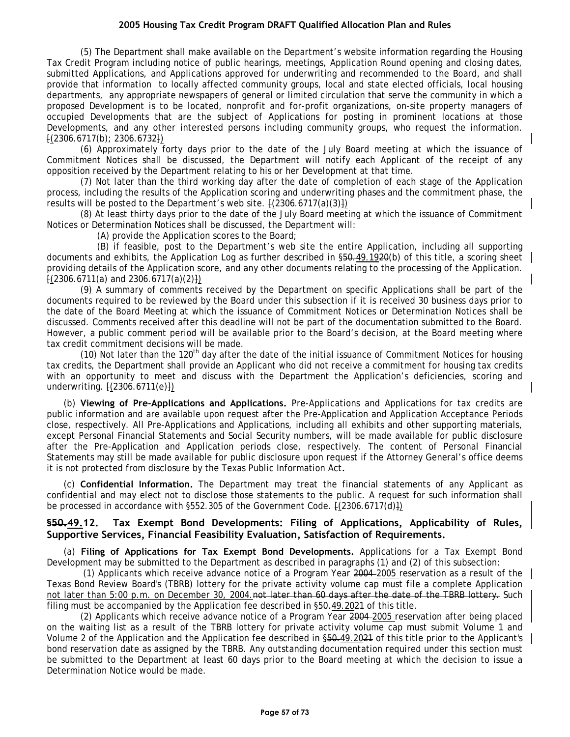(5) The Department shall make available on the Department's website information regarding the Housing Tax Credit Program including notice of public hearings, meetings, Application Round opening and closing dates, submitted Applications, and Applications approved for underwriting and recommended to the Board, and shall provide that information to locally affected community groups, local and state elected officials, local housing departments, any appropriate newspapers of general or limited circulation that serve the community in which a proposed Development is to be located, nonprofit and for-profit organizations, on-site property managers of occupied Developments that are the subject of Applications for posting in prominent locations at those Developments, and any other interested persons including community groups, who request the information.  $[(2306.6717(b); 2306.6732])$ 

(6) Approximately forty days prior to the date of the July Board meeting at which the issuance of Commitment Notices shall be discussed, the Department will notify each Applicant of the receipt of any opposition received by the Department relating to his or her Development at that time.

(7) Not later than the third working day after the date of completion of each stage of the Application process, including the results of the Application scoring and underwriting phases and the commitment phase, the results will be posted to the Department's web site.  $\frac{1}{2}$  (2306.6717(a)(3) $\frac{1}{2}$ )

(8) At least thirty days prior to the date of the July Board meeting at which the issuance of Commitment Notices or Determination Notices shall be discussed, the Department will:

(A) provide the Application scores to the Board;

(B) if feasible, post to the Department's web site the entire Application, including all supporting documents and exhibits, the Application Log as further described in §50.49.1920(b) of this title, a scoring sheet providing details of the Application score, and any other documents relating to the processing of the Application.  $(2306.6711(a)$  and  $2306.6717(a)(2)$ }

(9) A summary of comments received by the Department on specific Applications shall be part of the documents required to be reviewed by the Board under this subsection if it is received 30 business days prior to the date of the Board Meeting at which the issuance of Commitment Notices or Determination Notices shall be discussed. Comments received after this deadline will not be part of the documentation submitted to the Board. However, a public comment period will be available prior to the Board's decision, at the Board meeting where tax credit commitment decisions will be made.

(10) Not later than the  $120<sup>th</sup>$  day after the date of the initial issuance of Commitment Notices for housing tax credits, the Department shall provide an Applicant who did not receive a commitment for housing tax credits with an opportunity to meet and discuss with the Department the Application's deficiencies, scoring and underwriting. [(2306.6711(e)])

(b) **Viewing of Pre-Applications and Applications.** Pre-Applications and Applications for tax credits are public information and are available upon request after the Pre-Application and Application Acceptance Periods close, respectively. All Pre-Applications and Applications, including all exhibits and other supporting materials, except Personal Financial Statements and Social Security numbers, will be made available for public disclosure after the Pre-Application and Application periods close, respectively. The content of Personal Financial Statements may still be made available for public disclosure upon request if the Attorney General's office deems it is not protected from disclosure by the Texas Public Information Act*.* 

(c) **Confidential Information.** The Department may treat the financial statements of any Applicant as confidential and may elect not to disclose those statements to the public. A request for such information shall be processed in accordance with §552.305 of the Government Code. [(2306.6717(d)])

### **§50.49.12. Tax Exempt Bond Developments: Filing of Applications, Applicability of Rules, Supportive Services, Financial Feasibility Evaluation, Satisfaction of Requirements.**

(a) **Filing of Applications for Tax Exempt Bond Developments.** Applications for a Tax Exempt Bond Development may be submitted to the Department as described in paragraphs (1) and (2) of this subsection:

(1) Applicants which receive advance notice of a Program Year 2004 2005 reservation as a result of the Texas Bond Review Board's (TBRB) lottery for the private activity volume cap must file a complete Application not later than 5:00 p.m. on December 30, 2004.not later than 60 days after the date of the TBRB lottery. Such filing must be accompanied by the Application fee described in §50.49.2021 of this title.

(2) Applicants which receive advance notice of a Program Year 2004 2005 reservation after being placed on the waiting list as a result of the TBRB lottery for private activity volume cap must submit Volume 1 and Volume 2 of the Application and the Application fee described in §50.49.2021 of this title prior to the Applicant's bond reservation date as assigned by the TBRB. Any outstanding documentation required under this section must be submitted to the Department at least 60 days prior to the Board meeting at which the decision to issue a Determination Notice would be made.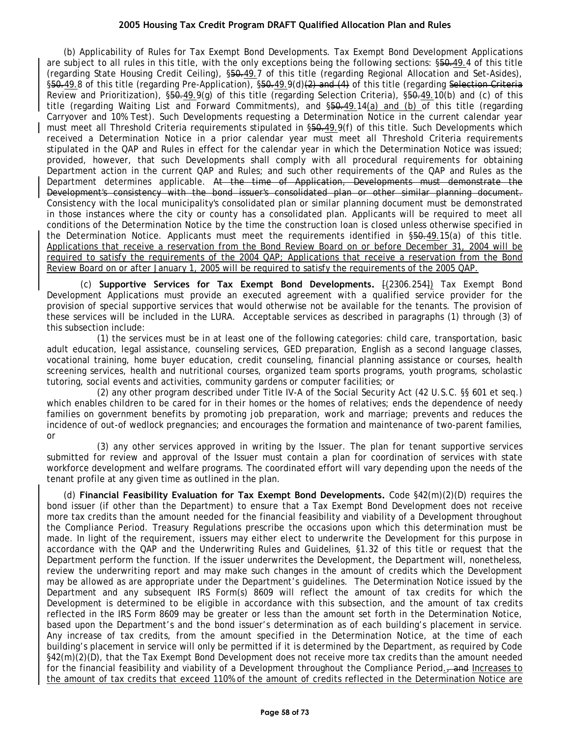(b) Applicability of Rules for Tax Exempt Bond Developments. Tax Exempt Bond Development Applications are subject to all rules in this title, with the only exceptions being the following sections: §50.49.4 of this title (regarding State Housing Credit Ceiling), §50.49.7 of this title (regarding Regional Allocation and Set-Asides), §50.49.8 of this title (regarding Pre-Application), §50.49.9(d)(2) and (4) of this title (regarding Selection Criteria Review and Prioritization), §50.49.9(g) of this title (regarding Selection Criteria), §50.49.10(b) and (c) of this title (regarding Waiting List and Forward Commitments), and §50.49.14(a) and (b) of this title (regarding Carryover and 10% Test). Such Developments requesting a Determination Notice in the current calendar year must meet all Threshold Criteria requirements stipulated in §50.49.9(f) of this title. Such Developments which received a Determination Notice in a prior calendar year must meet all Threshold Criteria requirements stipulated in the QAP and Rules in effect for the calendar year in which the Determination Notice was issued; provided, however, that such Developments shall comply with all procedural requirements for obtaining Department action in the current QAP and Rules; and such other requirements of the QAP and Rules as the Department determines applicable. At the time of Application, Developments must demonstrate the Development's consistency with the bond issuer's consolidated plan or other similar planning document. Consistency with the local municipality's consolidated plan or similar planning document must be demonstrated in those instances where the city or county has a consolidated plan. Applicants will be required to meet all conditions of the Determination Notice by the time the construction loan is closed unless otherwise specified in the Determination Notice. Applicants must meet the requirements identified in §50.49.15(a) of this title. Applications that receive a reservation from the Bond Review Board on or before December 31, 2004 will be required to satisfy the requirements of the 2004 QAP; Applications that receive a reservation from the Bond Review Board on or after January 1, 2005 will be required to satisfy the requirements of the 2005 QAP.

(c) **Supportive Services for Tax Exempt Bond Developments.** [(2306.254]) Tax Exempt Bond Development Applications must provide an executed agreement with a qualified service provider for the provision of special supportive services that would otherwise not be available for the tenants. The provision of these services will be included in the LURA. Acceptable services as described in paragraphs (1) through (3) of this subsection include:

(1) the services must be in at least one of the following categories: child care, transportation, basic adult education, legal assistance, counseling services, GED preparation, English as a second language classes, vocational training, home buyer education, credit counseling, financial planning assistance or courses, health screening services, health and nutritional courses, organized team sports programs, youth programs, scholastic tutoring, social events and activities, community gardens or computer facilities; or

(2) any other program described under Title IV-A of the Social Security Act (42 U.S.C. §§ 601 et seq.) which enables children to be cared for in their homes or the homes of relatives; ends the dependence of needy families on government benefits by promoting job preparation, work and marriage; prevents and reduces the incidence of out-of wedlock pregnancies; and encourages the formation and maintenance of two-parent families, or

(3) any other services approved in writing by the Issuer. The plan for tenant supportive services submitted for review and approval of the Issuer must contain a plan for coordination of services with state workforce development and welfare programs. The coordinated effort will vary depending upon the needs of the tenant profile at any given time as outlined in the plan.

(d) **Financial Feasibility Evaluation for Tax Exempt Bond Developments.** Code §42(m)(2)(D) requires the bond issuer (if other than the Department) to ensure that a Tax Exempt Bond Development does not receive more tax credits than the amount needed for the financial feasibility and viability of a Development throughout the Compliance Period. Treasury Regulations prescribe the occasions upon which this determination must be made. In light of the requirement, issuers may either elect to underwrite the Development for this purpose in accordance with the QAP and the Underwriting Rules and Guidelines, §1.32 of this title or request that the Department perform the function. If the issuer underwrites the Development, the Department will, nonetheless, review the underwriting report and may make such changes in the amount of credits which the Development may be allowed as are appropriate under the Department's guidelines. The Determination Notice issued by the Department and any subsequent IRS Form(s) 8609 will reflect the amount of tax credits for which the Development is determined to be eligible in accordance with this subsection, and the amount of tax credits reflected in the IRS Form 8609 may be greater or less than the amount set forth in the Determination Notice, based upon the Department's and the bond issuer's determination as of each building's placement in service. Any increase of tax credits, from the amount specified in the Determination Notice, at the time of each building's placement in service will only be permitted if it is determined by the Department, as required by Code §42(m)(2)(D), that the Tax Exempt Bond Development does not receive more tax credits than the amount needed for the financial feasibility and viability of a Development throughout the Compliance Period., and Increases to the amount of tax credits that exceed 110% of the amount of credits reflected in the Determination Notice are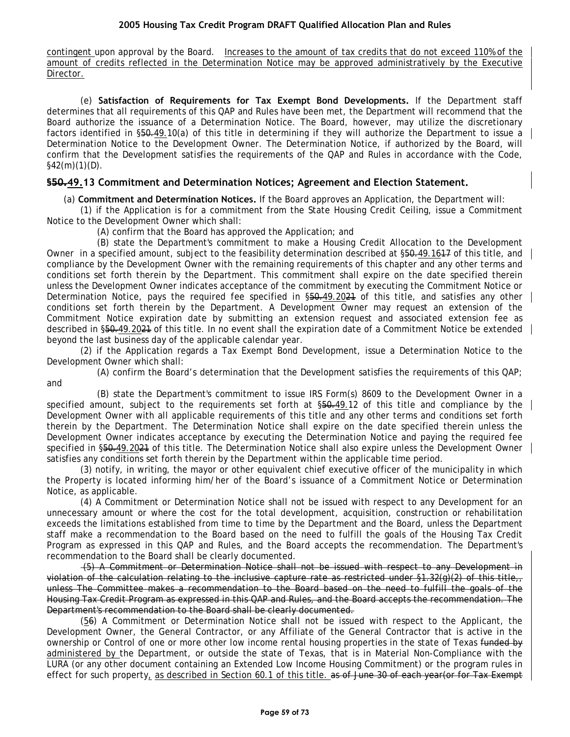contingent upon approval by the Board. Increases to the amount of tax credits that do not exceed 110% of the amount of credits reflected in the Determination Notice may be approved administratively by the Executive Director.

(e) **Satisfaction of Requirements for Tax Exempt Bond Developments.** If the Department staff determines that all requirements of this QAP and Rules have been met, the Department will recommend that the Board authorize the issuance of a Determination Notice. The Board, however, may utilize the discretionary factors identified in §50.49.10(a) of this title in determining if they will authorize the Department to issue a Determination Notice to the Development Owner. The Determination Notice, if authorized by the Board, will confirm that the Development satisfies the requirements of the QAP and Rules in accordance with the Code,  $§42(m)(1)(D)$ .

## **§50.49.13 Commitment and Determination Notices; Agreement and Election Statement.**

(a) **Commitment and Determination Notices.** If the Board approves an Application, the Department will:

(1) if the Application is for a commitment from the State Housing Credit Ceiling, issue a Commitment Notice to the Development Owner which shall:

(A) confirm that the Board has approved the Application; and

(B) state the Department's commitment to make a Housing Credit Allocation to the Development Owner in a specified amount, subject to the feasibility determination described at §50.49.1617 of this title, and compliance by the Development Owner with the remaining requirements of this chapter and any other terms and conditions set forth therein by the Department. This commitment shall expire on the date specified therein unless the Development Owner indicates acceptance of the commitment by executing the Commitment Notice or Determination Notice, pays the required fee specified in  $$50,49.2021$  of this title, and satisfies any other conditions set forth therein by the Department. A Development Owner may request an extension of the Commitment Notice expiration date by submitting an extension request and associated extension fee as described in §50.49.2021 of this title. In no event shall the expiration date of a Commitment Notice be extended beyond the last business day of the applicable calendar year.

(2) if the Application regards a Tax Exempt Bond Development, issue a Determination Notice to the Development Owner which shall:

(A) confirm the Board's determination that the Development satisfies the requirements of this QAP; and

(B) state the Department's commitment to issue IRS Form(s) 8609 to the Development Owner in a specified amount, subject to the requirements set forth at  $\S50.49.12$  of this title and compliance by the Development Owner with all applicable requirements of this title and any other terms and conditions set forth therein by the Department. The Determination Notice shall expire on the date specified therein unless the Development Owner indicates acceptance by executing the Determination Notice and paying the required fee specified in §50.49.2024 of this title. The Determination Notice shall also expire unless the Development Owner satisfies any conditions set forth therein by the Department within the applicable time period.

(3) notify, in writing, the mayor or other equivalent chief executive officer of the municipality in which the Property is located informing him/her of the Board's issuance of a Commitment Notice or Determination Notice, as applicable.

(4) A Commitment or Determination Notice shall not be issued with respect to any Development for an unnecessary amount or where the cost for the total development, acquisition, construction or rehabilitation exceeds the limitations established from time to time by the Department and the Board, unless the Department staff make a recommendation to the Board based on the need to fulfill the goals of the Housing Tax Credit Program as expressed in this QAP and Rules, and the Board accepts the recommendation. The Department's recommendation to the Board shall be clearly documented.

(5) A Commitment or Determination Notice shall not be issued with respect to any Development in violation of the calculation relating to the inclusive capture rate as restricted under  $\S1.32(q)(2)$  of this title, unless The Committee makes a recommendation to the Board based on the need to fulfill the goals of the Housing Tax Credit Program as expressed in this QAP and Rules, and the Board accepts the recommendation. The Department's recommendation to the Board shall be clearly documented.

(56) A Commitment or Determination Notice shall not be issued with respect to the Applicant, the Development Owner, the General Contractor, or any Affiliate of the General Contractor that is active in the ownership or Control of one or more other low income rental housing properties in the state of Texas funded by administered by the Department, or outside the state of Texas, that is in Material Non-Compliance with the LURA (or any other document containing an Extended Low Income Housing Commitment) or the program rules in effect for such property, as described in Section 60.1 of this title. as of June 30 of each year(or for Tax Exempt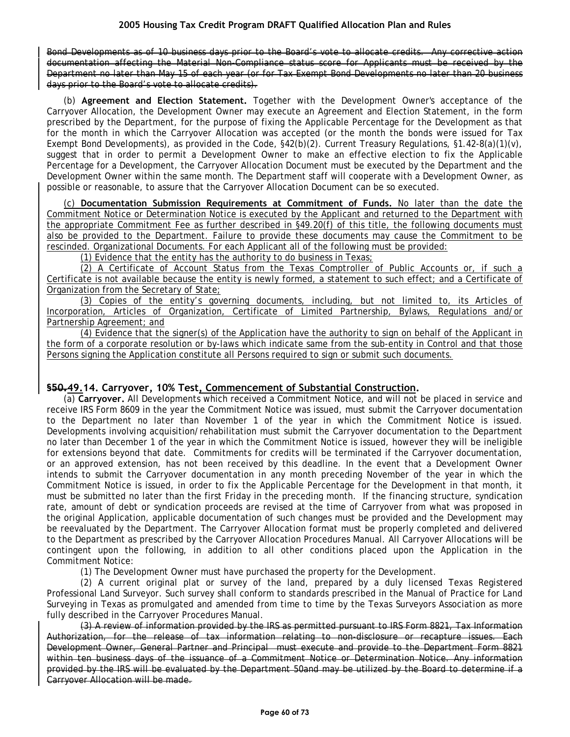Bond Developments as of 10 business days prior to the Board's vote to allocate credits. Any corrective action documentation affecting the Material Non-Compliance status score for Applicants must be received by the Department no later than May 15 of each year (or for Tax Exempt Bond Developments no later than 20 business days prior to the Board's vote to allocate credits).

(b) **Agreement and Election Statement.** Together with the Development Owner's acceptance of the Carryover Allocation, the Development Owner may execute an Agreement and Election Statement, in the form prescribed by the Department, for the purpose of fixing the Applicable Percentage for the Development as that for the month in which the Carryover Allocation was accepted (or the month the bonds were issued for Tax Exempt Bond Developments), as provided in the Code, §42(b)(2). Current Treasury Regulations, §1.42-8(a)(1)(v), suggest that in order to permit a Development Owner to make an effective election to fix the Applicable Percentage for a Development, the Carryover Allocation Document must be executed by the Department and the Development Owner within the same month. The Department staff will cooperate with a Development Owner, as possible or reasonable, to assure that the Carryover Allocation Document can be so executed.

(c) **Documentation Submission Requirements at Commitment of Funds.** No later than the date the Commitment Notice or Determination Notice is executed by the Applicant and returned to the Department with the appropriate Commitment Fee as further described in §49.20(f) of this title, the following documents must also be provided to the Department. Failure to provide these documents may cause the Commitment to be rescinded. Organizational Documents. For each Applicant all of the following must be provided:

(1) Evidence that the entity has the authority to do business in Texas;

(2) A Certificate of Account Status from the Texas Comptroller of Public Accounts or, if such a Certificate is not available because the entity is newly formed, a statement to such effect; and a Certificate of Organization from the Secretary of State;

(3) Copies of the entity's governing documents, including, but not limited to, its Articles of Incorporation, Articles of Organization, Certificate of Limited Partnership, Bylaws, Regulations and/or Partnership Agreement; and

(4) Evidence that the signer(s) of the Application have the authority to sign on behalf of the Applicant in the form of a corporate resolution or by-laws which indicate same from the sub-entity in Control and that those Persons signing the Application constitute all Persons required to sign or submit such documents.

# **§50.49.14. Carryover, 10% Test, Commencement of Substantial Construction.**

(a) **Carryover.** All Developments which received a Commitment Notice, and will not be placed in service and receive IRS Form 8609 in the year the Commitment Notice was issued, must submit the Carryover documentation to the Department no later than November 1 of the year in which the Commitment Notice is issued. Developments involving acquisition/rehabilitation must submit the Carryover documentation to the Department no later than December 1 of the year in which the Commitment Notice is issued, however they will be ineligible for extensions beyond that date. Commitments for credits will be terminated if the Carryover documentation, or an approved extension, has not been received by this deadline. In the event that a Development Owner intends to submit the Carryover documentation in any month preceding November of the year in which the Commitment Notice is issued, in order to fix the Applicable Percentage for the Development in that month, it must be submitted no later than the first Friday in the preceding month. If the financing structure, syndication rate, amount of debt or syndication proceeds are revised at the time of Carryover from what was proposed in the original Application, applicable documentation of such changes must be provided and the Development may be reevaluated by the Department. The Carryover Allocation format must be properly completed and delivered to the Department as prescribed by the Carryover Allocation Procedures Manual. All Carryover Allocations will be contingent upon the following, in addition to all other conditions placed upon the Application in the Commitment Notice:

(1) The Development Owner must have purchased the property for the Development.

(2) A current original plat or survey of the land, prepared by a duly licensed Texas Registered Professional Land Surveyor. Such survey shall conform to standards prescribed in the Manual of Practice for Land Surveying in Texas as promulgated and amended from time to time by the Texas Surveyors Association as more fully described in the Carryover Procedures Manual.

(3) A review of information provided by the IRS as permitted pursuant to IRS Form 8821, Tax Information Authorization, for the release of tax information relating to non-disclosure or recapture issues. Each Development Owner, General Partner and Principal must execute and provide to the Department Form 8821 within ten business days of the issuance of a Commitment Notice or Determination Notice. Any information provided by the IRS will be evaluated by the Department 50and may be utilized by the Board to determine if a Carryover Allocation will be made.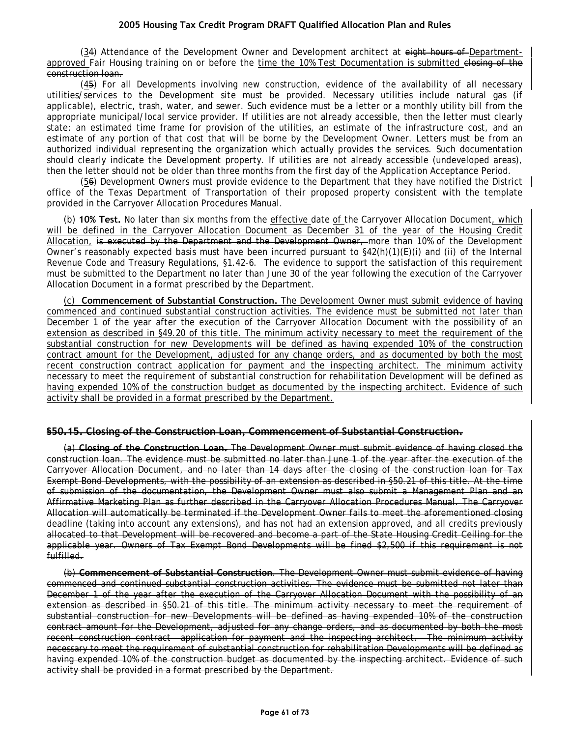(34) Attendance of the Development Owner and Development architect at eight hours of Departmentapproved Fair Housing training on or before the time the 10% Test Documentation is submitted closing of the construction loan.

(45) For all Developments involving new construction, evidence of the availability of all necessary utilities/services to the Development site must be provided. Necessary utilities include natural gas (if applicable), electric, trash, water, and sewer. Such evidence must be a letter or a monthly utility bill from the appropriate municipal/local service provider. If utilities are not already accessible, then the letter must clearly state: an estimated time frame for provision of the utilities, an estimate of the infrastructure cost, and an estimate of any portion of that cost that will be borne by the Development Owner. Letters must be from an authorized individual representing the organization which actually provides the services. Such documentation should clearly indicate the Development property. If utilities are not already accessible (undeveloped areas), then the letter should not be older than three months from the first day of the Application Acceptance Period.

(56) Development Owners must provide evidence to the Department that they have notified the District office of the Texas Department of Transportation of their proposed property consistent with the template provided in the Carryover Allocation Procedures Manual.

(b) **10% Test.** No later than six months from the effective date of the Carryover Allocation Document, which will be defined in the Carryover Allocation Document as December 31 of the year of the Housing Credit Allocation, is executed by the Department and the Development Owner, more than 10% of the Development Owner's reasonably expected basis must have been incurred pursuant to  $\frac{642(h)(1)(E)}{i}$  and (ii) of the Internal Revenue Code and Treasury Regulations, §1.42-6. The evidence to support the satisfaction of this requirement must be submitted to the Department no later than June 30 of the year following the execution of the Carryover Allocation Document in a format prescribed by the Department.

(c) **Commencement of Substantial Construction.** The Development Owner must submit evidence of having commenced and continued substantial construction activities. The evidence must be submitted not later than December 1 of the year after the execution of the Carryover Allocation Document with the possibility of an extension as described in §49.20 of this title. The minimum activity necessary to meet the requirement of the substantial construction for new Developments will be defined as having expended 10% of the construction contract amount for the Development, adjusted for any change orders, and as documented by both the most recent construction contract application for payment and the inspecting architect. The minimum activity necessary to meet the requirement of substantial construction for rehabilitation Development will be defined as having expended 10% of the construction budget as documented by the inspecting architect. Evidence of such activity shall be provided in a format prescribed by the Department.

### **§50.15. Closing of the Construction Loan, Commencement of Substantial Construction.**

(a) **Closing of the Construction Loan.** The Development Owner must submit evidence of having closed the construction loan. The evidence must be submitted no later than June 1 of the year after the execution of the Carryover Allocation Document, and no later than 14 days after the closing of the construction loan for Tax Exempt Bond Developments, with the possibility of an extension as described in §50.21 of this title. At the time of submission of the documentation, the Development Owner must also submit a Management Plan and an Affirmative Marketing Plan as further described in the Carryover Allocation Procedures Manual. The Carryover Allocation will automatically be terminated if the Development Owner fails to meet the aforementioned closing deadline (taking into account any extensions), and has not had an extension approved, and all credits previously allocated to that Development will be recovered and become a part of the State Housing Credit Ceiling for the applicable year. Owners of Tax Exempt Bond Developments will be fined \$2,500 if this requirement is not fulfilled.

(b) **Commencement of Substantial Construction**. The Development Owner must submit evidence of having commenced and continued substantial construction activities. The evidence must be submitted not later than December 1 of the year after the execution of the Carryover Allocation Document with the possibility of an extension as described in §50.21 of this title. The minimum activity necessary to meet the requirement of substantial construction for new Developments will be defined as having expended 10% of the construction contract amount for the Development, adjusted for any change orders, and as documented by both the most recent construction contract application for payment and the inspecting architect. The minimum activity necessary to meet the requirement of substantial construction for rehabilitation Developments will be defined as having expended 10% of the construction budget as documented by the inspecting architect. Evidence of such activity shall be provided in a format prescribed by the Department.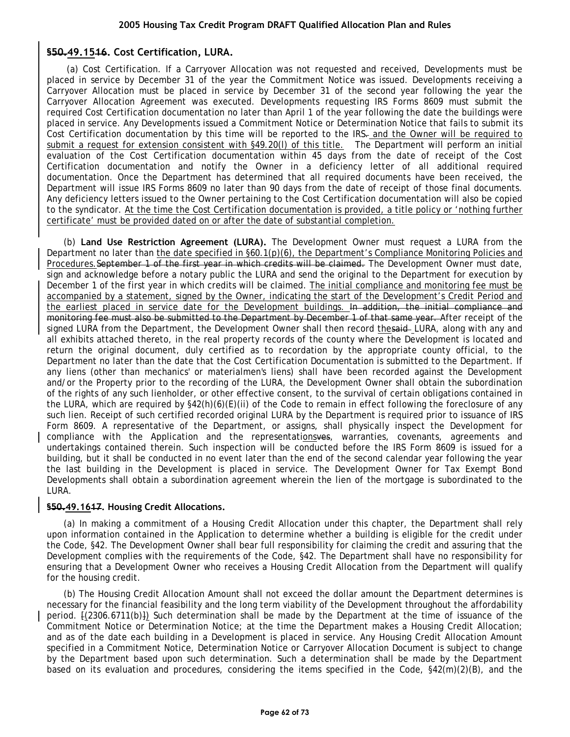# **§50.49.1516. Cost Certification, LURA.**

(a) Cost Certification. If a Carryover Allocation was not requested and received, Developments must be placed in service by December 31 of the year the Commitment Notice was issued. Developments receiving a Carryover Allocation must be placed in service by December 31 of the second year following the year the Carryover Allocation Agreement was executed. Developments requesting IRS Forms 8609 must submit the required Cost Certification documentation no later than April 1 of the year following the date the buildings were placed in service. Any Developments issued a Commitment Notice or Determination Notice that fails to submit its Cost Certification documentation by this time will be reported to the IRS. and the Owner will be required to submit a request for extension consistent with §49.20(l) of this title. The Department will perform an initial evaluation of the Cost Certification documentation within 45 days from the date of receipt of the Cost Certification documentation and notify the Owner in a deficiency letter of all additional required documentation. Once the Department has determined that all required documents have been received, the Department will issue IRS Forms 8609 no later than 90 days from the date of receipt of those final documents. Any deficiency letters issued to the Owner pertaining to the Cost Certification documentation will also be copied to the syndicator. At the time the Cost Certification documentation is provided, a title policy or 'nothing further certificate' must be provided dated on or after the date of substantial completion.

(b) **Land Use Restriction Agreement (LURA).** The Development Owner must request a LURA from the Department no later than the date specified in §60.1(p)(6), the Department's Compliance Monitoring Policies and Procedures. September 1 of the first year in which credits will be claimed. The Development Owner must date, sign and acknowledge before a notary public the LURA and send the original to the Department for execution by December 1 of the first year in which credits will be claimed. The initial compliance and monitoring fee must be accompanied by a statement, signed by the Owner, indicating the start of the Development's Credit Period and the earliest placed in service date for the Development buildings. In addition, the initial compliance and monitoring fee must also be submitted to the Department by December 1 of that same year. After receipt of the signed LURA from the Department, the Development Owner shall then record thesaid LURA, along with any and all exhibits attached thereto, in the real property records of the county where the Development is located and return the original document, duly certified as to recordation by the appropriate county official, to the Department no later than the date that the Cost Certification Documentation is submitted to the Department. If any liens (other than mechanics' or materialmen's liens) shall have been recorded against the Development and/or the Property prior to the recording of the LURA, the Development Owner shall obtain the subordination of the rights of any such lienholder, or other effective consent, to the survival of certain obligations contained in the LURA, which are required by §42(h)(6)(E)(ii) of the Code to remain in effect following the foreclosure of any such lien. Receipt of such certified recorded original LURA by the Department is required prior to issuance of IRS Form 8609. A representative of the Department, or assigns, shall physically inspect the Development for compliance with the Application and the representationsves, warranties, covenants, agreements and undertakings contained therein. Such inspection will be conducted before the IRS Form 8609 is issued for a building, but it shall be conducted in no event later than the end of the second calendar year following the year the last building in the Development is placed in service. The Development Owner for Tax Exempt Bond Developments shall obtain a subordination agreement wherein the lien of the mortgage is subordinated to the LURA.

### **§50.49.1617. Housing Credit Allocations.**

(a) In making a commitment of a Housing Credit Allocation under this chapter, the Department shall rely upon information contained in the Application to determine whether a building is eligible for the credit under the Code, §42. The Development Owner shall bear full responsibility for claiming the credit and assuring that the Development complies with the requirements of the Code, §42. The Department shall have no responsibility for ensuring that a Development Owner who receives a Housing Credit Allocation from the Department will qualify for the housing credit.

(b) The Housing Credit Allocation Amount shall not exceed the dollar amount the Department determines is necessary for the financial feasibility and the long term viability of the Development throughout the affordability period. [(2306.6711(b)]) Such determination shall be made by the Department at the time of issuance of the Commitment Notice or Determination Notice; at the time the Department makes a Housing Credit Allocation; and as of the date each building in a Development is placed in service. Any Housing Credit Allocation Amount specified in a Commitment Notice, Determination Notice or Carryover Allocation Document is subject to change by the Department based upon such determination. Such a determination shall be made by the Department based on its evaluation and procedures, considering the items specified in the Code, §42(m)(2)(B), and the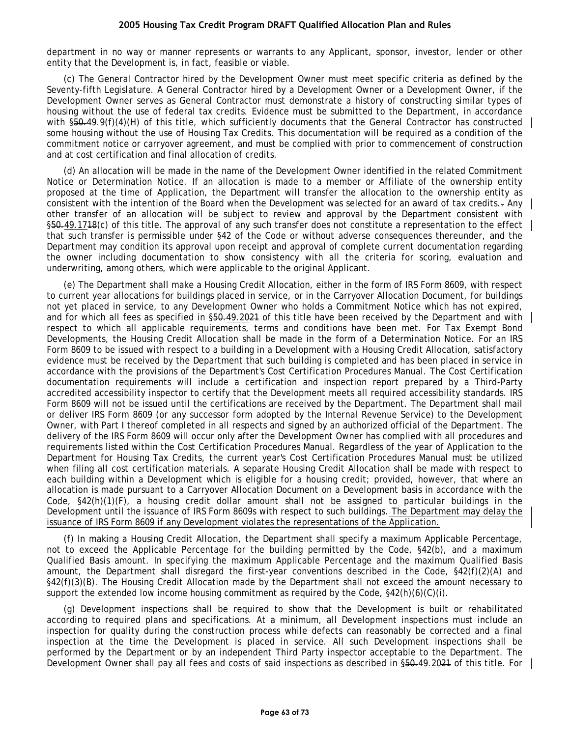department in no way or manner represents or warrants to any Applicant, sponsor, investor, lender or other entity that the Development is, in fact, feasible or viable.

(c) The General Contractor hired by the Development Owner must meet specific criteria as defined by the Seventy-fifth Legislature. A General Contractor hired by a Development Owner or a Development Owner, if the Development Owner serves as General Contractor must demonstrate a history of constructing similar types of housing without the use of federal tax credits. Evidence must be submitted to the Department, in accordance with §50.49.9(f)(4)(H) of this title, which sufficiently documents that the General Contractor has constructed some housing without the use of Housing Tax Credits. This documentation will be required as a condition of the commitment notice or carryover agreement, and must be complied with prior to commencement of construction and at cost certification and final allocation of credits.

(d) An allocation will be made in the name of the Development Owner identified in the related Commitment Notice or Determination Notice. If an allocation is made to a member or Affiliate of the ownership entity proposed at the time of Application, the Department will transfer the allocation to the ownership entity as consistent with the intention of the Board when the Development was selected for an award of tax credits.. Any other transfer of an allocation will be subject to review and approval by the Department consistent with §50.49.1748(c) of this title. The approval of any such transfer does not constitute a representation to the effect that such transfer is permissible under §42 of the Code or without adverse consequences thereunder, and the Department may condition its approval upon receipt and approval of complete current documentation regarding the owner including documentation to show consistency with all the criteria for scoring, evaluation and underwriting, among others, which were applicable to the original Applicant.

(e) The Department shall make a Housing Credit Allocation, either in the form of IRS Form 8609, with respect to current year allocations for buildings placed in service, or in the Carryover Allocation Document, for buildings not yet placed in service, to any Development Owner who holds a Commitment Notice which has not expired, and for which all fees as specified in \$50.49.2021 of this title have been received by the Department and with respect to which all applicable requirements, terms and conditions have been met. For Tax Exempt Bond Developments, the Housing Credit Allocation shall be made in the form of a Determination Notice. For an IRS Form 8609 to be issued with respect to a building in a Development with a Housing Credit Allocation, satisfactory evidence must be received by the Department that such building is completed and has been placed in service in accordance with the provisions of the Department's Cost Certification Procedures Manual. The Cost Certification documentation requirements will include a certification and inspection report prepared by a Third-Party accredited accessibility inspector to certify that the Development meets all required accessibility standards. IRS Form 8609 will not be issued until the certifications are received by the Department. The Department shall mail or deliver IRS Form 8609 (or any successor form adopted by the Internal Revenue Service) to the Development Owner, with Part I thereof completed in all respects and signed by an authorized official of the Department. The delivery of the IRS Form 8609 will occur only after the Development Owner has complied with all procedures and requirements listed within the Cost Certification Procedures Manual. Regardless of the year of Application to the Department for Housing Tax Credits, the current year's Cost Certification Procedures Manual must be utilized when filing all cost certification materials. A separate Housing Credit Allocation shall be made with respect to each building within a Development which is eligible for a housing credit; provided, however, that where an allocation is made pursuant to a Carryover Allocation Document on a Development basis in accordance with the Code, §42(h)(1)(F), a housing credit dollar amount shall not be assigned to particular buildings in the Development until the issuance of IRS Form 8609s with respect to such buildings. The Department may delay the issuance of IRS Form 8609 if any Development violates the representations of the Application.

(f) In making a Housing Credit Allocation, the Department shall specify a maximum Applicable Percentage, not to exceed the Applicable Percentage for the building permitted by the Code, §42(b), and a maximum Qualified Basis amount. In specifying the maximum Applicable Percentage and the maximum Qualified Basis amount, the Department shall disregard the first-year conventions described in the Code, §42(f)(2)(A) and §42(f)(3)(B). The Housing Credit Allocation made by the Department shall not exceed the amount necessary to support the extended low income housing commitment as required by the Code,  $§42(h)(6)(C)(i)$ .

(g) Development inspections shall be required to show that the Development is built or rehabilitated according to required plans and specifications. At a minimum, all Development inspections must include an inspection for quality during the construction process while defects can reasonably be corrected and a final inspection at the time the Development is placed in service. All such Development inspections shall be performed by the Department or by an independent Third Party inspector acceptable to the Department. The Development Owner shall pay all fees and costs of said inspections as described in §50.49.2024 of this title. For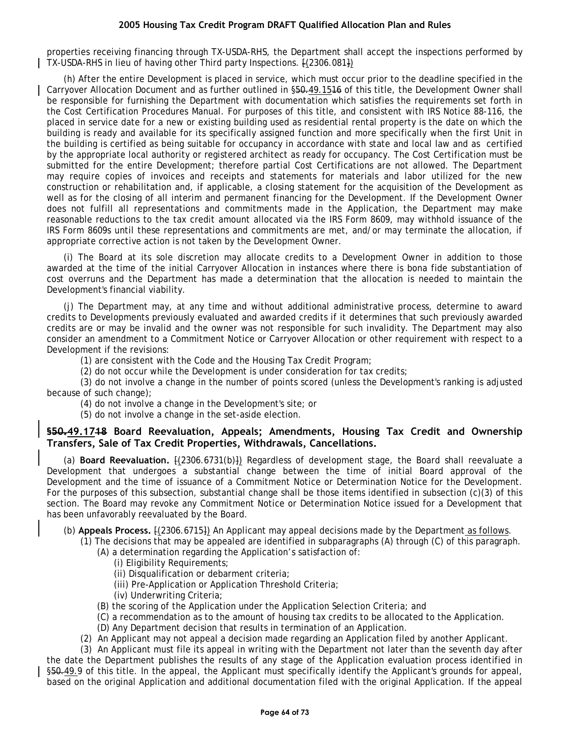properties receiving financing through TX-USDA-RHS, the Department shall accept the inspections performed by TX-USDA-RHS in lieu of having other Third party Inspections. [(2306.081])

(h) After the entire Development is placed in service, which must occur prior to the deadline specified in the Carryover Allocation Document and as further outlined in §50.49.1516 of this title, the Development Owner shall be responsible for furnishing the Department with documentation which satisfies the requirements set forth in the Cost Certification Procedures Manual. For purposes of this title, and consistent with IRS Notice 88-116, the placed in service date for a new or existing building used as residential rental property is the date on which the building is ready and available for its specifically assigned function and more specifically when the first Unit in the building is certified as being suitable for occupancy in accordance with state and local law and as certified by the appropriate local authority or registered architect as ready for occupancy. The Cost Certification must be submitted for the entire Development; therefore partial Cost Certifications are not allowed. The Department may require copies of invoices and receipts and statements for materials and labor utilized for the new construction or rehabilitation and, if applicable, a closing statement for the acquisition of the Development as well as for the closing of all interim and permanent financing for the Development. If the Development Owner does not fulfill all representations and commitments made in the Application, the Department may make reasonable reductions to the tax credit amount allocated via the IRS Form 8609, may withhold issuance of the IRS Form 8609s until these representations and commitments are met, and/or may terminate the allocation, if appropriate corrective action is not taken by the Development Owner.

(i) The Board at its sole discretion may allocate credits to a Development Owner in addition to those awarded at the time of the initial Carryover Allocation in instances where there is bona fide substantiation of cost overruns and the Department has made a determination that the allocation is needed to maintain the Development's financial viability.

(j) The Department may, at any time and without additional administrative process, determine to award credits to Developments previously evaluated and awarded credits if it determines that such previously awarded credits are or may be invalid and the owner was not responsible for such invalidity. The Department may also consider an amendment to a Commitment Notice or Carryover Allocation or other requirement with respect to a Development if the revisions:

(1) are consistent with the Code and the Housing Tax Credit Program;

(2) do not occur while the Development is under consideration for tax credits;

(3) do not involve a change in the number of points scored (unless the Development's ranking is adjusted because of such change);

(4) do not involve a change in the Development's site; or

(5) do not involve a change in the set-aside election.

### **§50.49.1718 Board Reevaluation, Appeals; Amendments, Housing Tax Credit and Ownership Transfers, Sale of Tax Credit Properties, Withdrawals, Cancellations.**

(a) **Board Reevaluation.**  $[(2306.6731(b))]$  Regardless of development stage, the Board shall reevaluate a Development that undergoes a substantial change between the time of initial Board approval of the Development and the time of issuance of a Commitment Notice or Determination Notice for the Development. For the purposes of this subsection, substantial change shall be those items identified in subsection (c)(3) of this section. The Board may revoke any Commitment Notice or Determination Notice issued for a Development that has been unfavorably reevaluated by the Board.

(b) **Appeals Process.** [(2306.6715]) An Applicant may appeal decisions made by the Department as follows.

(1) The decisions that may be appealed are identified in subparagraphs (A) through (C) of this paragraph.

(A) a determination regarding the Application's satisfaction of:

- (i) Eligibility Requirements;
- (ii) Disqualification or debarment criteria;
- (iii) Pre-Application or Application Threshold Criteria;
- (iv) Underwriting Criteria;
- (B) the scoring of the Application under the Application Selection Criteria; and
- (C) a recommendation as to the amount of housing tax credits to be allocated to the Application.
- (D) Any Department decision that results in termination of an Application.
- (2) An Applicant may not appeal a decision made regarding an Application filed by another Applicant.

(3) An Applicant must file its appeal in writing with the Department not later than the seventh day after the date the Department publishes the results of any stage of the Application evaluation process identified in §50.49.9 of this title. In the appeal, the Applicant must specifically identify the Applicant's grounds for appeal, based on the original Application and additional documentation filed with the original Application. If the appeal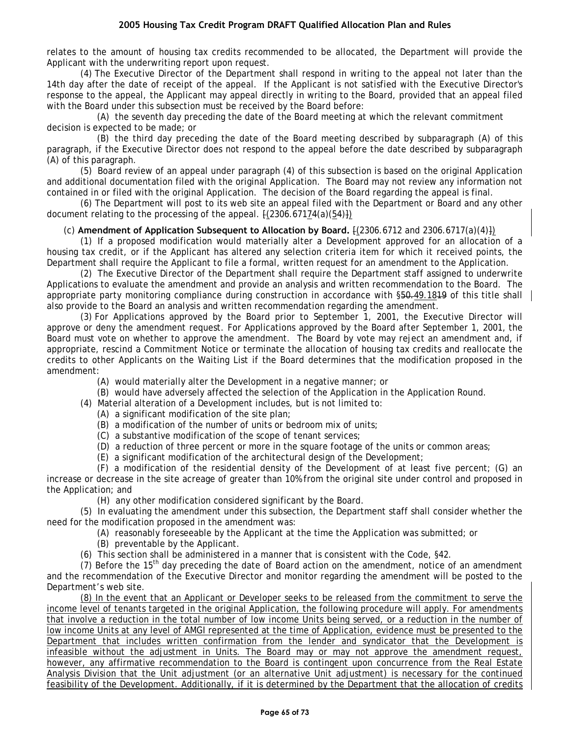relates to the amount of housing tax credits recommended to be allocated, the Department will provide the Applicant with the underwriting report upon request.

(4) The Executive Director of the Department shall respond in writing to the appeal not later than the 14th day after the date of receipt of the appeal. If the Applicant is not satisfied with the Executive Director's response to the appeal, the Applicant may appeal directly in writing to the Board, provided that an appeal filed with the Board under this subsection must be received by the Board before:

(A) the seventh day preceding the date of the Board meeting at which the relevant commitment decision is expected to be made; or

(B) the third day preceding the date of the Board meeting described by subparagraph (A) of this paragraph, if the Executive Director does not respond to the appeal before the date described by subparagraph (A) of this paragraph.

(5) Board review of an appeal under paragraph (4) of this subsection is based on the original Application and additional documentation filed with the original Application. The Board may not review any information not contained in or filed with the original Application. The decision of the Board regarding the appeal is final.

(6) The Department will post to its web site an appeal filed with the Department or Board and any other document relating to the processing of the appeal.  $[(2306.67174(a)(54)])$ 

### (c) **Amendment of Application Subsequent to Allocation by Board.** [(2306.6712 and 2306.6717(a)(4)])

(1) If a proposed modification would materially alter a Development approved for an allocation of a housing tax credit, or if the Applicant has altered any selection criteria item for which it received points, the Department shall require the Applicant to file a formal, written request for an amendment to the Application.

(2) The Executive Director of the Department shall require the Department staff assigned to underwrite Applications to evaluate the amendment and provide an analysis and written recommendation to the Board. The appropriate party monitoring compliance during construction in accordance with §50.49.1819 of this title shall also provide to the Board an analysis and written recommendation regarding the amendment.

(3) For Applications approved by the Board prior to September 1, 2001, the Executive Director will approve or deny the amendment request. For Applications approved by the Board after September 1, 2001, the Board must vote on whether to approve the amendment. The Board by vote may reject an amendment and, if appropriate, rescind a Commitment Notice or terminate the allocation of housing tax credits and reallocate the credits to other Applicants on the Waiting List if the Board determines that the modification proposed in the amendment:

(A) would materially alter the Development in a negative manner; or

- (B) would have adversely affected the selection of the Application in the Application Round.
- (4) Material alteration of a Development includes, but is not limited to:
	- (A) a significant modification of the site plan;
	- (B) a modification of the number of units or bedroom mix of units;
	- (C) a substantive modification of the scope of tenant services;
	- (D) a reduction of three percent or more in the square footage of the units or common areas;
	- (E) a significant modification of the architectural design of the Development;

(F) a modification of the residential density of the Development of at least five percent; (G) an increase or decrease in the site acreage of greater than 10% from the original site under control and proposed in the Application; and

(H) any other modification considered significant by the Board.

(5) In evaluating the amendment under this subsection, the Department staff shall consider whether the need for the modification proposed in the amendment was:

(A) reasonably foreseeable by the Applicant at the time the Application was submitted; or

- (B) preventable by the Applicant.
- (6) This section shall be administered in a manner that is consistent with the Code, §42.

(7) Before the 15<sup>th</sup> day preceding the date of Board action on the amendment, notice of an amendment and the recommendation of the Executive Director and monitor regarding the amendment will be posted to the Department's web site.

(8) In the event that an Applicant or Developer seeks to be released from the commitment to serve the income level of tenants targeted in the original Application, the following procedure will apply. For amendments that involve a reduction in the total number of low income Units being served, or a reduction in the number of low income Units at any level of AMGI represented at the time of Application, evidence must be presented to the Department that includes written confirmation from the lender and syndicator that the Development is infeasible without the adjustment in Units. The Board may or may not approve the amendment request, however, any affirmative recommendation to the Board is contingent upon concurrence from the Real Estate Analysis Division that the Unit adjustment (or an alternative Unit adjustment) is necessary for the continued feasibility of the Development. Additionally, if it is determined by the Department that the allocation of credits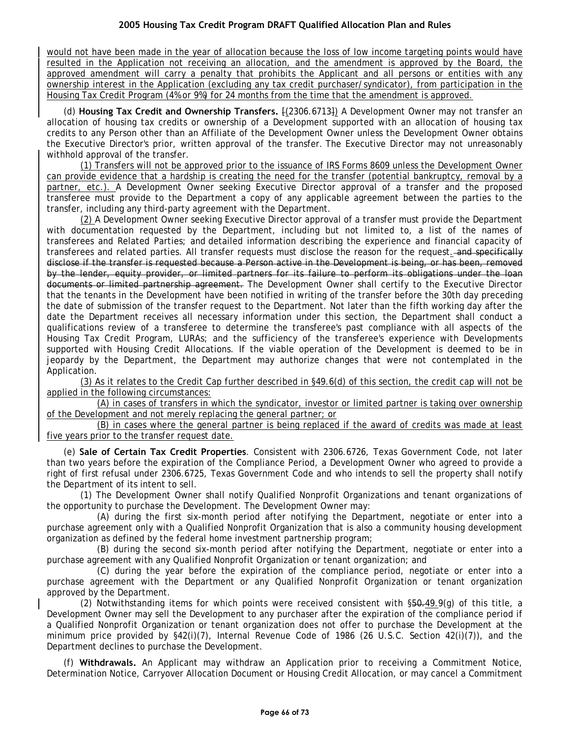would not have been made in the year of allocation because the loss of low income targeting points would have resulted in the Application not receiving an allocation, and the amendment is approved by the Board, the approved amendment will carry a penalty that prohibits the Applicant and all persons or entities with any ownership interest in the Application (excluding any tax credit purchaser/syndicator), from participation in the Housing Tax Credit Program (4% or 9%) for 24 months from the time that the amendment is approved.

(d) **Housing Tax Credit and Ownership Transfers.** [(2306.6713]) A Development Owner may not transfer an allocation of housing tax credits or ownership of a Development supported with an allocation of housing tax credits to any Person other than an Affiliate of the Development Owner unless the Development Owner obtains the Executive Director's prior, written approval of the transfer. The Executive Director may not unreasonably withhold approval of the transfer.

(1) Transfers will not be approved prior to the issuance of IRS Forms 8609 unless the Development Owner can provide evidence that a hardship is creating the need for the transfer (potential bankruptcy, removal by a partner, etc.). A Development Owner seeking Executive Director approval of a transfer and the proposed transferee must provide to the Department a copy of any applicable agreement between the parties to the transfer, including any third-party agreement with the Department.

(2) A Development Owner seeking Executive Director approval of a transfer must provide the Department with documentation requested by the Department, including but not limited to, a list of the names of transferees and Related Parties; and detailed information describing the experience and financial capacity of transferees and related parties. All transfer requests must disclose the reason for the request. and specifically disclose if the transfer is requested because a Person active in the Development is being, or has been, removed by the lender, equity provider, or limited partners for its failure to perform its obligations under the loan documents or limited partnership agreement. The Development Owner shall certify to the Executive Director that the tenants in the Development have been notified in writing of the transfer before the 30th day preceding the date of submission of the transfer request to the Department. Not later than the fifth working day after the date the Department receives all necessary information under this section, the Department shall conduct a qualifications review of a transferee to determine the transferee's past compliance with all aspects of the Housing Tax Credit Program, LURAs; and the sufficiency of the transferee's experience with Developments supported with Housing Credit Allocations. If the viable operation of the Development is deemed to be in jeopardy by the Department, the Department may authorize changes that were not contemplated in the Application.

(3) As it relates to the Credit Cap further described in §49.6(d) of this section, the credit cap will not be applied in the following circumstances:

(A) in cases of transfers in which the syndicator, investor or limited partner is taking over ownership of the Development and not merely replacing the general partner; or

(B) in cases where the general partner is being replaced if the award of credits was made at least five years prior to the transfer request date.

(e) **Sale of Certain Tax Credit Properties**. Consistent with 2306.6726, Texas Government Code, not later than two years before the expiration of the Compliance Period, a Development Owner who agreed to provide a right of first refusal under 2306.6725, Texas Government Code and who intends to sell the property shall notify the Department of its intent to sell.

(1) The Development Owner shall notify Qualified Nonprofit Organizations and tenant organizations of the opportunity to purchase the Development. The Development Owner may:

(A) during the first six-month period after notifying the Department, negotiate or enter into a purchase agreement only with a Qualified Nonprofit Organization that is also a community housing development organization as defined by the federal home investment partnership program;

(B) during the second six-month period after notifying the Department, negotiate or enter into a purchase agreement with any Qualified Nonprofit Organization or tenant organization; and

(C) during the year before the expiration of the compliance period, negotiate or enter into a purchase agreement with the Department or any Qualified Nonprofit Organization or tenant organization approved by the Department.

(2) Notwithstanding items for which points were received consistent with  $$50-49.9$ (g) of this title, a Development Owner may sell the Development to any purchaser after the expiration of the compliance period if a Qualified Nonprofit Organization or tenant organization does not offer to purchase the Development at the minimum price provided by §42(i)(7), Internal Revenue Code of 1986 (26 U.S.C. Section 42(i)(7)), and the Department declines to purchase the Development.

(f) **Withdrawals.** An Applicant may withdraw an Application prior to receiving a Commitment Notice, Determination Notice, Carryover Allocation Document or Housing Credit Allocation, or may cancel a Commitment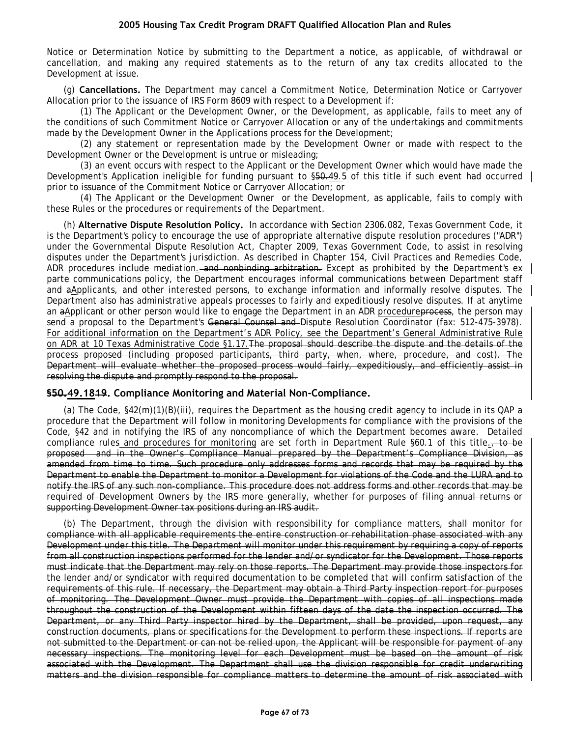Notice or Determination Notice by submitting to the Department a notice, as applicable, of withdrawal or cancellation, and making any required statements as to the return of any tax credits allocated to the Development at issue.

(g) **Cancellations.** The Department may cancel a Commitment Notice, Determination Notice or Carryover Allocation prior to the issuance of IRS Form 8609 with respect to a Development if:

(1) The Applicant or the Development Owner, or the Development, as applicable, fails to meet any of the conditions of such Commitment Notice or Carryover Allocation or any of the undertakings and commitments made by the Development Owner in the Applications process for the Development;

(2) any statement or representation made by the Development Owner or made with respect to the Development Owner or the Development is untrue or misleading;

(3) an event occurs with respect to the Applicant or the Development Owner which would have made the Development's Application ineligible for funding pursuant to §50.49.5 of this title if such event had occurred prior to issuance of the Commitment Notice or Carryover Allocation; or

(4) The Applicant or the Development Owner or the Development, as applicable, fails to comply with these Rules or the procedures or requirements of the Department.

(h) **Alternative Dispute Resolution Policy.** In accordance with Section 2306.082, Texas Government Code, it is the Department's policy to encourage the use of appropriate alternative dispute resolution procedures ("ADR") under the Governmental Dispute Resolution Act, Chapter 2009, Texas Government Code, to assist in resolving disputes under the Department's jurisdiction. As described in Chapter 154, Civil Practices and Remedies Code, ADR procedures include mediation. and nonbinding arbitration. Except as prohibited by the Department's ex parte communications policy, the Department encourages informal communications between Department staff and aApplicants, and other interested persons, to exchange information and informally resolve disputes. The Department also has administrative appeals processes to fairly and expeditiously resolve disputes. If at anytime an aApplicant or other person would like to engage the Department in an ADR procedure process, the person may send a proposal to the Department's General Counsel and Dispute Resolution Coordinator (fax: 512-475-3978). For additional information on the Department's ADR Policy, see the Department's General Administrative Rule on ADR at 10 Texas Administrative Code §1.17.The proposal should describe the dispute and the details of the process proposed (including proposed participants, third party, when, where, procedure, and cost). The Department will evaluate whether the proposed process would fairly, expeditiously, and efficiently assist in resolving the dispute and promptly respond to the proposal.

### **§50.49.1819. Compliance Monitoring and Material Non-Compliance.**

(a) The Code, §42(m)(1)(B)(iii), requires the Department as the housing credit agency to include in its QAP a procedure that the Department will follow in monitoring Developments for compliance with the provisions of the Code, §42 and in notifying the IRS of any noncompliance of which the Department becomes aware. Detailed compliance rules and procedures for monitoring are set forth in Department Rule §60.1 of this title., to be proposed and in the Owner's Compliance Manual prepared by the Department's Compliance Division, as amended from time to time. Such procedure only addresses forms and records that may be required by the Department to enable the Department to monitor a Development for violations of the Code and the LURA and to notify the IRS of any such non-compliance. This procedure does not address forms and other records that may be required of Development Owners by the IRS more generally, whether for purposes of filing annual returns or supporting Development Owner tax positions during an IRS audit.

(b) The Department, through the division with responsibility for compliance matters, shall monitor for compliance with all applicable requirements the entire construction or rehabilitation phase associated with any Development under this title. The Department will monitor under this requirement by requiring a copy of reports from all construction inspections performed for the lender and/or syndicator for the Development. Those reports must indicate that the Department may rely on those reports. The Department may provide those inspectors for the lender and/or syndicator with required documentation to be completed that will confirm satisfaction of the requirements of this rule. If necessary, the Department may obtain a Third Party inspection report for purposes of monitoring. The Development Owner must provide the Department with copies of all inspections made throughout the construction of the Development within fifteen days of the date the inspection occurred. The Department, or any Third Party inspector hired by the Department, shall be provided, upon request, any construction documents, plans or specifications for the Development to perform these inspections. If reports are not submitted to the Department or can not be relied upon, the Applicant will be responsible for payment of any necessary inspections. The monitoring level for each Development must be based on the amount of risk associated with the Development. The Department shall use the division responsible for credit underwriting matters and the division responsible for compliance matters to determine the amount of risk associated with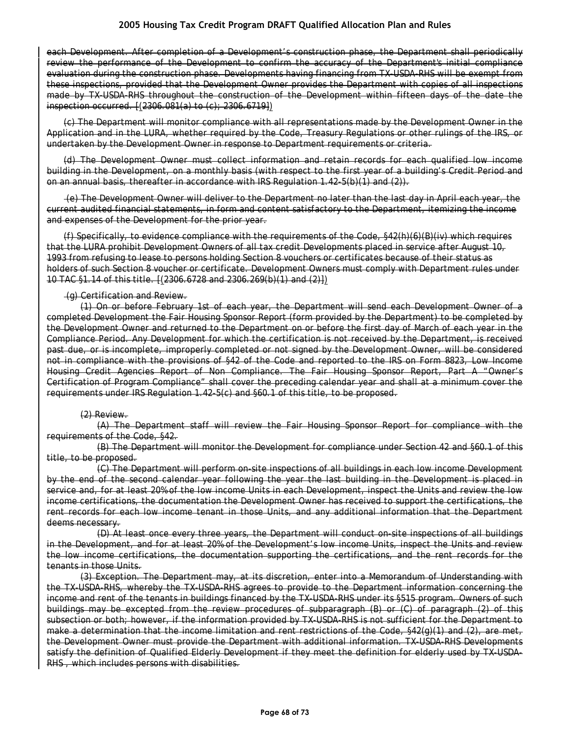each Development. After completion of a Development's construction phase, the Department shall periodically review the performance of the Development to confirm the accuracy of the Department's initial compliance evaluation during the construction phase. Developments having financing from TX-USDA-RHS will be exempt from these inspections, provided that the Development Owner provides the Department with copies of all inspections made by TX-USDA-RHS throughout the construction of the Development within fifteen days of the date the inspection occurred. [(2306.081(a) to (c); 2306.6719])

(c) The Department will monitor compliance with all representations made by the Development Owner in the Application and in the LURA, whether required by the Code, Treasury Regulations or other rulings of the IRS, or undertaken by the Development Owner in response to Department requirements or criteria.

(d) The Development Owner must collect information and retain records for each qualified low income building in the Development, on a monthly basis (with respect to the first year of a building's Credit Period and on an annual basis, thereafter in accordance with IRS Regulation 1.42-5(b)(1) and (2)).

(e) The Development Owner will deliver to the Department no later than the last day in April each year, the current audited financial statements, in form and content satisfactory to the Department, itemizing the income and expenses of the Development for the prior year.

(f) Specifically, to evidence compliance with the requirements of the Code, §42(h)(6)(B)(iv) which requires that the LURA prohibit Development Owners of all tax credit Developments placed in service after August 10, 1993 from refusing to lease to persons holding Section 8 vouchers or certificates because of their status as holders of such Section 8 voucher or certificate. Development Owners must comply with Department rules under 10 TAC §1.14 of this title. [(2306.6728 and 2306.269(b)(1) and (2)])

#### (g) Certification and Review.

(1) On or before February 1st of each year, the Department will send each Development Owner of a completed Development the Fair Housing Sponsor Report (form provided by the Department) to be completed by the Development Owner and returned to the Department on or before the first day of March of each year in the Compliance Period. Any Development for which the certification is not received by the Department, is received past due, or is incomplete, improperly completed or not signed by the Development Owner, will be considered not in compliance with the provisions of §42 of the Code and reported to the IRS on Form 8823, Low Income Housing Credit Agencies Report of Non Compliance. The Fair Housing Sponsor Report, Part A "Owner's Certification of Program Compliance" shall cover the preceding calendar year and shall at a minimum cover the requirements under IRS Regulation 1.42-5(c) and §60.1 of this title, to be proposed.

#### (2) Review.

(A) The Department staff will review the Fair Housing Sponsor Report for compliance with the requirements of the Code, §42.

(B) The Department will monitor the Development for compliance under Section 42 and §60.1 of this title, to be proposed.

(C) The Department will perform on-site inspections of all buildings in each low income Development by the end of the second calendar year following the year the last building in the Development is placed in service and, for at least 20% of the low income Units in each Development, inspect the Units and review the low income certifications, the documentation the Development Owner has received to support the certifications, the rent records for each low income tenant in those Units, and any additional information that the Department deems necessary.

(D) At least once every three years, the Department will conduct on-site inspections of all buildings in the Development, and for at least 20% of the Development's low income Units, inspect the Units and review the low income certifications, the documentation supporting the certifications, and the rent records for the tenants in those Units.

(3) Exception. The Department may, at its discretion, enter into a Memorandum of Understanding with the TX-USDA-RHS, whereby the TX-USDA-RHS agrees to provide to the Department information concerning the income and rent of the tenants in buildings financed by the TX-USDA-RHS under its §515 program. Owners of such buildings may be excepted from the review procedures of subparagraph (B) or (C) of paragraph (2) of this subsection or both; however, if the information provided by TX-USDA-RHS is not sufficient for the Department to make a determination that the income limitation and rent restrictions of the Code, §42(g)(1) and (2), are met, the Development Owner must provide the Department with additional information. TX-USDA-RHS Developments satisfy the definition of Qualified Elderly Development if they meet the definition for elderly used by TX-USDA-RHS , which includes persons with disabilities.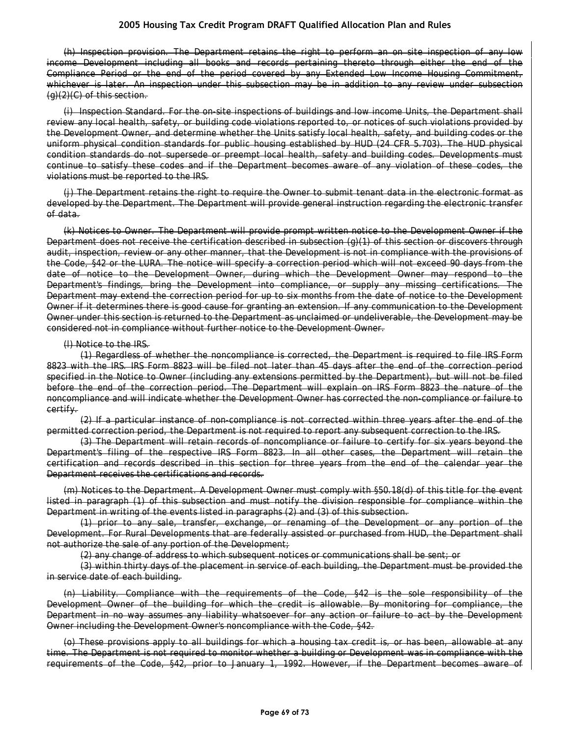(h) Inspection provision. The Department retains the right to perform an on site inspection of any low income Development including all books and records pertaining thereto through either the end of the Compliance Period or the end of the period covered by any Extended Low Income Housing Commitment, whichever is later. An inspection under this subsection may be in addition to any review under subsection  $(q)(2)(C)$  of this section.

(i) Inspection Standard. For the on-site inspections of buildings and low income Units, the Department shall review any local health, safety, or building code violations reported to, or notices of such violations provided by the Development Owner, and determine whether the Units satisfy local health, safety, and building codes or the uniform physical condition standards for public housing established by HUD (24 CFR 5.703). The HUD physical condition standards do not supersede or preempt local health, safety and building codes. Developments must continue to satisfy these codes and if the Department becomes aware of any violation of these codes, the violations must be reported to the IRS.

(j) The Department retains the right to require the Owner to submit tenant data in the electronic format as developed by the Department. The Department will provide general instruction regarding the electronic transfer of data.

(k) Notices to Owner. The Department will provide prompt written notice to the Development Owner if the Department does not receive the certification described in subsection (g)(1) of this section or discovers through audit, inspection, review or any other manner, that the Development is not in compliance with the provisions of the Code, §42 or the LURA. The notice will specify a correction period which will not exceed 90 days from the date of notice to the Development Owner, during which the Development Owner may respond to the Department's findings, bring the Development into compliance, or supply any missing certifications. The Department may extend the correction period for up to six months from the date of notice to the Development Owner if it determines there is good cause for granting an extension. If any communication to the Development Owner under this section is returned to the Department as unclaimed or undeliverable, the Development may be considered not in compliance without further notice to the Development Owner.

#### (l) Notice to the IRS.

(1) Regardless of whether the noncompliance is corrected, the Department is required to file IRS Form 8823 with the IRS. IRS Form 8823 will be filed not later than 45 days after the end of the correction period specified in the Notice to Owner (including any extensions permitted by the Department), but will not be filed before the end of the correction period. The Department will explain on IRS Form 8823 the nature of the noncompliance and will indicate whether the Development Owner has corrected the non-compliance or failure to certify.

(2) If a particular instance of non-compliance is not corrected within three years after the end of the permitted correction period, the Department is not required to report any subsequent correction to the IRS.

(3) The Department will retain records of noncompliance or failure to certify for six years beyond the Department's filing of the respective IRS Form 8823. In all other cases, the Department will retain the certification and records described in this section for three years from the end of the calendar year the Department receives the certifications and records.

(m) Notices to the Department. A Development Owner must comply with §50.18(d) of this title for the event listed in paragraph (1) of this subsection and must notify the division responsible for compliance within the Department in writing of the events listed in paragraphs (2) and (3) of this subsection.

(1) prior to any sale, transfer, exchange, or renaming of the Development or any portion of the Development. For Rural Developments that are federally assisted or purchased from HUD, the Department shall not authorize the sale of any portion of the Development;

(2) any change of address to which subsequent notices or communications shall be sent; or

(3) within thirty days of the placement in service of each building, the Department must be provided the in service date of each building.

(n) Liability. Compliance with the requirements of the Code, §42 is the sole responsibility of the Development Owner of the building for which the credit is allowable. By monitoring for compliance, the Department in no way assumes any liability whatsoever for any action or failure to act by the Development Owner including the Development Owner's noncompliance with the Code, §42.

(o) These provisions apply to all buildings for which a housing tax credit is, or has been, allowable at any time. The Department is not required to monitor whether a building or Development was in compliance with the requirements of the Code, §42, prior to January 1, 1992. However, if the Department becomes aware of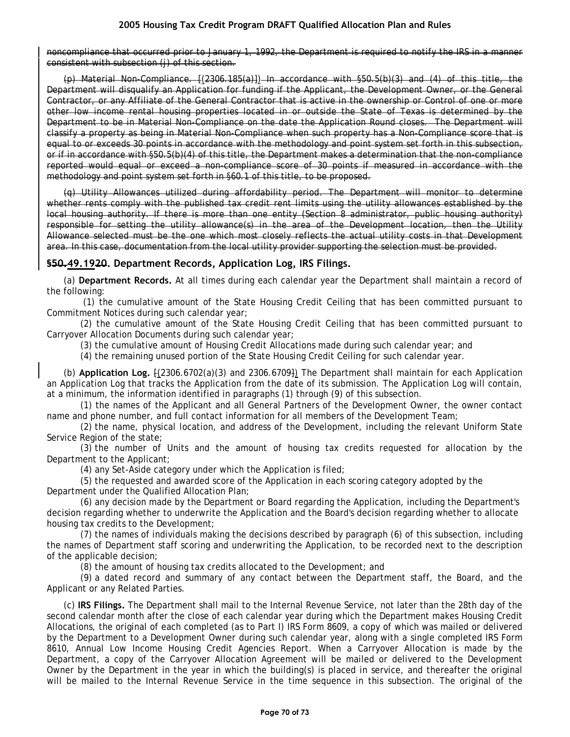noncompliance that occurred prior to January 1, 1992, the Department is required to notify the IRS in a manner consistent with subsection (j) of this section.

(p) Material Non-Compliance. [(2306.185(a)]) In accordance with §50.5(b)(3) and (4) of this title, the Department will disqualify an Application for funding if the Applicant, the Development Owner, or the General Contractor, or any Affiliate of the General Contractor that is active in the ownership or Control of one or more other low income rental housing properties located in or outside the State of Texas is determined by the Department to be in Material Non-Compliance on the date the Application Round closes. The Department will classify a property as being in Material Non-Compliance when such property has a Non-Compliance score that is equal to or exceeds 30 points in accordance with the methodology and point system set forth in this subsection, or if in accordance with §50.5(b)(4) of this title, the Department makes a determination that the non-compliance reported would equal or exceed a non-compliance score of 30 points if measured in accordance with the methodology and point system set forth in §60.1 of this title, to be proposed.

(q) Utility Allowances utilized during affordability period. The Department will monitor to determine whether rents comply with the published tax credit rent limits using the utility allowances established by the local housing authority. If there is more than one entity (Section 8 administrator, public housing authority) responsible for setting the utility allowance(s) in the area of the Development location, then the Utility Allowance selected must be the one which most closely reflects the actual utility costs in that Development area. In this case, documentation from the local utility provider supporting the selection must be provided.

# **§50.49.1920. Department Records, Application Log, IRS Filings.**

(a) **Department Records.** At all times during each calendar year the Department shall maintain a record of the following:

(1) the cumulative amount of the State Housing Credit Ceiling that has been committed pursuant to Commitment Notices during such calendar year;

(2) the cumulative amount of the State Housing Credit Ceiling that has been committed pursuant to Carryover Allocation Documents during such calendar year;

(3) the cumulative amount of Housing Credit Allocations made during such calendar year; and

(4) the remaining unused portion of the State Housing Credit Ceiling for such calendar year.

(b) **Application Log.** [(2306.6702(a)(3) and 2306.6709]) The Department shall maintain for each Application an Application Log that tracks the Application from the date of its submission. The Application Log will contain, at a minimum, the information identified in paragraphs (1) through (9) of this subsection.

(1) the names of the Applicant and all General Partners of the Development Owner, the owner contact name and phone number, and full contact information for all members of the Development Team;

(2) the name, physical location, and address of the Development, including the relevant Uniform State Service Region of the state;

(3) the number of Units and the amount of housing tax credits requested for allocation by the Department to the Applicant;

(4) any Set-Aside category under which the Application is filed;

(5) the requested and awarded score of the Application in each scoring category adopted by the Department under the Qualified Allocation Plan;

(6) any decision made by the Department or Board regarding the Application, including the Department's decision regarding whether to underwrite the Application and the Board's decision regarding whether to allocate housing tax credits to the Development;

(7) the names of individuals making the decisions described by paragraph (6) of this subsection, including the names of Department staff scoring and underwriting the Application, to be recorded next to the description of the applicable decision;

(8) the amount of housing tax credits allocated to the Development; and

(9) a dated record and summary of any contact between the Department staff, the Board, and the Applicant or any Related Parties.

(c) **IRS Filings.** The Department shall mail to the Internal Revenue Service, not later than the 28th day of the second calendar month after the close of each calendar year during which the Department makes Housing Credit Allocations, the original of each completed (as to Part I) IRS Form 8609, a copy of which was mailed or delivered by the Department to a Development Owner during such calendar year, along with a single completed IRS Form 8610, Annual Low Income Housing Credit Agencies Report. When a Carryover Allocation is made by the Department, a copy of the Carryover Allocation Agreement will be mailed or delivered to the Development Owner by the Department in the year in which the building(s) is placed in service, and thereafter the original will be mailed to the Internal Revenue Service in the time sequence in this subsection. The original of the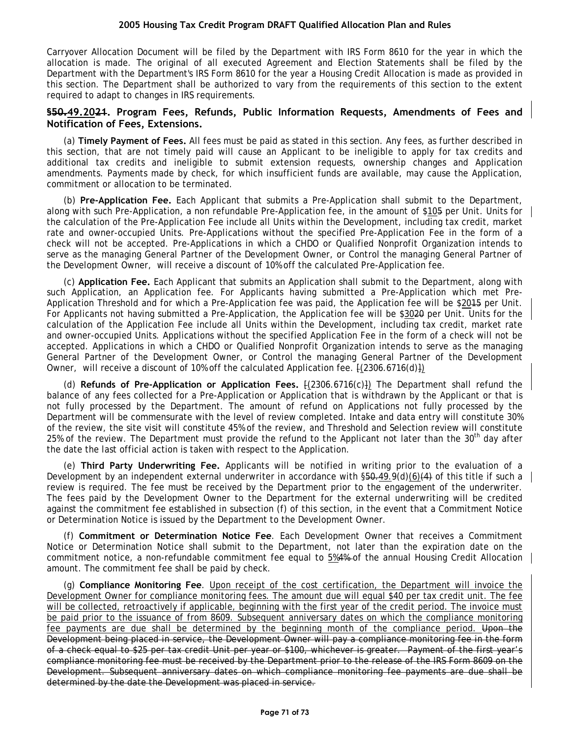Carryover Allocation Document will be filed by the Department with IRS Form 8610 for the year in which the allocation is made. The original of all executed Agreement and Election Statements shall be filed by the Department with the Department's IRS Form 8610 for the year a Housing Credit Allocation is made as provided in this section. The Department shall be authorized to vary from the requirements of this section to the extent required to adapt to changes in IRS requirements.

### **§50.49.2021. Program Fees, Refunds, Public Information Requests, Amendments of Fees and Notification of Fees, Extensions.**

(a) **Timely Payment of Fees.** All fees must be paid as stated in this section. Any fees, as further described in this section, that are not timely paid will cause an Applicant to be ineligible to apply for tax credits and additional tax credits and ineligible to submit extension requests, ownership changes and Application amendments. Payments made by check, for which insufficient funds are available, may cause the Application, commitment or allocation to be terminated.

(b) **Pre-Application Fee.** Each Applicant that submits a Pre-Application shall submit to the Department, along with such Pre-Application, a non refundable Pre-Application fee, in the amount of \$105 per Unit. Units for the calculation of the Pre-Application Fee include all Units within the Development, including tax credit, market rate and owner-occupied Units. Pre-Applications without the specified Pre-Application Fee in the form of a check will not be accepted. Pre-Applications in which a CHDO or Qualified Nonprofit Organization intends to serve as the managing General Partner of the Development Owner, or Control the managing General Partner of the Development Owner, will receive a discount of 10% off the calculated Pre-Application fee.

(c) **Application Fee.** Each Applicant that submits an Application shall submit to the Department, along with such Application, an Application fee. For Applicants having submitted a Pre-Application which met Pre-Application Threshold and for which a Pre-Application fee was paid, the Application fee will be \$2015 per Unit. For Applicants not having submitted a Pre-Application, the Application fee will be \$3020 per Unit. Units for the calculation of the Application Fee include all Units within the Development, including tax credit, market rate and owner-occupied Units. Applications without the specified Application Fee in the form of a check will not be accepted. Applications in which a CHDO or Qualified Nonprofit Organization intends to serve as the managing General Partner of the Development Owner, or Control the managing General Partner of the Development Owner, will receive a discount of 10% off the calculated Application fee.  $\{2306.6716(d)\}\$ 

(d) **Refunds of Pre-Application or Application Fees.** [(2306.6716(c)]) The Department shall refund the balance of any fees collected for a Pre-Application or Application that is withdrawn by the Applicant or that is not fully processed by the Department. The amount of refund on Applications not fully processed by the Department will be commensurate with the level of review completed. Intake and data entry will constitute 30% of the review, the site visit will constitute 45% of the review, and Threshold and Selection review will constitute 25% of the review. The Department must provide the refund to the Applicant not later than the 30<sup>th</sup> day after the date the last official action is taken with respect to the Application.

(e) **Third Party Underwriting Fee.** Applicants will be notified in writing prior to the evaluation of a Development by an independent external underwriter in accordance with §50.49.9(d)(6)(4) of this title if such a review is required. The fee must be received by the Department prior to the engagement of the underwriter. The fees paid by the Development Owner to the Department for the external underwriting will be credited against the commitment fee established in subsection (f) of this section, in the event that a Commitment Notice or Determination Notice is issued by the Department to the Development Owner.

(f) **Commitment or Determination Notice Fee**. Each Development Owner that receives a Commitment Notice or Determination Notice shall submit to the Department, not later than the expiration date on the commitment notice, a non-refundable commitment fee equal to  $5\frac{44}{5}$  of the annual Housing Credit Allocation amount. The commitment fee shall be paid by check.

(g) **Compliance Monitoring Fee**. Upon receipt of the cost certification, the Department will invoice the Development Owner for compliance monitoring fees. The amount due will equal \$40 per tax credit unit. The fee will be collected, retroactively if applicable, beginning with the first year of the credit period. The invoice must be paid prior to the issuance of from 8609. Subsequent anniversary dates on which the compliance monitoring fee payments are due shall be determined by the beginning month of the compliance period. Upon the Development being placed in service, the Development Owner will pay a compliance monitoring fee in the form of a check equal to \$25 per tax credit Unit per year or \$100, whichever is greater. Payment of the first year's compliance monitoring fee must be received by the Department prior to the release of the IRS Form 8609 on the Development. Subsequent anniversary dates on which compliance monitoring fee payments are due shall be determined by the date the Development was placed in service.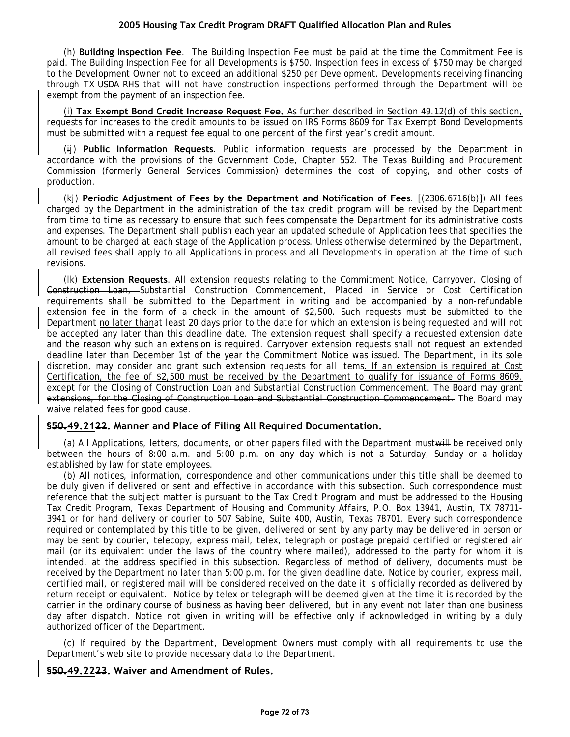(h) **Building Inspection Fee**. The Building Inspection Fee must be paid at the time the Commitment Fee is paid. The Building Inspection Fee for all Developments is \$750. Inspection fees in excess of \$750 may be charged to the Development Owner not to exceed an additional \$250 per Development. Developments receiving financing through TX-USDA-RHS that will not have construction inspections performed through the Department will be exempt from the payment of an inspection fee.

(i) **Tax Exempt Bond Credit Increase Request Fee.** As further described in Section 49.12(d) of this section, requests for increases to the credit amounts to be issued on IRS Forms 8609 for Tax Exempt Bond Developments must be submitted with a request fee equal to one percent of the first year's credit amount.

(ij) **Public Information Requests**. Public information requests are processed by the Department in accordance with the provisions of the Government Code, Chapter 552. The Texas Building and Procurement Commission (formerly General Services Commission) determines the cost of copying, and other costs of production.

(kj) **Periodic Adjustment of Fees by the Department and Notification of Fees**. [(2306.6716(b)]) All fees charged by the Department in the administration of the tax credit program will be revised by the Department from time to time as necessary to ensure that such fees compensate the Department for its administrative costs and expenses. The Department shall publish each year an updated schedule of Application fees that specifies the amount to be charged at each stage of the Application process. Unless otherwise determined by the Department, all revised fees shall apply to all Applications in process and all Developments in operation at the time of such revisions.

(lk) **Extension Requests**. All extension requests relating to the Commitment Notice, Carryover, Closing of Construction Loan, Substantial Construction Commencement, Placed in Service or Cost Certification requirements shall be submitted to the Department in writing and be accompanied by a non-refundable extension fee in the form of a check in the amount of \$2,500. Such requests must be submitted to the Department no later thanat least 20 days prior to the date for which an extension is being requested and will not be accepted any later than this deadline date. The extension request shall specify a requested extension date and the reason why such an extension is required. Carryover extension requests shall not request an extended deadline later than December 1st of the year the Commitment Notice was issued. The Department, in its sole discretion, may consider and grant such extension requests for all items. If an extension is required at Cost Certification, the fee of \$2,500 must be received by the Department to qualify for issuance of Forms 8609. except for the Closing of Construction Loan and Substantial Construction Commencement. The Board may grant extensions, for the Closing of Construction Loan and Substantial Construction Commencement. The Board may waive related fees for good cause.

### **§50.49.2122. Manner and Place of Filing All Required Documentation.**

(a) All Applications, letters, documents, or other papers filed with the Department mustwill be received only between the hours of 8:00 a.m. and 5:00 p.m. on any day which is not a Saturday, Sunday or a holiday established by law for state employees.

(b) All notices, information, correspondence and other communications under this title shall be deemed to be duly given if delivered or sent and effective in accordance with this subsection. Such correspondence must reference that the subject matter is pursuant to the Tax Credit Program and must be addressed to the Housing Tax Credit Program, Texas Department of Housing and Community Affairs, P.O. Box 13941, Austin, TX 78711- 3941 or for hand delivery or courier to 507 Sabine, Suite 400, Austin, Texas 78701. Every such correspondence required or contemplated by this title to be given, delivered or sent by any party may be delivered in person or may be sent by courier, telecopy, express mail, telex, telegraph or postage prepaid certified or registered air mail (or its equivalent under the laws of the country where mailed), addressed to the party for whom it is intended, at the address specified in this subsection. Regardless of method of delivery, documents must be received by the Department no later than 5:00 p.m. for the given deadline date. Notice by courier, express mail, certified mail, or registered mail will be considered received on the date it is officially recorded as delivered by return receipt or equivalent. Notice by telex or telegraph will be deemed given at the time it is recorded by the carrier in the ordinary course of business as having been delivered, but in any event not later than one business day after dispatch. Notice not given in writing will be effective only if acknowledged in writing by a duly authorized officer of the Department.

(c) If required by the Department, Development Owners must comply with all requirements to use the Department's web site to provide necessary data to the Department.

# **§50.49.2223. Waiver and Amendment of Rules.**